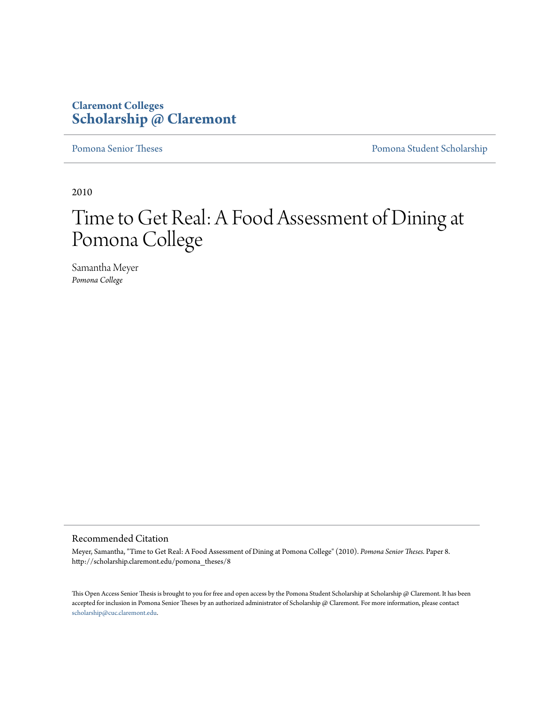## **Claremont Colleges [Scholarship @ Claremont](http://scholarship.claremont.edu)**

[Pomona Senior Theses](http://scholarship.claremont.edu/pomona_theses) **[Pomona Student Scholarship](http://scholarship.claremont.edu/pomona_student)** 

2010

# Time to Get Real: A Food Assessment of Dining at Pomona College

Samantha Meyer *Pomona College*

#### Recommended Citation

Meyer, Samantha, "Time to Get Real: A Food Assessment of Dining at Pomona College" (2010). *Pomona Senior Theses.* Paper 8. http://scholarship.claremont.edu/pomona\_theses/8

This Open Access Senior Thesis is brought to you for free and open access by the Pomona Student Scholarship at Scholarship @ Claremont. It has been accepted for inclusion in Pomona Senior Theses by an authorized administrator of Scholarship @ Claremont. For more information, please contact [scholarship@cuc.claremont.edu.](mailto:scholarship@cuc.claremont.edu)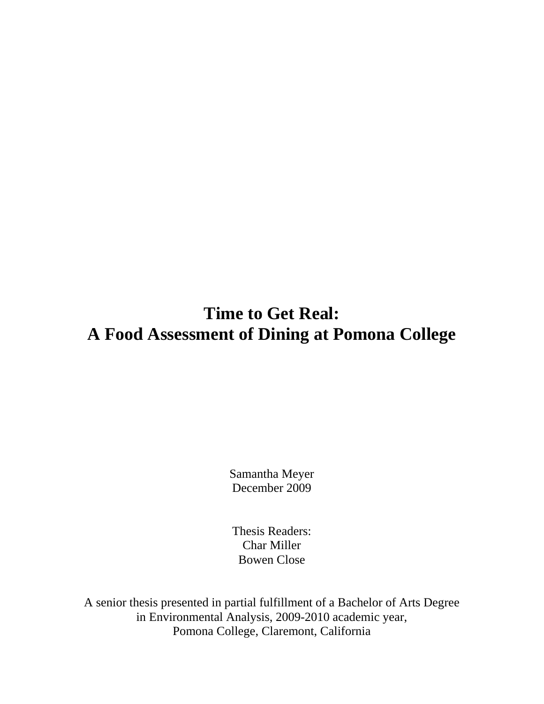## **Time to Get Real: A Food Assessment of Dining at Pomona College**

Samantha Meyer December 2009

Thesis Readers: Char Miller Bowen Close

A senior thesis presented in partial fulfillment of a Bachelor of Arts Degree in Environmental Analysis, 2009-2010 academic year, Pomona College, Claremont, California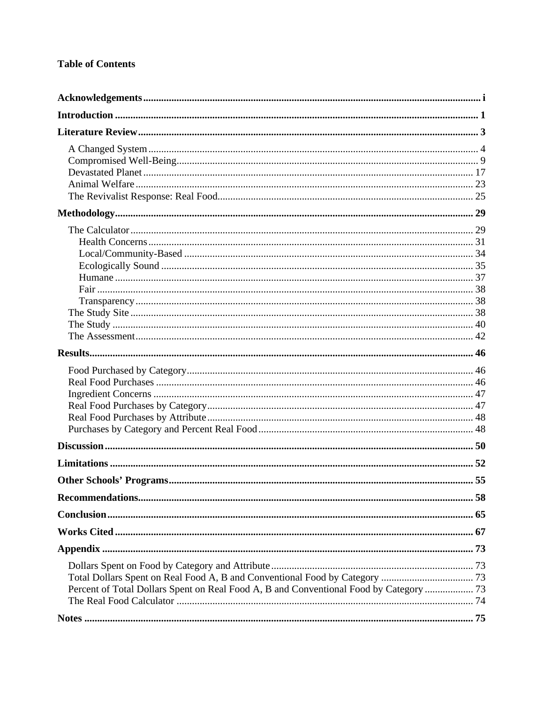## **Table of Contents**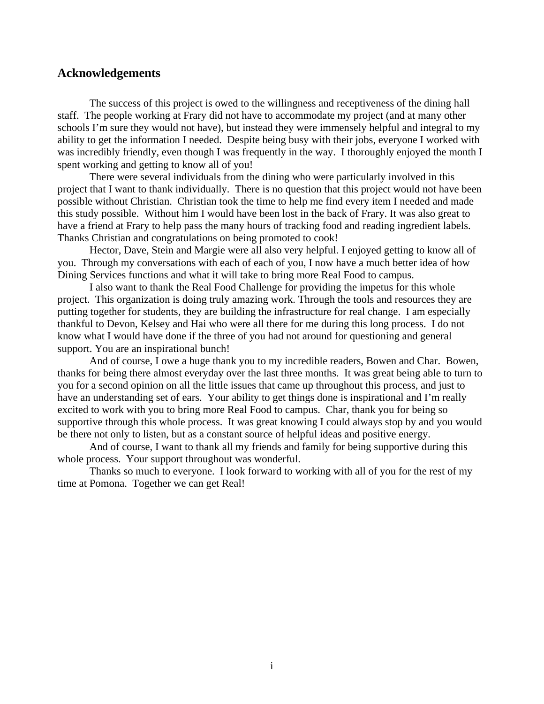## <span id="page-4-0"></span>**Acknowledgements**

 The success of this project is owed to the willingness and receptiveness of the dining hall staff. The people working at Frary did not have to accommodate my project (and at many other schools I'm sure they would not have), but instead they were immensely helpful and integral to my ability to get the information I needed. Despite being busy with their jobs, everyone I worked with was incredibly friendly, even though I was frequently in the way. I thoroughly enjoyed the month I spent working and getting to know all of you!

 There were several individuals from the dining who were particularly involved in this project that I want to thank individually. There is no question that this project would not have been possible without Christian. Christian took the time to help me find every item I needed and made this study possible. Without him I would have been lost in the back of Frary. It was also great to have a friend at Frary to help pass the many hours of tracking food and reading ingredient labels. Thanks Christian and congratulations on being promoted to cook!

 Hector, Dave, Stein and Margie were all also very helpful. I enjoyed getting to know all of you. Through my conversations with each of each of you, I now have a much better idea of how Dining Services functions and what it will take to bring more Real Food to campus.

 I also want to thank the Real Food Challenge for providing the impetus for this whole project. This organization is doing truly amazing work. Through the tools and resources they are putting together for students, they are building the infrastructure for real change. I am especially thankful to Devon, Kelsey and Hai who were all there for me during this long process. I do not know what I would have done if the three of you had not around for questioning and general support. You are an inspirational bunch!

 And of course, I owe a huge thank you to my incredible readers, Bowen and Char. Bowen, thanks for being there almost everyday over the last three months. It was great being able to turn to you for a second opinion on all the little issues that came up throughout this process, and just to have an understanding set of ears. Your ability to get things done is inspirational and I'm really excited to work with you to bring more Real Food to campus. Char, thank you for being so supportive through this whole process. It was great knowing I could always stop by and you would be there not only to listen, but as a constant source of helpful ideas and positive energy.

 And of course, I want to thank all my friends and family for being supportive during this whole process. Your support throughout was wonderful.

 Thanks so much to everyone. I look forward to working with all of you for the rest of my time at Pomona. Together we can get Real!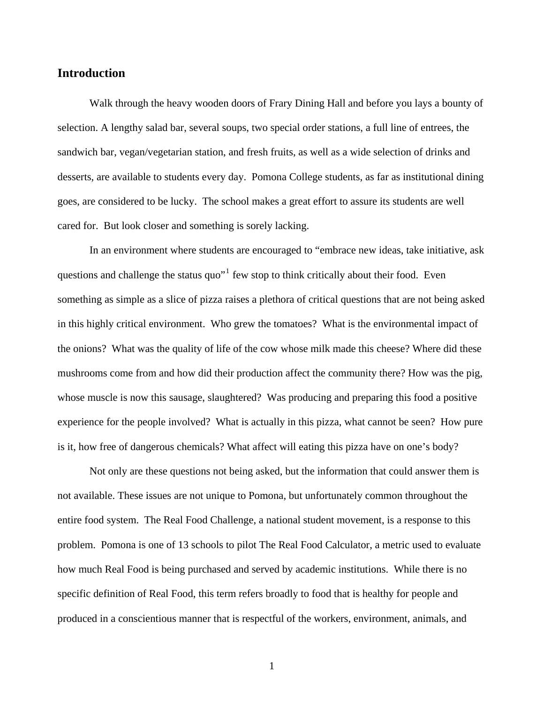## <span id="page-5-0"></span>**Introduction**

 Walk through the heavy wooden doors of Frary Dining Hall and before you lays a bounty of selection. A lengthy salad bar, several soups, two special order stations, a full line of entrees, the sandwich bar, vegan/vegetarian station, and fresh fruits, as well as a wide selection of drinks and desserts, are available to students every day. Pomona College students, as far as institutional dining goes, are considered to be lucky. The school makes a great effort to assure its students are well cared for. But look closer and something is sorely lacking.

 In an environment where students are encouraged to "embrace new ideas, take initiative, ask questions and challenge the status quo"<sup>[1](#page-79-1)</sup> few stop to think critically about their food. Even something as simple as a slice of pizza raises a plethora of critical questions that are not being asked in this highly critical environment. Who grew the tomatoes? What is the environmental impact of the onions? What was the quality of life of the cow whose milk made this cheese? Where did these mushrooms come from and how did their production affect the community there? How was the pig, whose muscle is now this sausage, slaughtered? Was producing and preparing this food a positive experience for the people involved? What is actually in this pizza, what cannot be seen? How pure is it, how free of dangerous chemicals? What affect will eating this pizza have on one's body?

 Not only are these questions not being asked, but the information that could answer them is not available. These issues are not unique to Pomona, but unfortunately common throughout the entire food system. The Real Food Challenge, a national student movement, is a response to this problem. Pomona is one of 13 schools to pilot The Real Food Calculator, a metric used to evaluate how much Real Food is being purchased and served by academic institutions. While there is no specific definition of Real Food, this term refers broadly to food that is healthy for people and produced in a conscientious manner that is respectful of the workers, environment, animals, and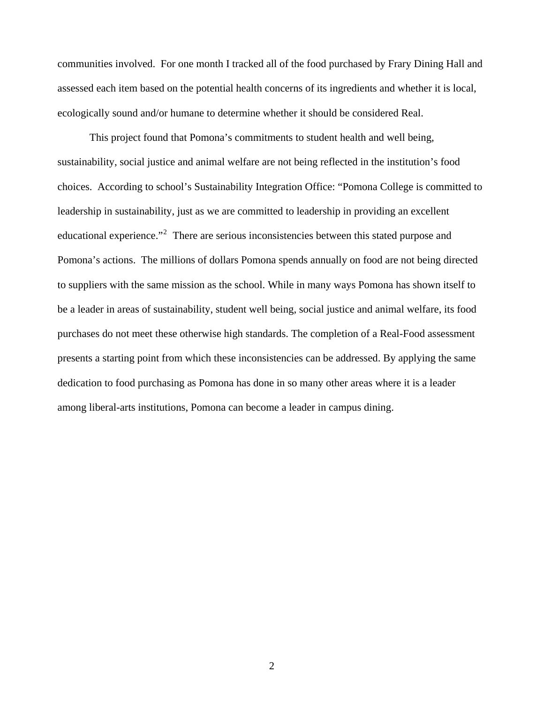communities involved. For one month I tracked all of the food purchased by Frary Dining Hall and assessed each item based on the potential health concerns of its ingredients and whether it is local, ecologically sound and/or humane to determine whether it should be considered Real.

 This project found that Pomona's commitments to student health and well being, sustainability, social justice and animal welfare are not being reflected in the institution's food choices. According to school's Sustainability Integration Office: "Pomona College is committed to leadership in sustainability, just as we are committed to leadership in providing an excellent educational experience."<sup>[2](#page-79-2)</sup> There are serious inconsistencies between this stated purpose and Pomona's actions. The millions of dollars Pomona spends annually on food are not being directed to suppliers with the same mission as the school. While in many ways Pomona has shown itself to be a leader in areas of sustainability, student well being, social justice and animal welfare, its food purchases do not meet these otherwise high standards. The completion of a Real-Food assessment presents a starting point from which these inconsistencies can be addressed. By applying the same dedication to food purchasing as Pomona has done in so many other areas where it is a leader among liberal-arts institutions, Pomona can become a leader in campus dining.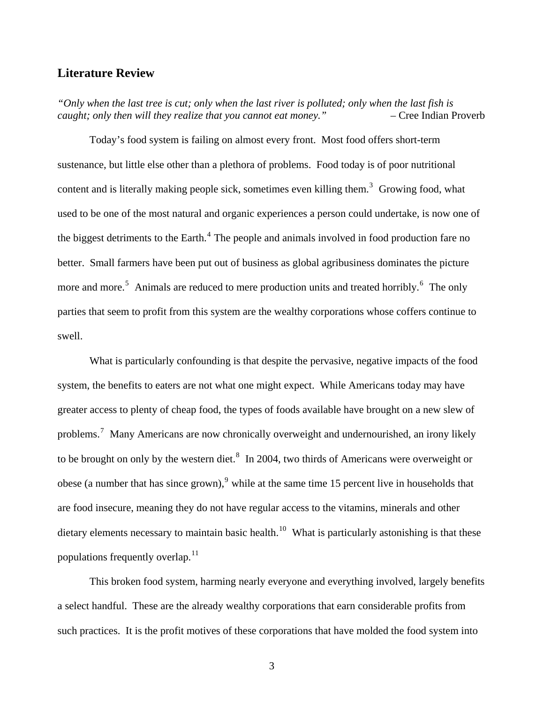## <span id="page-7-0"></span>**Literature Review**

*"Only when the last tree is cut; only when the last river is polluted; only when the last fish is caught; only then will they realize that you cannot eat money."* – Cree Indian Proverb

 Today's food system is failing on almost every front. Most food offers short-term sustenance, but little else other than a plethora of problems. Food today is of poor nutritional content and is literally making people sick, sometimes even killing them.<sup>[3](#page-79-3)</sup> Growing food, what used to be one of the most natural and organic experiences a person could undertake, is now one of the biggest detriments to the Earth. $4$  The people and animals involved in food production fare no better. Small farmers have been put out of business as global agribusiness dominates the picture more and more.<sup>[5](#page-79-3)</sup> Animals are reduced to mere production units and treated horribly.<sup>[6](#page-79-3)</sup> The only parties that seem to profit from this system are the wealthy corporations whose coffers continue to swell.

 What is particularly confounding is that despite the pervasive, negative impacts of the food system, the benefits to eaters are not what one might expect. While Americans today may have greater access to plenty of cheap food, the types of foods available have brought on a new slew of problems.<sup>[7](#page-79-3)</sup> Many Americans are now chronically overweight and undernourished, an irony likely to be brought on only by the western diet. $^8$  $^8$  In 2004, two thirds of Americans were overweight or obese (a number that has since grown), <sup>[9](#page-79-3)</sup> while at the same time 15 percent live in households that are food insecure, meaning they do not have regular access to the vitamins, minerals and other dietary elements necessary to maintain basic health.<sup>[10](#page-79-3)</sup> What is particularly astonishing is that these populations frequently overlap.<sup>[11](#page-79-3)</sup>

 This broken food system, harming nearly everyone and everything involved, largely benefits a select handful. These are the already wealthy corporations that earn considerable profits from such practices. It is the profit motives of these corporations that have molded the food system into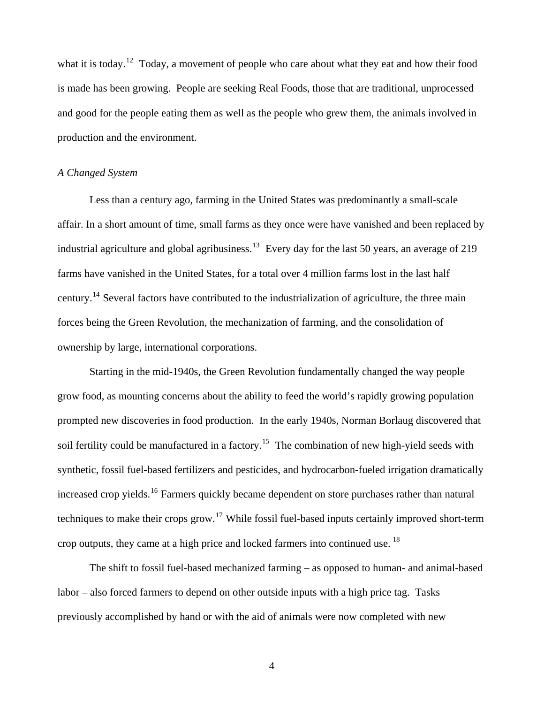<span id="page-8-0"></span>what it is today.<sup>[12](#page-79-3)</sup> Today, a movement of people who care about what they eat and how their food is made has been growing. People are seeking Real Foods, those that are traditional, unprocessed and good for the people eating them as well as the people who grew them, the animals involved in production and the environment.

## *A Changed System*

 Less than a century ago, farming in the United States was predominantly a small-scale affair. In a short amount of time, small farms as they once were have vanished and been replaced by industrial agriculture and global agribusiness.<sup>[13](#page-79-3)</sup> Every day for the last 50 years, an average of 219 farms have vanished in the United States, for a total over 4 million farms lost in the last half century.[14](#page-79-3) Several factors have contributed to the industrialization of agriculture, the three main forces being the Green Revolution, the mechanization of farming, and the consolidation of ownership by large, international corporations.

 Starting in the mid-1940s, the Green Revolution fundamentally changed the way people grow food, as mounting concerns about the ability to feed the world's rapidly growing population prompted new discoveries in food production. In the early 1940s, Norman Borlaug discovered that soil fertility could be manufactured in a factory.<sup>[15](#page-79-3)</sup> The combination of new high-yield seeds with synthetic, fossil fuel-based fertilizers and pesticides, and hydrocarbon-fueled irrigation dramatically increased crop yields.<sup>[16](#page-79-3)</sup> Farmers quickly became dependent on store purchases rather than natural techniques to make their crops grow.<sup>[17](#page-79-3)</sup> While fossil fuel-based inputs certainly improved short-term crop outputs, they came at a high price and locked farmers into continued use.<sup>[18](#page-79-3)</sup>

 The shift to fossil fuel-based mechanized farming – as opposed to human- and animal-based labor – also forced farmers to depend on other outside inputs with a high price tag. Tasks previously accomplished by hand or with the aid of animals were now completed with new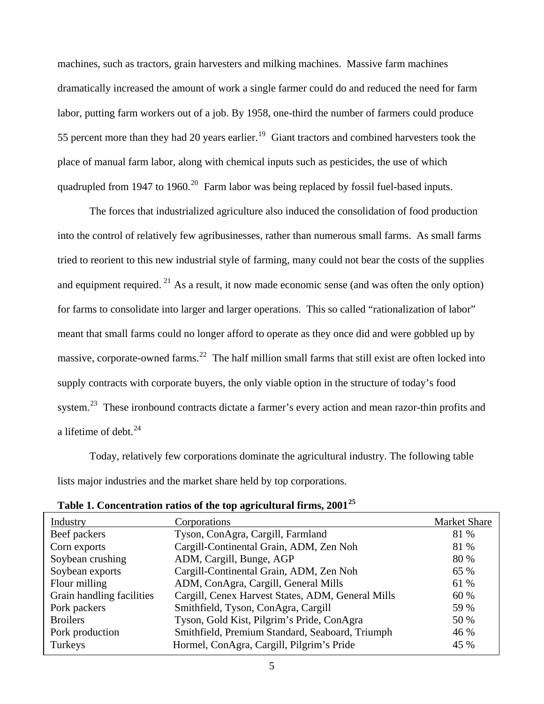machines, such as tractors, grain harvesters and milking machines. Massive farm machines dramatically increased the amount of work a single farmer could do and reduced the need for farm labor, putting farm workers out of a job. By 1958, one-third the number of farmers could produce 55 percent more than they had 20 years earlier.<sup>[19](#page-79-3)</sup> Giant tractors and combined harvesters took the place of manual farm labor, along with chemical inputs such as pesticides, the use of which quadrupled from 1947 to 1960.<sup>[20](#page-79-3)</sup> Farm labor was being replaced by fossil fuel-based inputs.

 The forces that industrialized agriculture also induced the consolidation of food production into the control of relatively few agribusinesses, rather than numerous small farms. As small farms tried to reorient to this new industrial style of farming, many could not bear the costs of the supplies and equipment required. <sup>[21](#page-79-3)</sup> As a result, it now made economic sense (and was often the only option) for farms to consolidate into larger and larger operations. This so called "rationalization of labor" meant that small farms could no longer afford to operate as they once did and were gobbled up by massive, corporate-owned farms.<sup>[22](#page-79-3)</sup> The half million small farms that still exist are often locked into supply contracts with corporate buyers, the only viable option in the structure of today's food system.<sup>[23](#page-79-3)</sup> These ironbound contracts dictate a farmer's every action and mean razor-thin profits and a lifetime of debt. $^{24}$  $^{24}$  $^{24}$ 

 Today, relatively few corporations dominate the agricultural industry. The following table lists major industries and the market share held by top corporations.

| Industry                  | Corporations                                      | <b>Market Share</b> |
|---------------------------|---------------------------------------------------|---------------------|
| Beef packers              | Tyson, ConAgra, Cargill, Farmland                 | 81 %                |
| Corn exports              | Cargill-Continental Grain, ADM, Zen Noh           | 81 %                |
| Soybean crushing          | ADM, Cargill, Bunge, AGP                          | 80 %                |
| Soybean exports           | Cargill-Continental Grain, ADM, Zen Noh           | 65 %                |
| Flour milling             | ADM, ConAgra, Cargill, General Mills              | 61 %                |
| Grain handling facilities | Cargill, Cenex Harvest States, ADM, General Mills | 60 %                |
| Pork packers              | Smithfield, Tyson, ConAgra, Cargill               | 59 %                |
| <b>Broilers</b>           | Tyson, Gold Kist, Pilgrim's Pride, ConAgra        | 50 %                |
| Pork production           | Smithfield, Premium Standard, Seaboard, Triumph   | 46 %                |
| Turkeys                   | Hormel, ConAgra, Cargill, Pilgrim's Pride         | 45 %                |

| Table 1. Concentration ratios of the top agricultural firms, 2001 $^{25}$ |  |  |  |
|---------------------------------------------------------------------------|--|--|--|
|---------------------------------------------------------------------------|--|--|--|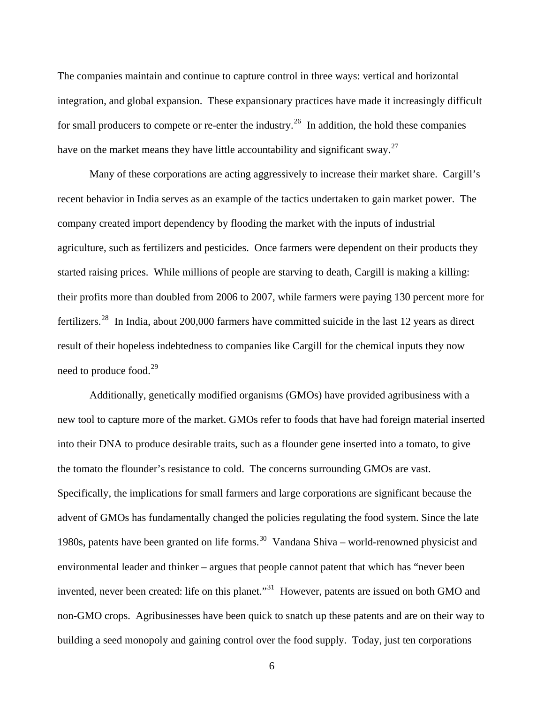The companies maintain and continue to capture control in three ways: vertical and horizontal integration, and global expansion. These expansionary practices have made it increasingly difficult for small producers to compete or re-enter the industry.<sup>[26](#page-79-3)</sup> In addition, the hold these companies have on the market means they have little accountability and significant sway.<sup>[27](#page-79-3)</sup>

 Many of these corporations are acting aggressively to increase their market share. Cargill's recent behavior in India serves as an example of the tactics undertaken to gain market power. The company created import dependency by flooding the market with the inputs of industrial agriculture, such as fertilizers and pesticides. Once farmers were dependent on their products they started raising prices. While millions of people are starving to death, Cargill is making a killing: their profits more than doubled from 2006 to 2007, while farmers were paying 130 percent more for fertilizers.[28](#page-80-0) In India, about 200,000 farmers have committed suicide in the last 12 years as direct result of their hopeless indebtedness to companies like Cargill for the chemical inputs they now need to produce food.<sup>[29](#page-80-0)</sup>

 Additionally, genetically modified organisms (GMOs) have provided agribusiness with a new tool to capture more of the market. GMOs refer to foods that have had foreign material inserted into their DNA to produce desirable traits, such as a flounder gene inserted into a tomato, to give the tomato the flounder's resistance to cold. The concerns surrounding GMOs are vast. Specifically, the implications for small farmers and large corporations are significant because the advent of GMOs has fundamentally changed the policies regulating the food system. Since the late 1980s, patents have been granted on life forms.<sup>[30](#page-80-0)</sup> Vandana Shiva – world-renowned physicist and environmental leader and thinker – argues that people cannot patent that which has "never been invented, never been created: life on this planet."<sup>[31](#page-80-0)</sup> However, patents are issued on both GMO and non-GMO crops. Agribusinesses have been quick to snatch up these patents and are on their way to building a seed monopoly and gaining control over the food supply. Today, just ten corporations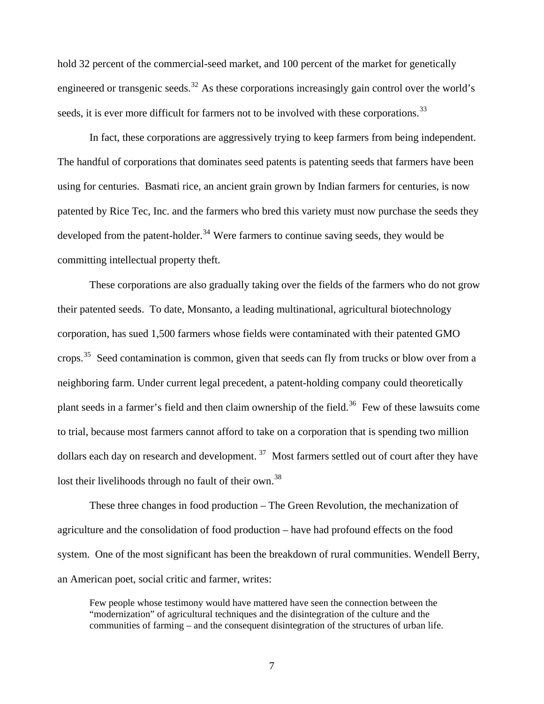hold 32 percent of the commercial-seed market, and 100 percent of the market for genetically engineered or transgenic seeds.<sup>[32](#page-80-0)</sup> As these corporations increasingly gain control over the world's seeds, it is ever more difficult for farmers not to be involved with these corporations.<sup>[33](#page-80-0)</sup>

 In fact, these corporations are aggressively trying to keep farmers from being independent. The handful of corporations that dominates seed patents is patenting seeds that farmers have been using for centuries. Basmati rice, an ancient grain grown by Indian farmers for centuries, is now patented by Rice Tec, Inc. and the farmers who bred this variety must now purchase the seeds they developed from the patent-holder.<sup>[34](#page-80-0)</sup> Were farmers to continue saving seeds, they would be committing intellectual property theft.

 These corporations are also gradually taking over the fields of the farmers who do not grow their patented seeds. To date, Monsanto, a leading multinational, agricultural biotechnology corporation, has sued 1,500 farmers whose fields were contaminated with their patented GMO crops.<sup>[35](#page-80-0)</sup> Seed contamination is common, given that seeds can fly from trucks or blow over from a neighboring farm. Under current legal precedent, a patent-holding company could theoretically plant seeds in a farmer's field and then claim ownership of the field.<sup>[36](#page-80-0)</sup> Few of these lawsuits come to trial, because most farmers cannot afford to take on a corporation that is spending two million dollars each day on research and development.<sup>[37](#page-80-0)</sup> Most farmers settled out of court after they have lost their livelihoods through no fault of their own.<sup>[38](#page-80-0)</sup>

 These three changes in food production – The Green Revolution, the mechanization of agriculture and the consolidation of food production – have had profound effects on the food system. One of the most significant has been the breakdown of rural communities. Wendell Berry, an American poet, social critic and farmer, writes:

Few people whose testimony would have mattered have seen the connection between the "modernization" of agricultural techniques and the disintegration of the culture and the communities of farming – and the consequent disintegration of the structures of urban life.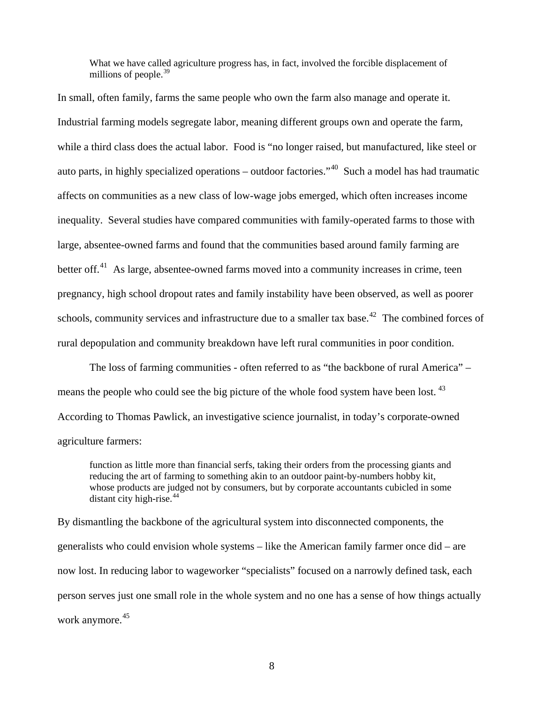What we have called agriculture progress has, in fact, involved the forcible displacement of millions of people.<sup>[39](#page-80-0)</sup>

In small, often family, farms the same people who own the farm also manage and operate it. Industrial farming models segregate labor, meaning different groups own and operate the farm, while a third class does the actual labor. Food is "no longer raised, but manufactured, like steel or auto parts, in highly specialized operations – outdoor factories."<sup>[40](#page-80-0)</sup> Such a model has had traumatic affects on communities as a new class of low-wage jobs emerged, which often increases income inequality. Several studies have compared communities with family-operated farms to those with large, absentee-owned farms and found that the communities based around family farming are better off.<sup>[41](#page-80-0)</sup> As large, absentee-owned farms moved into a community increases in crime, teen pregnancy, high school dropout rates and family instability have been observed, as well as poorer schools, community services and infrastructure due to a smaller tax base.<sup>[42](#page-80-0)</sup> The combined forces of rural depopulation and community breakdown have left rural communities in poor condition.

 The loss of farming communities - often referred to as "the backbone of rural America" – means the people who could see the big picture of the whole food system have been lost.  $43$ According to Thomas Pawlick, an investigative science journalist, in today's corporate-owned agriculture farmers:

function as little more than financial serfs, taking their orders from the processing giants and reducing the art of farming to something akin to an outdoor paint-by-numbers hobby kit, whose products are judged not by consumers, but by corporate accountants cubicled in some distant city high-rise.<sup>[44](#page-80-0)</sup>

By dismantling the backbone of the agricultural system into disconnected components, the generalists who could envision whole systems – like the American family farmer once did – are now lost. In reducing labor to wageworker "specialists" focused on a narrowly defined task, each person serves just one small role in the whole system and no one has a sense of how things actually work anymore.<sup>[45](#page-80-0)</sup>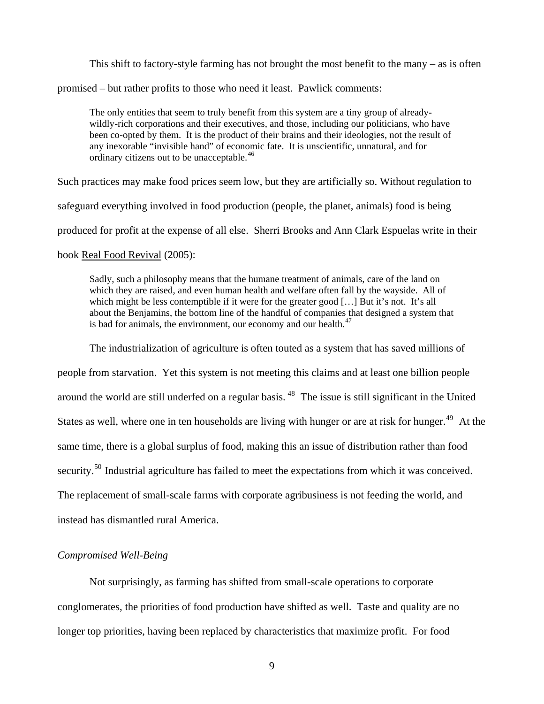<span id="page-13-0"></span>This shift to factory-style farming has not brought the most benefit to the many  $-$  as is often

promised – but rather profits to those who need it least. Pawlick comments:

The only entities that seem to truly benefit from this system are a tiny group of alreadywildly-rich corporations and their executives, and those, including our politicians, who have been co-opted by them. It is the product of their brains and their ideologies, not the result of any inexorable "invisible hand" of economic fate. It is unscientific, unnatural, and for ordinary citizens out to be unacceptable.<sup>[46](#page-80-0)</sup>

Such practices may make food prices seem low, but they are artificially so. Without regulation to

safeguard everything involved in food production (people, the planet, animals) food is being

produced for profit at the expense of all else. Sherri Brooks and Ann Clark Espuelas write in their

#### book Real Food Revival (2005):

Sadly, such a philosophy means that the humane treatment of animals, care of the land on which they are raised, and even human health and welfare often fall by the wayside. All of which might be less contemptible if it were for the greater good […] But it's not. It's all about the Benjamins, the bottom line of the handful of companies that designed a system that is bad for animals, the environment, our economy and our health.<sup>[47](#page-80-0)</sup>

The industrialization of agriculture is often touted as a system that has saved millions of

people from starvation. Yet this system is not meeting this claims and at least one billion people around the world are still underfed on a regular basis.<sup>[48](#page-80-0)</sup> The issue is still significant in the United States as well, where one in ten households are living with hunger or are at risk for hunger.<sup>[49](#page-80-0)</sup> At the same time, there is a global surplus of food, making this an issue of distribution rather than food security.<sup>[50](#page-80-0)</sup> Industrial agriculture has failed to meet the expectations from which it was conceived. The replacement of small-scale farms with corporate agribusiness is not feeding the world, and instead has dismantled rural America.

#### *Compromised Well-Being*

 Not surprisingly, as farming has shifted from small-scale operations to corporate conglomerates, the priorities of food production have shifted as well. Taste and quality are no longer top priorities, having been replaced by characteristics that maximize profit. For food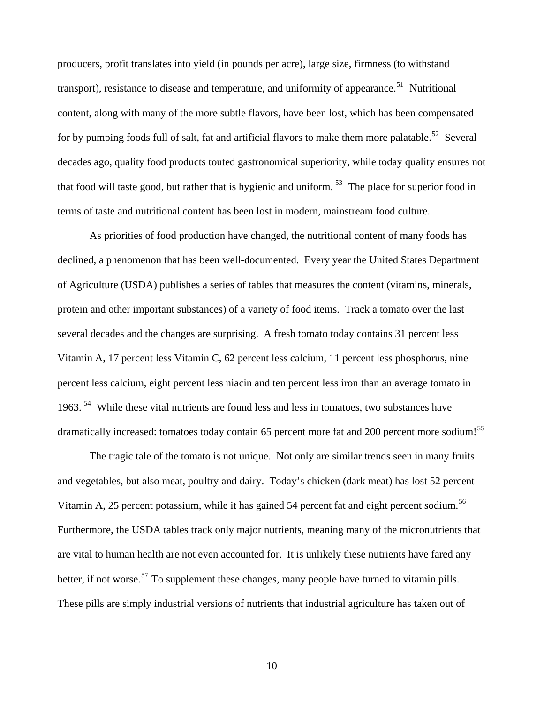producers, profit translates into yield (in pounds per acre), large size, firmness (to withstand transport), resistance to disease and temperature, and uniformity of appearance.<sup>[51](#page-80-0)</sup> Nutritional content, along with many of the more subtle flavors, have been lost, which has been compensated for by pumping foods full of salt, fat and artificial flavors to make them more palatable.<sup>[52](#page-80-0)</sup> Several decades ago, quality food products touted gastronomical superiority, while today quality ensures not that food will taste good, but rather that is hygienic and uniform.  $53$  The place for superior food in terms of taste and nutritional content has been lost in modern, mainstream food culture.

 As priorities of food production have changed, the nutritional content of many foods has declined, a phenomenon that has been well-documented. Every year the United States Department of Agriculture (USDA) publishes a series of tables that measures the content (vitamins, minerals, protein and other important substances) of a variety of food items. Track a tomato over the last several decades and the changes are surprising. A fresh tomato today contains 31 percent less Vitamin A, 17 percent less Vitamin C, 62 percent less calcium, 11 percent less phosphorus, nine percent less calcium, eight percent less niacin and ten percent less iron than an average tomato in 1963.<sup>[54](#page-80-0)</sup> While these vital nutrients are found less and less in tomatoes, two substances have dramatically increased: tomatoes today contain 65 percent more fat and 200 percent more sodium!<sup>[55](#page-80-0)</sup>

 The tragic tale of the tomato is not unique. Not only are similar trends seen in many fruits and vegetables, but also meat, poultry and dairy. Today's chicken (dark meat) has lost 52 percent Vitamin A, 25 percent potassium, while it has gained 54 percent fat and eight percent sodium.<sup>[56](#page-80-0)</sup> Furthermore, the USDA tables track only major nutrients, meaning many of the micronutrients that are vital to human health are not even accounted for. It is unlikely these nutrients have fared any better, if not worse.<sup>[57](#page-80-0)</sup> To supplement these changes, many people have turned to vitamin pills. These pills are simply industrial versions of nutrients that industrial agriculture has taken out of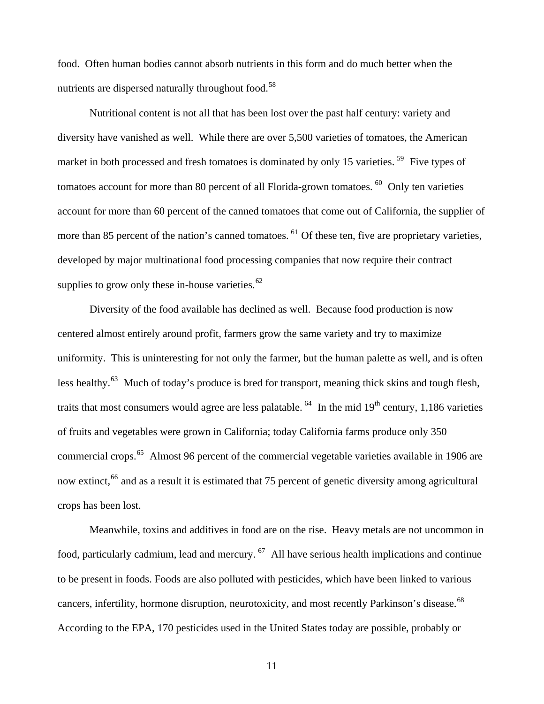food. Often human bodies cannot absorb nutrients in this form and do much better when the nutrients are dispersed naturally throughout food.<sup>[58](#page-80-0)</sup>

 Nutritional content is not all that has been lost over the past half century: variety and diversity have vanished as well. While there are over 5,500 varieties of tomatoes, the American market in both processed and fresh tomatoes is dominated by only 15 varieties.<sup>[59](#page-80-0)</sup> Five types of tomatoes account for more than 80 percent of all Florida-grown tomatoes.  $60$  Only ten varieties account for more than 60 percent of the canned tomatoes that come out of California, the supplier of more than 85 percent of the nation's canned tomatoes. <sup>[61](#page-80-0)</sup> Of these ten, five are proprietary varieties, developed by major multinational food processing companies that now require their contract supplies to grow only these in-house varieties. $62$ 

 Diversity of the food available has declined as well. Because food production is now centered almost entirely around profit, farmers grow the same variety and try to maximize uniformity. This is uninteresting for not only the farmer, but the human palette as well, and is often less healthy.<sup>[63](#page-81-0)</sup> Much of today's produce is bred for transport, meaning thick skins and tough flesh, traits that most consumers would agree are less palatable.  $^{64}$  $^{64}$  $^{64}$  In the mid 19<sup>th</sup> century, 1,186 varieties of fruits and vegetables were grown in California; today California farms produce only 350 commercial crops.<sup>[65](#page-81-0)</sup> Almost 96 percent of the commercial vegetable varieties available in 1906 are now extinct,<sup>[66](#page-81-0)</sup> and as a result it is estimated that 75 percent of genetic diversity among agricultural crops has been lost.

 Meanwhile, toxins and additives in food are on the rise. Heavy metals are not uncommon in food, particularly cadmium, lead and mercury.  $67$  All have serious health implications and continue to be present in foods. Foods are also polluted with pesticides, which have been linked to various cancers, infertility, hormone disruption, neurotoxicity, and most recently Parkinson's disease.<sup>[68](#page-81-0)</sup> According to the EPA, 170 pesticides used in the United States today are possible, probably or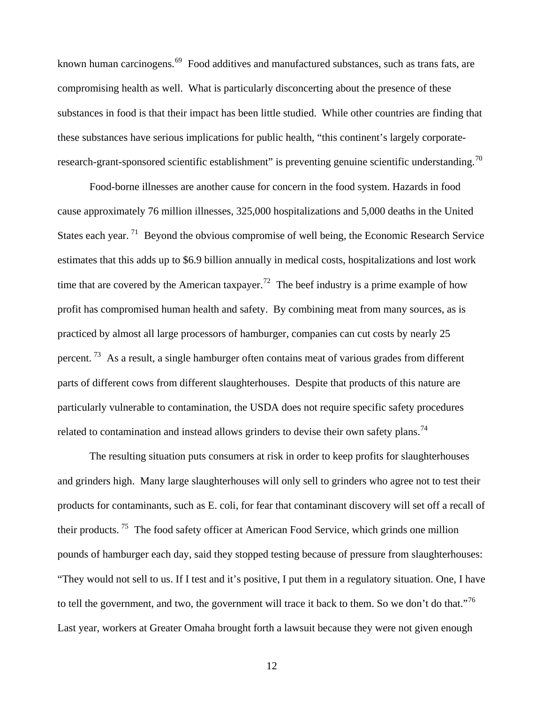known human carcinogens.<sup>[69](#page-81-0)</sup> Food additives and manufactured substances, such as trans fats, are compromising health as well. What is particularly disconcerting about the presence of these substances in food is that their impact has been little studied. While other countries are finding that these substances have serious implications for public health, "this continent's largely corporate-research-grant-sponsored scientific establishment" is preventing genuine scientific understanding.<sup>[70](#page-81-0)</sup>

 Food-borne illnesses are another cause for concern in the food system. Hazards in food cause approximately 76 million illnesses, 325,000 hospitalizations and 5,000 deaths in the United States each year.<sup>[71](#page-81-0)</sup> Beyond the obvious compromise of well being, the Economic Research Service estimates that this adds up to \$6.9 billion annually in medical costs, hospitalizations and lost work time that are covered by the American taxpayer.<sup>[72](#page-81-0)</sup> The beef industry is a prime example of how profit has compromised human health and safety. By combining meat from many sources, as is practiced by almost all large processors of hamburger, companies can cut costs by nearly 25 percent.<sup>[73](#page-81-0)</sup> As a result, a single hamburger often contains meat of various grades from different parts of different cows from different slaughterhouses. Despite that products of this nature are particularly vulnerable to contamination, the USDA does not require specific safety procedures related to contamination and instead allows grinders to devise their own safety plans.<sup>[74](#page-81-0)</sup>

 The resulting situation puts consumers at risk in order to keep profits for slaughterhouses and grinders high. Many large slaughterhouses will only sell to grinders who agree not to test their products for contaminants, such as E. coli, for fear that contaminant discovery will set off a recall of their products. [75](#page-81-0) The food safety officer at American Food Service, which grinds one million pounds of hamburger each day, said they stopped testing because of pressure from slaughterhouses: "They would not sell to us. If I test and it's positive, I put them in a regulatory situation. One, I have to tell the government, and two, the government will trace it back to them. So we don't do that."<sup>[76](#page-81-0)</sup> Last year, workers at Greater Omaha brought forth a lawsuit because they were not given enough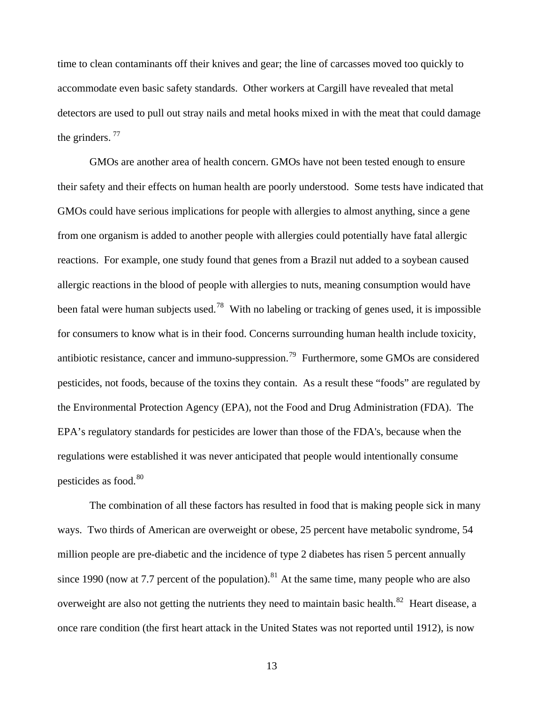time to clean contaminants off their knives and gear; the line of carcasses moved too quickly to accommodate even basic safety standards. Other workers at Cargill have revealed that metal detectors are used to pull out stray nails and metal hooks mixed in with the meat that could damage the grinders.  $77$ 

 GMOs are another area of health concern. GMOs have not been tested enough to ensure their safety and their effects on human health are poorly understood. Some tests have indicated that GMOs could have serious implications for people with allergies to almost anything, since a gene from one organism is added to another people with allergies could potentially have fatal allergic reactions. For example, one study found that genes from a Brazil nut added to a soybean caused allergic reactions in the blood of people with allergies to nuts, meaning consumption would have been fatal were human subjects used.<sup>[78](#page-81-0)</sup> With no labeling or tracking of genes used, it is impossible for consumers to know what is in their food. Concerns surrounding human health include toxicity, antibiotic resistance, cancer and immuno-suppression.<sup>[79](#page-81-0)</sup> Furthermore, some GMOs are considered pesticides, not foods, because of the toxins they contain. As a result these "foods" are regulated by the Environmental Protection Agency (EPA), not the Food and Drug Administration (FDA). The EPA's regulatory standards for pesticides are lower than those of the FDA's, because when the regulations were established it was never anticipated that people would intentionally consume pesticides as food.<sup>[80](#page-81-0)</sup>

 The combination of all these factors has resulted in food that is making people sick in many ways. Two thirds of American are overweight or obese, 25 percent have metabolic syndrome, 54 million people are pre-diabetic and the incidence of type 2 diabetes has risen 5 percent annually since 1990 (now at 7.7 percent of the population).<sup>[81](#page-81-0)</sup> At the same time, many people who are also overweight are also not getting the nutrients they need to maintain basic health.<sup>[82](#page-81-0)</sup> Heart disease, a once rare condition (the first heart attack in the United States was not reported until 1912), is now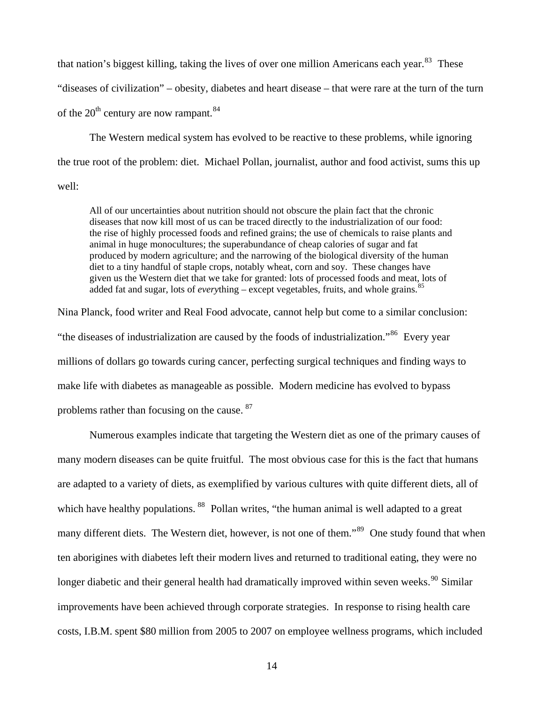that nation's biggest killing, taking the lives of over one million Americans each year.<sup>[83](#page-81-0)</sup> These "diseases of civilization" – obesity, diabetes and heart disease – that were rare at the turn of the turn of the  $20^{th}$  century are now rampant.<sup>[84](#page-81-0)</sup>

 The Western medical system has evolved to be reactive to these problems, while ignoring the true root of the problem: diet. Michael Pollan, journalist, author and food activist, sums this up well:

All of our uncertainties about nutrition should not obscure the plain fact that the chronic diseases that now kill most of us can be traced directly to the industrialization of our food: the rise of highly processed foods and refined grains; the use of chemicals to raise plants and animal in huge monocultures; the superabundance of cheap calories of sugar and fat produced by modern agriculture; and the narrowing of the biological diversity of the human diet to a tiny handful of staple crops, notably wheat, corn and soy. These changes have given us the Western diet that we take for granted: lots of processed foods and meat, lots of added fat and sugar, lots of *everything* – except vegetables, fruits, and whole grains.<sup>[85](#page-81-0)</sup>

Nina Planck, food writer and Real Food advocate, cannot help but come to a similar conclusion: "the diseases of industrialization are caused by the foods of industrialization."<sup>[86](#page-81-0)</sup> Every year millions of dollars go towards curing cancer, perfecting surgical techniques and finding ways to make life with diabetes as manageable as possible. Modern medicine has evolved to bypass problems rather than focusing on the cause. [87](#page-81-0)

 Numerous examples indicate that targeting the Western diet as one of the primary causes of many modern diseases can be quite fruitful. The most obvious case for this is the fact that humans are adapted to a variety of diets, as exemplified by various cultures with quite different diets, all of which have healthy populations. <sup>[88](#page-81-0)</sup> Pollan writes, "the human animal is well adapted to a great many different diets. The Western diet, however, is not one of them."<sup>[89](#page-81-0)</sup> One study found that when ten aborigines with diabetes left their modern lives and returned to traditional eating, they were no longer diabetic and their general health had dramatically improved within seven weeks.<sup>[90](#page-81-0)</sup> Similar improvements have been achieved through corporate strategies. In response to rising health care costs, I.B.M. spent \$80 million from 2005 to 2007 on employee wellness programs, which included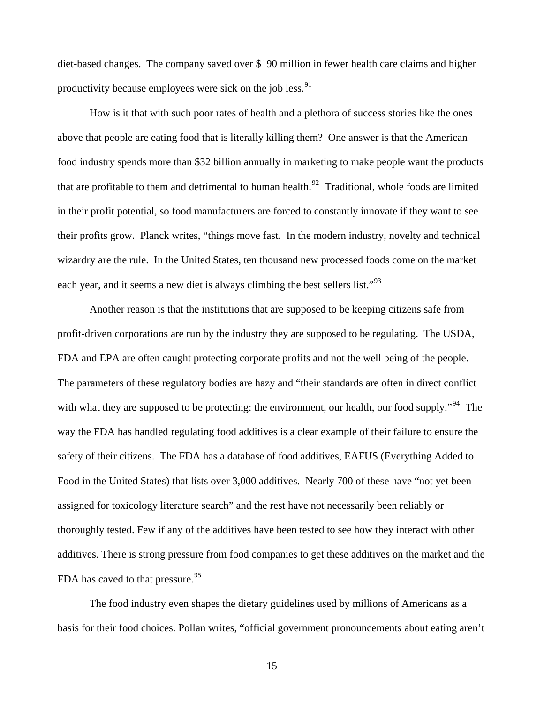diet-based changes. The company saved over \$190 million in fewer health care claims and higher productivity because employees were sick on the job less.  $91$ 

 How is it that with such poor rates of health and a plethora of success stories like the ones above that people are eating food that is literally killing them? One answer is that the American food industry spends more than \$32 billion annually in marketing to make people want the products that are profitable to them and detrimental to human health.<sup>[92](#page-81-0)</sup> Traditional, whole foods are limited in their profit potential, so food manufacturers are forced to constantly innovate if they want to see their profits grow. Planck writes, "things move fast. In the modern industry, novelty and technical wizardry are the rule. In the United States, ten thousand new processed foods come on the market each year, and it seems a new diet is always climbing the best sellers list."<sup>[93](#page-81-0)</sup>

 Another reason is that the institutions that are supposed to be keeping citizens safe from profit-driven corporations are run by the industry they are supposed to be regulating. The USDA, FDA and EPA are often caught protecting corporate profits and not the well being of the people. The parameters of these regulatory bodies are hazy and "their standards are often in direct conflict with what they are supposed to be protecting: the environment, our health, our food supply."<sup>[94](#page-81-0)</sup> The way the FDA has handled regulating food additives is a clear example of their failure to ensure the safety of their citizens. The FDA has a database of food additives, EAFUS (Everything Added to Food in the United States) that lists over 3,000 additives. Nearly 700 of these have "not yet been assigned for toxicology literature search" and the rest have not necessarily been reliably or thoroughly tested. Few if any of the additives have been tested to see how they interact with other additives. There is strong pressure from food companies to get these additives on the market and the FDA has caved to that pressure.<sup>[95](#page-81-0)</sup>

 The food industry even shapes the dietary guidelines used by millions of Americans as a basis for their food choices. Pollan writes, "official government pronouncements about eating aren't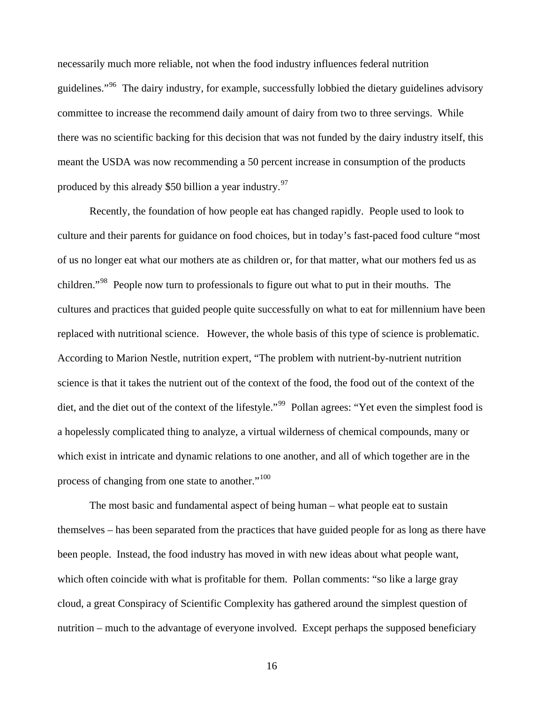necessarily much more reliable, not when the food industry influences federal nutrition guidelines."<sup>[96](#page-81-0)</sup> The dairy industry, for example, successfully lobbied the dietary guidelines advisory committee to increase the recommend daily amount of dairy from two to three servings. While there was no scientific backing for this decision that was not funded by the dairy industry itself, this meant the USDA was now recommending a 50 percent increase in consumption of the products produced by this already \$50 billion a year industry.  $97$ 

 Recently, the foundation of how people eat has changed rapidly. People used to look to culture and their parents for guidance on food choices, but in today's fast-paced food culture "most of us no longer eat what our mothers ate as children or, for that matter, what our mothers fed us as children."<sup>[98](#page-82-0)</sup> People now turn to professionals to figure out what to put in their mouths. The cultures and practices that guided people quite successfully on what to eat for millennium have been replaced with nutritional science. However, the whole basis of this type of science is problematic. According to Marion Nestle, nutrition expert, "The problem with nutrient-by-nutrient nutrition science is that it takes the nutrient out of the context of the food, the food out of the context of the diet, and the diet out of the context of the lifestyle."<sup>[99](#page-82-0)</sup> Pollan agrees: "Yet even the simplest food is a hopelessly complicated thing to analyze, a virtual wilderness of chemical compounds, many or which exist in intricate and dynamic relations to one another, and all of which together are in the process of changing from one state to another."<sup>[100](#page-82-0)</sup>

 The most basic and fundamental aspect of being human – what people eat to sustain themselves – has been separated from the practices that have guided people for as long as there have been people. Instead, the food industry has moved in with new ideas about what people want, which often coincide with what is profitable for them. Pollan comments: "so like a large gray cloud, a great Conspiracy of Scientific Complexity has gathered around the simplest question of nutrition – much to the advantage of everyone involved. Except perhaps the supposed beneficiary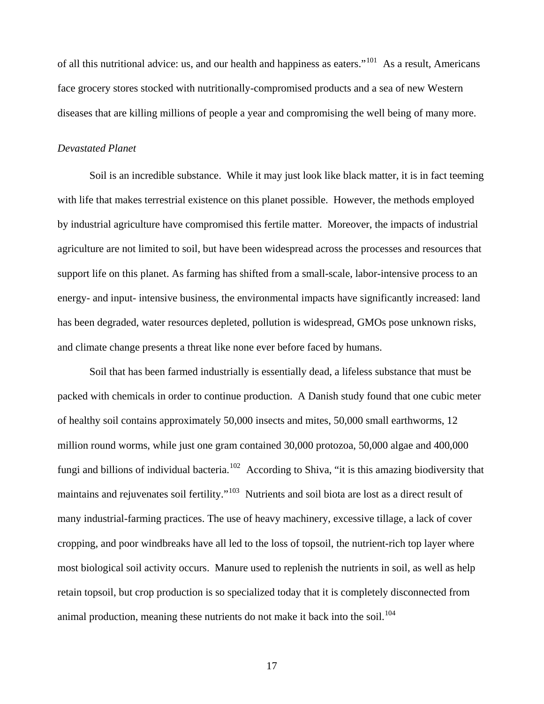<span id="page-21-0"></span>of all this nutritional advice: us, and our health and happiness as eaters."[101](#page-82-0) As a result, Americans face grocery stores stocked with nutritionally-compromised products and a sea of new Western diseases that are killing millions of people a year and compromising the well being of many more.

#### *Devastated Planet*

 Soil is an incredible substance. While it may just look like black matter, it is in fact teeming with life that makes terrestrial existence on this planet possible. However, the methods employed by industrial agriculture have compromised this fertile matter. Moreover, the impacts of industrial agriculture are not limited to soil, but have been widespread across the processes and resources that support life on this planet. As farming has shifted from a small-scale, labor-intensive process to an energy- and input- intensive business, the environmental impacts have significantly increased: land has been degraded, water resources depleted, pollution is widespread, GMOs pose unknown risks, and climate change presents a threat like none ever before faced by humans.

 Soil that has been farmed industrially is essentially dead, a lifeless substance that must be packed with chemicals in order to continue production. A Danish study found that one cubic meter of healthy soil contains approximately 50,000 insects and mites, 50,000 small earthworms, 12 million round worms, while just one gram contained 30,000 protozoa, 50,000 algae and 400,000 fungi and billions of individual bacteria.<sup>[102](#page-82-0)</sup> According to Shiva, "it is this amazing biodiversity that maintains and rejuvenates soil fertility."<sup>[103](#page-82-0)</sup> Nutrients and soil biota are lost as a direct result of many industrial-farming practices. The use of heavy machinery, excessive tillage, a lack of cover cropping, and poor windbreaks have all led to the loss of topsoil, the nutrient-rich top layer where most biological soil activity occurs. Manure used to replenish the nutrients in soil, as well as help retain topsoil, but crop production is so specialized today that it is completely disconnected from animal production, meaning these nutrients do not make it back into the soil.<sup>[104](#page-82-0)</sup>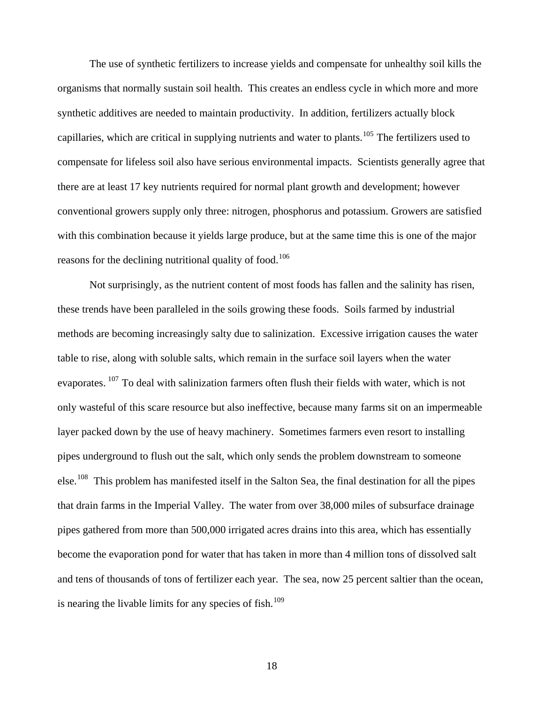The use of synthetic fertilizers to increase yields and compensate for unhealthy soil kills the organisms that normally sustain soil health. This creates an endless cycle in which more and more synthetic additives are needed to maintain productivity. In addition, fertilizers actually block capillaries, which are critical in supplying nutrients and water to plants.<sup>[105](#page-82-0)</sup> The fertilizers used to compensate for lifeless soil also have serious environmental impacts. Scientists generally agree that there are at least 17 key nutrients required for normal plant growth and development; however conventional growers supply only three: nitrogen, phosphorus and potassium. Growers are satisfied with this combination because it yields large produce, but at the same time this is one of the major reasons for the declining nutritional quality of food.<sup>[106](#page-82-0)</sup>

 Not surprisingly, as the nutrient content of most foods has fallen and the salinity has risen, these trends have been paralleled in the soils growing these foods. Soils farmed by industrial methods are becoming increasingly salty due to salinization. Excessive irrigation causes the water table to rise, along with soluble salts, which remain in the surface soil layers when the water evaporates. <sup>[107](#page-82-0)</sup> To deal with salinization farmers often flush their fields with water, which is not only wasteful of this scare resource but also ineffective, because many farms sit on an impermeable layer packed down by the use of heavy machinery. Sometimes farmers even resort to installing pipes underground to flush out the salt, which only sends the problem downstream to someone else.[108](#page-82-0) This problem has manifested itself in the Salton Sea, the final destination for all the pipes that drain farms in the Imperial Valley. The water from over 38,000 miles of subsurface draina ge pipes gathered from more than 500,000 irrigated acres drains into this area, which has essentially become the evaporation pond for water that has taken in more than 4 million tons of dissolved salt and tens of thousands of tons of fertilizer each year. The sea, now 25 percent saltier than the o cean, is nearing the livable limits for any species of fish.<sup>[10](#page-82-0)9</sup>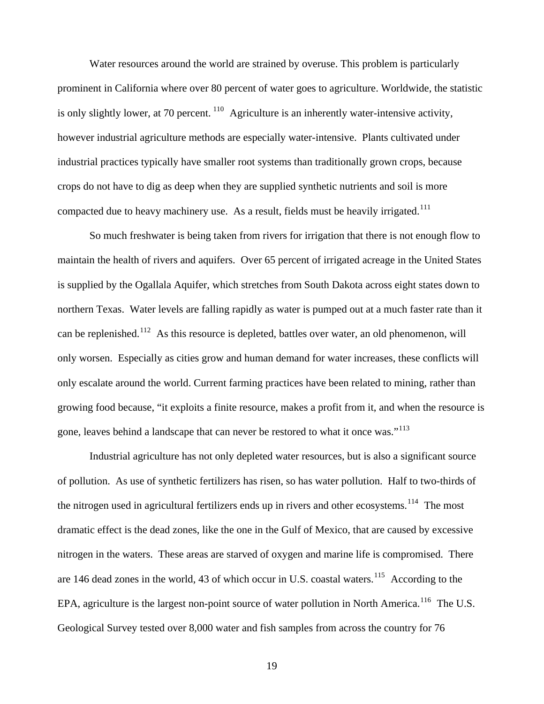Water resources around the world are strained by overuse. This problem is particularly prominent in California where over 80 percent of water goes to agriculture. Worldwide, the statistic is only slightly lower, at 70 percent.  $\frac{110}{9}$  $\frac{110}{9}$  $\frac{110}{9}$  Agriculture is an inherently water-intensive activity, however industrial agriculture methods are especially water-intensive. Plants cultivated under industrial practices typically have smaller root systems than traditionally grown crops, because crops do not have to dig as deep when they are supplied synthetic nutrients and soil is more compacted due to heavy machinery use. As a result, fields must be heavily irrigated.<sup>[111](#page-82-0)</sup>

 So much freshwater is being taken from rivers for irrigation that there is not enough flow to maintain the health of rivers and aquifers. Over 65 percent of irrigated acreage in the United States is supplied by the Ogallala Aquifer, which stretches from South Dakota across eight states down to northern Texas. Water levels are falling rapidly as water is pumped out at a much faster rate than it can be replenished.<sup>[112](#page-82-0)</sup> As this resource is depleted, battles over water, an old phenomenon, will only worsen. Especially as cities grow and human demand for water increases, these conflicts will only escalate around the world. Current farming practices have been related to mining, rather than growing food because, "it exploits a finite resource, makes a profit from it, and when the resource is gone, leaves behind a landscape that can never be restored to what it once was."<sup>[113](#page-82-0)</sup>

 Industrial agriculture has not only depleted water resources, but is also a significant source of pollution. As use of synthetic fertilizers has risen, so has water pollution. Half to two-thirds of the nitrogen used in agricultural fertilizers ends up in rivers and other ecosystems.<sup>[114](#page-82-0)</sup> The most dramatic effect is the dead zones, like the one in the Gulf of Mexico, that are caused by excessive nitrogen in the waters. These areas are starved of oxygen and marine life is compromised. There are 146 dead zones in the world, 43 of which occur in U.S. coastal waters.<sup>[115](#page-82-0)</sup> According to the EPA, agriculture is the largest non-point source of water pollution in North America.<sup>[116](#page-82-0)</sup> The U.S. Geological Survey tested over 8,000 water and fish samples from across the country for 76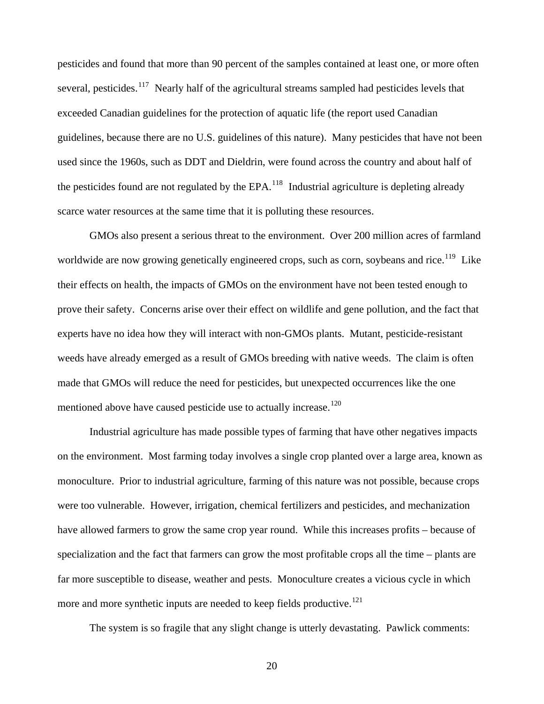pesticides and found that more than 90 percent of the samples contained at least one, or more often several, pesticides.<sup>[117](#page-82-0)</sup> Nearly half of the agricultural streams sampled had pesticides levels that exceeded Canadian guidelines for the protection of aquatic life (the report used Canadian guidelines, because there are no U.S. guidelines of this nature). Many pesticides that have not been used since the 1960s, such as DDT and Dieldrin, were found across the country and about half of the pesticides found are not regulated by the  $EPA$ <sup>[118](#page-82-0)</sup>. Industrial agriculture is depleting already scarce water resources at the same time that it is polluting these resources.

 GMOs also present a serious threat to the environment. Over 200 million acres of farmland worldwide are now growing genetically engineered crops, such as corn, soybeans and rice.<sup>[119](#page-82-0)</sup> Like their effects on health, the impacts of GMOs on the environment have not been tested enough to prove their safety. Concerns arise over their effect on wildlife and gene pollution, and the fact that experts have no idea how they will interact with non-GMOs plants. Mutant, pesticide-resistant weeds have already emerged as a result of GMOs breeding with native weeds. The claim is often made that GMOs will reduce the need for pesticides, but unexpected occurrences like the one mentioned above have caused pesticide use to actually increase.<sup>[120](#page-82-0)</sup>

 Industrial agriculture has made possible types of farming that have other negatives impacts on the environment. Most farming today involves a single crop planted over a large area, known as monoculture. Prior to industrial agriculture, farming of this nature was not possible, because crops were too vulnerable. However, irrigation, chemical fertilizers and pesticides, and mechanization have allowed farmers to grow the same crop year round. While this increases profits – because of specialization and the fact that farmers can grow the most profitable crops all the time – plants are far more susceptible to disease, weather and pests. Monoculture creates a vicious cycle in which more and more synthetic inputs are needed to keep fields productive.<sup>[121](#page-82-0)</sup>

The system is so fragile that any slight change is utterly devastating. Pawlick comments: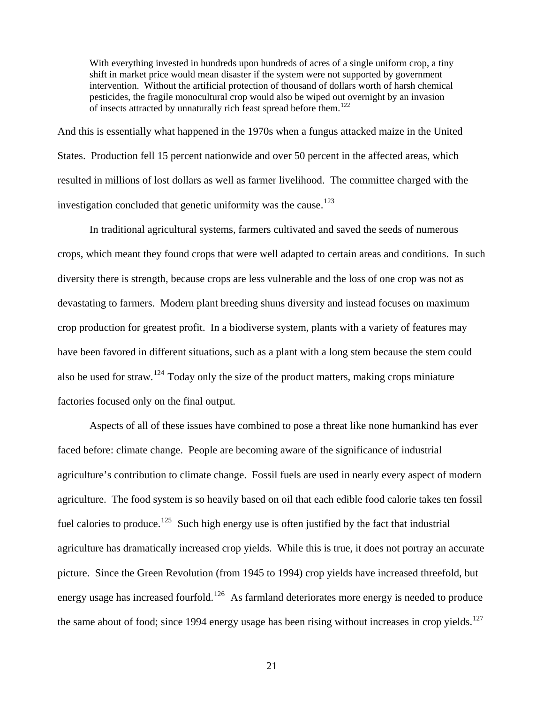With everything invested in hundreds upon hundreds of acres of a single uniform crop, a tiny shift in market price would mean disaster if the system were not supported by government intervention. Without the artificial protection of thousand of dollars worth of harsh chemical pesticides, the fragile monocultural crop would also be wiped out overnight by an invasion of insects attracted by unnaturally rich feast spread before them.<sup>[122](#page-82-0)</sup>

And this is essentially what happened in the 1970s when a fungus attacked maize in the United States. Production fell 15 percent nationwide and over 50 percent in the affected areas, which resulted in millions of lost dollars as well as farmer livelihood. The committee charged with the investigation concluded that genetic uniformity was the cause.<sup>[123](#page-82-0)</sup>

 In traditional agricultural systems, farmers cultivated and saved the seeds of numerous crops, which meant they found crops that were well adapted to certain areas and conditions. In such diversity there is strength, because crops are less vulnerable and the loss of one crop was not as devastating to farmers. Modern plant breeding shuns diversity and instead focuses on maximum crop production for greatest profit. In a biodiverse system, plants with a variety of features may have been favored in different situations, such as a plant with a long stem because the stem could also be used for straw.<sup>[124](#page-82-0)</sup> Today only the size of the product matters, making crops miniature factories focused only on the final output.

 Aspects of all of these issues have combined to pose a threat like none humankind has ever faced before: climate change. People are becoming aware of the significance of industrial agriculture's contribution to climate change. Fossil fuels are used in nearly every aspect of modern agriculture. The food system is so heavily based on oil that each edible food calorie takes ten fossil fuel calories to produce.<sup>[125](#page-82-0)</sup> Such high energy use is often justified by the fact that industrial agriculture has dramatically increased crop yields. While this is true, it does not portray an accurate picture. Since the Green Revolution (from 1945 to 1994) crop yields have increased threefold, but energy usage has increased fourfold.<sup>[126](#page-82-0)</sup> As farmland deteriorates more energy is needed to produce the same about of food; since 1994 energy usage has been rising without increases in crop yields.<sup>[127](#page-82-0)</sup>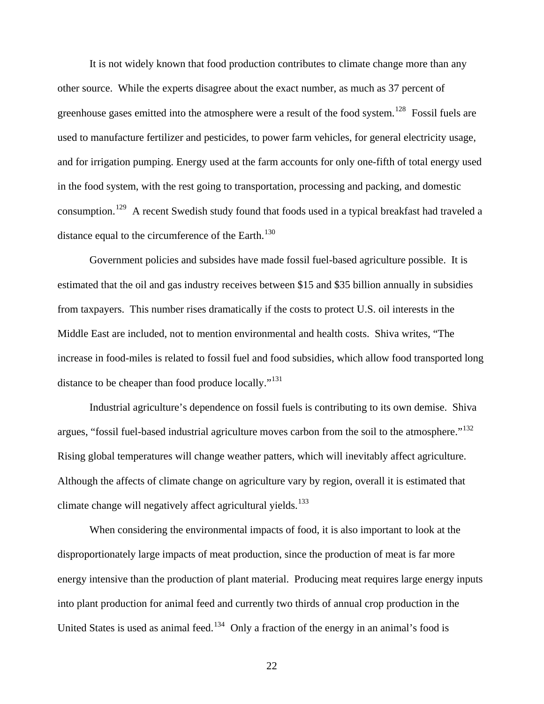It is not widely known that food production contributes to climate change more than any other source. While the experts disagree about the exact number, as much as 37 percent of greenhouse gases emitted into the atmosphere were a result of the food system.<sup>[128](#page-82-0)</sup> Fossil fuels are used to manufacture fertilizer and pesticides, to power farm vehicles, for general electricity usage, and for irrigation pumping. Energy used at the farm accounts for only one-fifth of total energy used in the food system, with the rest going to transportation, processing and packing, and domestic consumption.<sup>[129](#page-82-0)</sup> A recent Swedish study found that foods used in a typical breakfast had traveled a distance equal to the circumference of the Earth.<sup>[130](#page-82-0)</sup>

 Government policies and subsides have made fossil fuel-based agriculture possible. It is estimated that the oil and gas industry receives between \$15 and \$35 billion annually in subsidies from taxpayers. This number rises dramatically if the costs to protect U.S. oil interests in the Middle East are included, not to mention environmental and health costs. Shiva writes, "The increase in food-miles is related to fossil fuel and food subsidies, which allow food transported long distance to be cheaper than food produce locally."<sup>[131](#page-82-0)</sup>

 Industrial agriculture's dependence on fossil fuels is contributing to its own demise. Shiva argues, "fossil fuel-based industrial agriculture moves carbon from the soil to the atmosphere."<sup>[132](#page-82-0)</sup> Rising global temperatures will change weather patters, which will inevitably affect agriculture. Although the affects of climate change on agriculture vary by region, overall it is estimated that climate change will negatively affect agricultural yields.<sup>[133](#page-82-0)</sup>

 When considering the environmental impacts of food, it is also important to look at the disproportionately large impacts of meat production, since the production of meat is far more energy intensive than the production of plant material. Producing meat requires large energy inputs into plant production for animal feed and currently two thirds of annual crop production in the United States is used as animal feed.<sup>[134](#page-82-0)</sup> Only a fraction of the energy in an animal's food is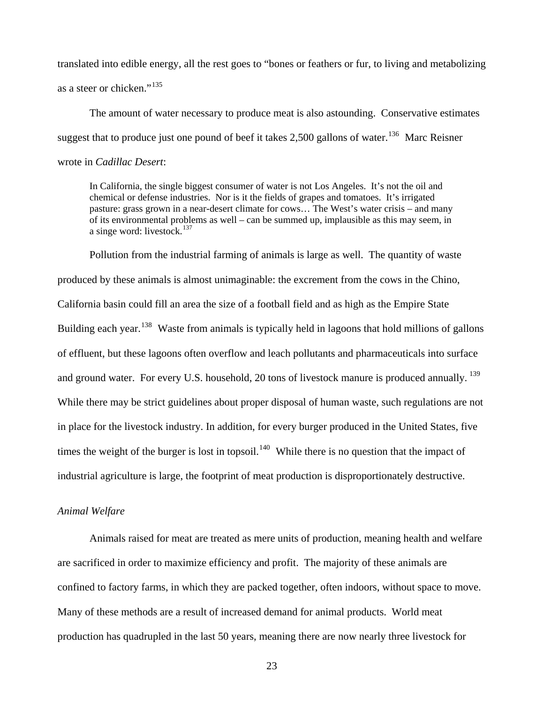<span id="page-27-0"></span>translated into edible energy, all the rest goes to "bones or feathers or fur, to living and metabolizing as a steer or chicken."<sup>[135](#page-83-0)</sup>

 The amount of water necessary to produce meat is also astounding. Conservative estimates suggest that to produce just one pound of beef it takes 2,500 gallons of water.<sup>[136](#page-83-0)</sup> Marc Reisner wrote in *Cadillac Desert*:

In California, the single biggest consumer of water is not Los Angeles. It's not the oil and chemical or defense industries. Nor is it the fields of grapes and tomatoes. It's irrigated pasture: grass grown in a near-desert climate for cows… The West's water crisis – and many of its environmental problems as well – can be summed up, implausible as this may seem, in a singe word: livestock. $137$ 

 Pollution from the industrial farming of animals is large as well. The quantity of waste produced by these animals is almost unimaginable: the excrement from the cows in the Chino, California basin could fill an area the size of a football field and as high as the Empire State Building each year.<sup>[138](#page-83-0)</sup> Waste from animals is typically held in lagoons that hold millions of gallons of effluent, but these lagoons often overflow and leach pollutants and pharmaceuticals into surface and ground water. For every U.S. household, 20 tons of livestock manure is produced annually. <sup>[139](#page-83-0)</sup> While there may be strict guidelines about proper disposal of human waste, such regulations are not in place for the livestock industry. In addition, for every burger produced in the United States, five times the weight of the burger is lost in topsoil.<sup>[140](#page-83-0)</sup> While there is no question that the impact of industrial agriculture is large, the footprint of meat production is disproportionately destructive.

#### *Animal Welfare*

 Animals raised for meat are treated as mere units of production, meaning health and welfare are sacrificed in order to maximize efficiency and profit. The majority of these animals are confined to factory farms, in which they are packed together, often indoors, without space to move. Many of these methods are a result of increased demand for animal products. World meat production has quadrupled in the last 50 years, meaning there are now nearly three livestock for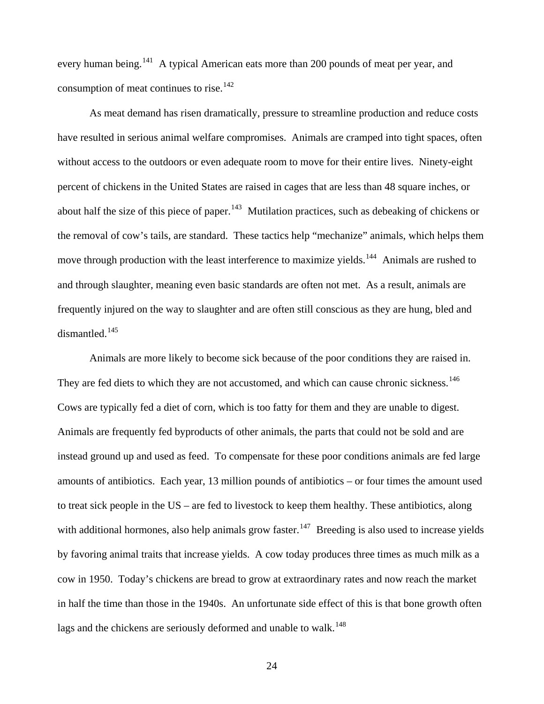every human being.<sup>[141](#page-83-0)</sup> A typical American eats more than 200 pounds of meat per year, and consumption of meat continues to rise.<sup>[142](#page-83-0)</sup>

 As meat demand has risen dramatically, pressure to streamline production and reduce costs have resulted in serious animal welfare compromises. Animals are cramped into tight spaces, often without access to the outdoors or even adequate room to move for their entire lives. Ninety-eight percent of chickens in the United States are raised in cages that are less than 48 square inches, or about half the size of this piece of paper.<sup>[143](#page-83-0)</sup> Mutilation practices, such as debeaking of chickens or the removal of cow's tails, are standard. These tactics help "mechanize" animals, which helps them move through production with the least interference to maximize yields.<sup>[144](#page-83-0)</sup> Animals are rushed to and through slaughter, meaning even basic standards are often not met. As a result, animals are frequently injured on the way to slaughter and are often still conscious as they are hung, bled and dismantled.[145](#page-83-0)

 Animals are more likely to become sick because of the poor conditions they are raised in. They are fed diets to which they are not accustomed, and which can cause chronic sickness.<sup>[146](#page-83-0)</sup> Cows are typically fed a diet of corn, which is too fatty for them and they are unable to digest. Animals are frequently fed byproducts of other animals, the parts that could not be sold and are instead ground up and used as feed. To compensate for these poor conditions animals are fed large amounts of antibiotics. Each year, 13 million pounds of antibiotics – or four times the amount used to treat sick people in the US – are fed to livestock to keep them healthy. These antibiotics, along with additional hormones, also help animals grow faster.<sup>[147](#page-83-0)</sup> Breeding is also used to increase yields by favoring animal traits that increase yields. A cow today produces three times as much milk as a cow in 1950. Today's chickens are bread to grow at extraordinary rates and now reach the market in half the time than those in the 1940s. An unfortunate side effect of this is that bone growth often lags and the chickens are seriously deformed and unable to walk.<sup>[148](#page-83-0)</sup>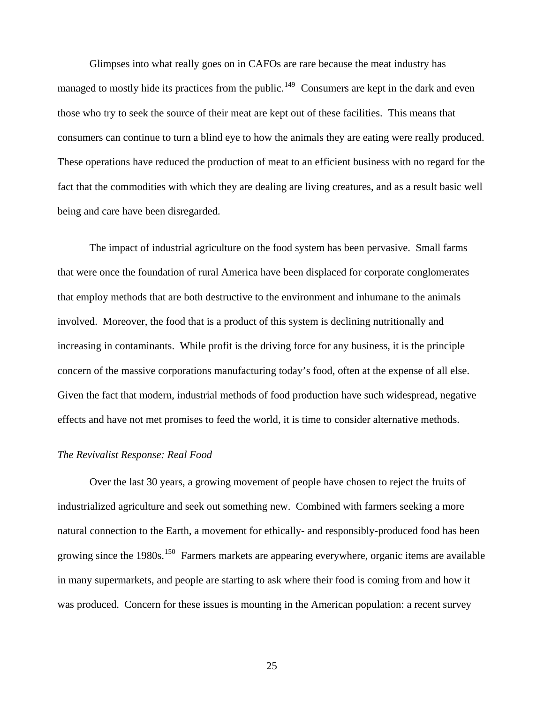<span id="page-29-0"></span> Glimpses into what really goes on in CAFOs are rare because the meat industry has managed to mostly hide its practices from the public.<sup>[149](#page-83-0)</sup> Consumers are kept in the dark and even those who try to seek the source of their meat are kept out of these facilities. This means that consumers can continue to turn a blind eye to how the animals they are eating were really produced. These operations have reduced the production of meat to an efficient business with no regard for the fact that the commodities with which they are dealing are living creatures, and as a result basic well being and care have been disregarded.

The impact of industrial agriculture on the food system has been pervasive. Small farms that were once the foundation of rural America have been displaced for corporate conglomerates that employ methods that are both destructive to the environment and inhumane to the animals involved. Moreover, the food that is a product of this system is declining nutritionally and increasing in contaminants. While profit is the driving force for any business, it is the principle concern of the massive corporations manufacturing today's food, often at the expense of all else. Given the fact that modern, industrial methods of food production have such widespread, negative effects and have not met promises to feed the world, it is time to consider alternative methods.

#### *The Revivalist Response: Real Food*

 Over the last 30 years, a growing movement of people have chosen to reject the fruits of industrialized agriculture and seek out something new. Combined with farmers seeking a more natural connection to the Earth, a movement for ethically- and responsibly-produced food has been growing since the  $1980s$ <sup>[150](#page-83-0)</sup> Farmers markets are appearing everywhere, organic items are available in many supermarkets, and people are starting to ask where their food is coming from and how it was produced. Concern for these issues is mounting in the American population: a recent survey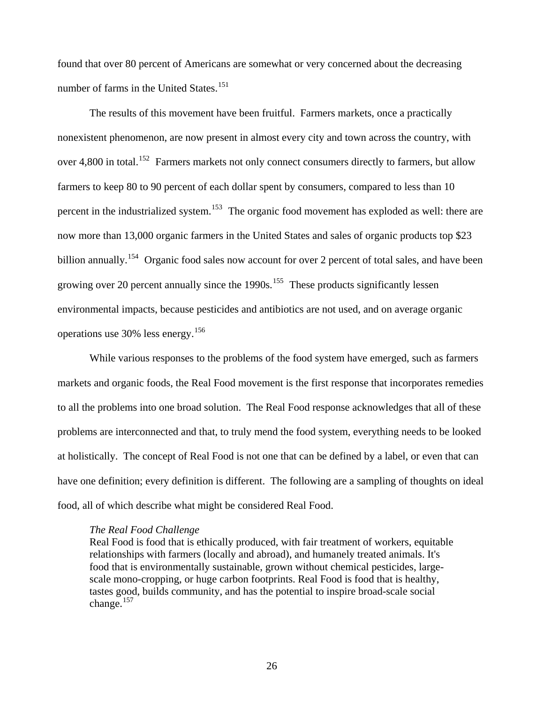found that over 80 percent of Americans are somewhat or very concerned about the decreasing number of farms in the United States.<sup>[151](#page-83-0)</sup>

 The results of this movement have been fruitful. Farmers markets, once a practically nonexistent phenomenon, are now present in almost every city and town across the country, with over 4,800 in total.<sup>[152](#page-83-0)</sup> Farmers markets not only connect consumers directly to farmers, but allow farmers to keep 80 to 90 percent of each dollar spent by consumers, compared to less than 10 percent in the industrialized system.<sup>[153](#page-83-0)</sup> The organic food movement has exploded as well: there are now more than 13,000 organic farmers in the United States and sales of organic products top \$23 billion annually.<sup>[154](#page-83-0)</sup> Organic food sales now account for over 2 percent of total sales, and have been growing over 20 percent annually since the  $1990s$ .<sup>[155](#page-83-0)</sup> These products significantly lessen environmental impacts, because pesticides and antibiotics are not used, and on average organic operations use 30% less energy.[156](#page-83-0)

 While various responses to the problems of the food system have emerged, such as farmers markets and organic foods, the Real Food movement is the first response that incorporates remedies to all the problems into one broad solution. The Real Food response acknowledges that all of these problems are interconnected and that, to truly mend the food system, everything needs to be looked at holistically. The concept of Real Food is not one that can be defined by a label, or even that can have one definition; every definition is different. The following are a sampling of thoughts on ideal food, all of which describe what might be considered Real Food.

#### *The Real Food Challenge*

Real Food is food that is ethically produced, with fair treatment of workers, equitable relationships with farmers (locally and abroad), and humanely treated animals. It's food that is environmentally sustainable, grown without chemical pesticides, largescale mono-cropping, or huge carbon footprints. Real Food is food that is healthy, tastes good, builds community, and has the potential to inspire broad-scale social change. $157$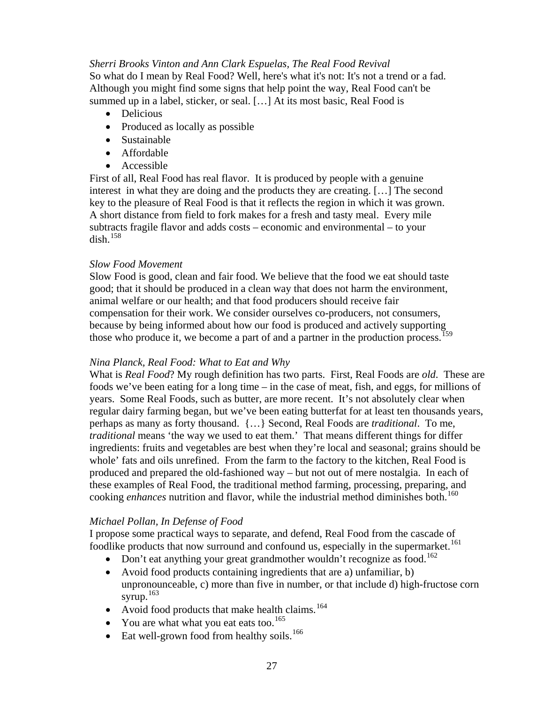#### *Sherri Brooks Vinton and Ann Clark Espuelas, The Real Food Revival*

So what do I mean by Real Food? Well, here's what it's not: It's not a trend or a fad. Although you might find some signs that help point the way, Real Food can't be summed up in a label, sticker, or seal. […] At its most basic, Real Food is

- Delicious
- Produced as locally as possible
- Sustainable
- Affordable
- Accessible

First of all, Real Food has real flavor. It is produced by people with a genuine interest in what they are doing and the products they are creating. […] The second key to the pleasure of Real Food is that it reflects the region in which it was grown. A short distance from field to fork makes for a fresh and tasty meal. Every mile subtracts fragile flavor and adds costs – economic and environmental – to your dish $^{158}$  $^{158}$  $^{158}$ 

## *Slow Food Movement*

Slow Food is good, clean and fair food. We believe that the food we eat should taste good; that it should be produced in a clean way that does not harm the environment, animal welfare or our health; and that food producers should receive fair compensation for their work. We consider ourselves co-producers, not consumers, because by being informed about how our food is produced and actively supporting those who produce it, we become a part of and a partner in the production process.<sup>[159](#page-83-0)</sup>

## *Nina Planck, Real Food: What to Eat and Why*

What is *Real Food*? My rough definition has two parts. First, Real Foods are *old*. These are foods we've been eating for a long time – in the case of meat, fish, and eggs, for millions of years. Some Real Foods, such as butter, are more recent. It's not absolutely clear when regular dairy farming began, but we've been eating butterfat for at least ten thousands years, perhaps as many as forty thousand. {…} Second, Real Foods are *traditional*. To me, *traditional* means 'the way we used to eat them.' That means different things for differ ingredients: fruits and vegetables are best when they're local and seasonal; grains should be whole' fats and oils unrefined. From the farm to the factory to the kitchen, Real Food is produced and prepared the old-fashioned way – but not out of mere nostalgia. In each of these examples of Real Food, the traditional method farming, processing, preparing, and cooking *enhances* nutrition and flavor, while the industrial method diminishes both.<sup>[160](#page-83-0)</sup>

## *Michael Pollan, In Defense of Food*

I propose some practical ways to separate, and defend, Real Food from the cascade of foodlike products that now surround and confound us, especially in the supermarket.<sup>[161](#page-83-0)</sup>

- Don't eat anything your great grandmother wouldn't recognize as food.<sup>[162](#page-83-0)</sup>
- Avoid food products containing ingredients that are a) unfamiliar, b) unpronounceable, c) more than five in number, or that include d) high-fructose corn syrup. $163$
- Avoid food products that make health claims.<sup>[164](#page-83-0)</sup>
- You are what what you eat eats too.<sup>[165](#page-83-0)</sup>
- Eat well-grown food from healthy soils.<sup>[166](#page-83-0)</sup>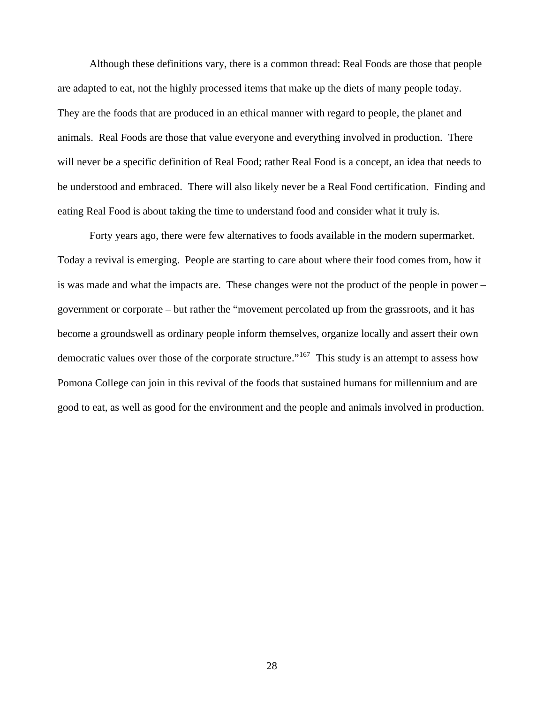Although these definitions vary, there is a common thread: Real Foods are those that people are adapted to eat, not the highly processed items that make up the diets of many people today. They are the foods that are produced in an ethical manner with regard to people, the planet and animals. Real Foods are those that value everyone and everything involved in production. There will never be a specific definition of Real Food; rather Real Food is a concept, an idea that needs to be understood and embraced. There will also likely never be a Real Food certification. Finding and eating Real Food is about taking the time to understand food and consider what it truly is.

 Forty years ago, there were few alternatives to foods available in the modern supermarket. Today a revival is emerging. People are starting to care about where their food comes from, how it is was made and what the impacts are. These changes were not the product of the people in power – government or corporate – but rather the "movement percolated up from the grassroots, and it has become a groundswell as ordinary people inform themselves, organize locally and assert their own democratic values over those of the corporate structure."<sup>[167](#page-84-0)</sup> This study is an attempt to assess how Pomona College can join in this revival of the foods that sustained humans for millennium and are good to eat, as well as good for the environment and the people and animals involved in production.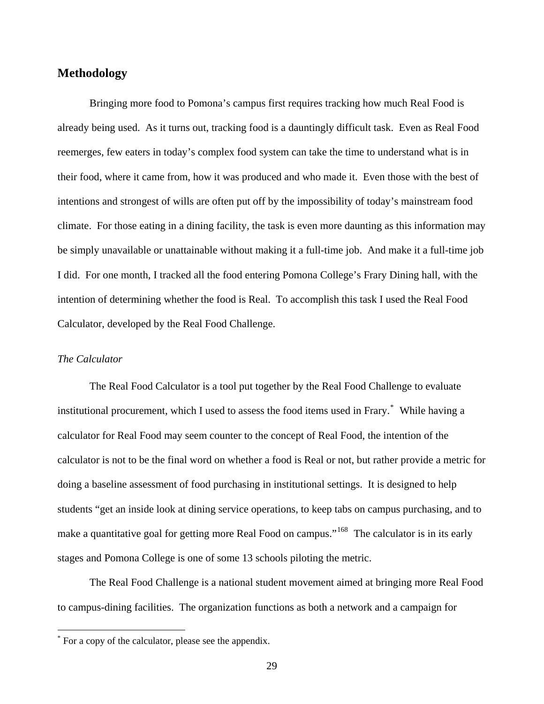## <span id="page-33-0"></span>**Methodology**

 Bringing more food to Pomona's campus first requires tracking how much Real Food is already being used. As it turns out, tracking food is a dauntingly difficult task. Even as Real Food reemerges, few eaters in today's complex food system can take the time to understand what is in their food, where it came from, how it was produced and who made it. Even those with the best of intentions and strongest of wills are often put off by the impossibility of today's mainstream food climate. For those eating in a dining facility, the task is even more daunting as this information may be simply unavailable or unattainable without making it a full-time job. And make it a full-time job I did. For one month, I tracked all the food entering Pomona College's Frary Dining hall, with the intention of determining whether the food is Real. To accomplish this task I used the Real Food Calculator, developed by the Real Food Challenge.

#### *The Calculator*

 $\overline{a}$ 

 The Real Food Calculator is a tool put together by the Real Food Challenge to evaluate institutional procurement, which I used to assess the food items used in Frary.[\\*](#page-33-1) While having a calculator for Real Food may seem counter to the concept of Real Food, the intention of the calculator is not to be the final word on whether a food is Real or not, but rather provide a metric for doing a baseline assessment of food purchasing in institutional settings. It is designed to help students "get an inside look at dining service operations, to keep tabs on campus purchasing, and to make a quantitative goal for getting more Real Food on campus."<sup>[168](#page-84-1)</sup> The calculator is in its early stages and Pomona College is one of some 13 schools piloting the metric.

 The Real Food Challenge is a national student movement aimed at bringing more Real Food to campus-dining facilities. The organization functions as both a network and a campaign for

<span id="page-33-1"></span><sup>\*</sup> For a copy of the calculator, please see the appendix.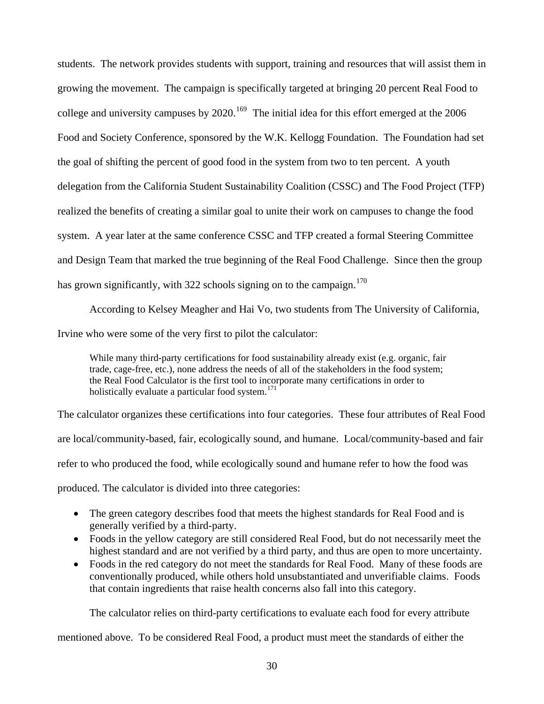students. The network provides students with support, training and resources that will assist them in growing the movement. The campaign is specifically targeted at bringing 20 percent Real Food to college and university campuses by  $2020$ .<sup>[169](#page-84-1)</sup> The initial idea for this effort emerged at the  $2006$ Food and Society Conference, sponsored by the W.K. Kellogg Foundation. The Foundation had set the goal of shifting the percent of good food in the system from two to ten percent. A youth delegation from the California Student Sustainability Coalition (CSSC) and The Food Project (TFP) realized the benefits of creating a similar goal to unite their work on campuses to change the food system. A year later at the same conference CSSC and TFP created a formal Steering Committee and Design Team that marked the true beginning of the Real Food Challenge. Since then the group has grown significantly, with 322 schools signing on to the campaign.<sup>[170](#page-84-1)</sup>

 According to Kelsey Meagher and Hai Vo, two students from The University of California, Irvine who were some of the very first to pilot the calculator:

While many third-party certifications for food sustainability already exist (e.g. organic, fair trade, cage-free, etc.), none address the needs of all of the stakeholders in the food system; the Real Food Calculator is the first tool to incorporate many certifications in order to holistically evaluate a particular food system.<sup>[171](#page-84-1)</sup>

The calculator organizes these certifications into four categories. These four attributes of Real Food are local/community-based, fair, ecologically sound, and humane. Local/community-based and fair refer to who produced the food, while ecologically sound and humane refer to how the food was produced. The calculator is divided into three categories:

- The green category describes food that meets the highest standards for Real Food and is generally verified by a third-party.
- Foods in the yellow category are still considered Real Food, but do not necessarily meet the highest standard and are not verified by a third party, and thus are open to more uncertainty.
- Foods in the red category do not meet the standards for Real Food. Many of these foods are conventionally produced, while others hold unsubstantiated and unverifiable claims. Foods that contain ingredients that raise health concerns also fall into this category.

The calculator relies on third-party certifications to evaluate each food for every attribute

mentioned above. To be considered Real Food, a product must meet the standards of either the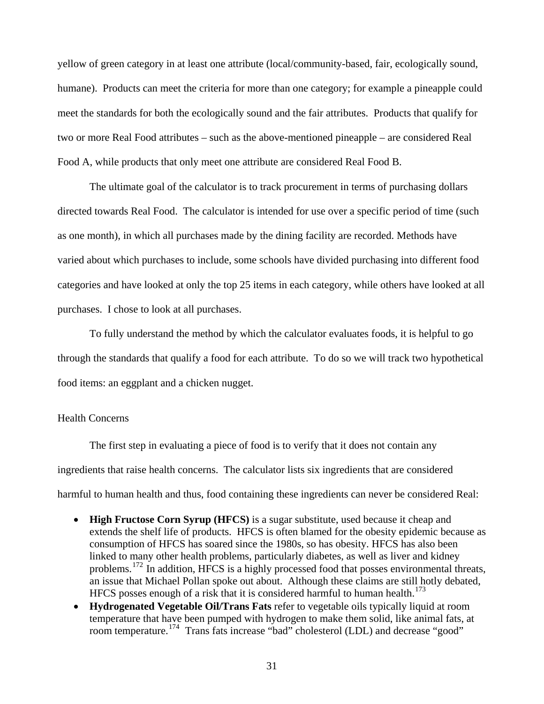<span id="page-35-0"></span>yellow of green category in at least one attribute (local/community-based, fair, ecologically sound, humane). Products can meet the criteria for more than one category; for example a pineapple could meet the standards for both the ecologically sound and the fair attributes. Products that qualify for two or more Real Food attributes – such as the above-mentioned pineapple – are considered Real Food A, while products that only meet one attribute are considered Real Food B.

 The ultimate goal of the calculator is to track procurement in terms of purchasing dollars directed towards Real Food. The calculator is intended for use over a specific period of time (such as one month), in which all purchases made by the dining facility are recorded. Methods have varied about which purchases to include, some schools have divided purchasing into different food categories and have looked at only the top 25 items in each category, while others have looked at all purchases. I chose to look at all purchases.

 To fully understand the method by which the calculator evaluates foods, it is helpful to go through the standards that qualify a food for each attribute. To do so we will track two hypothetical food items: an eggplant and a chicken nugget.

#### Health Concerns

 The first step in evaluating a piece of food is to verify that it does not contain any ingredients that raise health concerns. The calculator lists six ingredients that are considered harmful to human health and thus, food containing these ingredients can never be considered Real:

- **High Fructose Corn Syrup (HFCS)** is a sugar substitute, used because it cheap and extends the shelf life of products. HFCS is often blamed for the obesity epidemic because as consumption of HFCS has soared since the 1980s, so has obesity. HFCS has also been linked to many other health problems, particularly diabetes, as well as liver and kidney problems.[172](#page-84-1) In addition, HFCS is a highly processed food that posses environmental threats, an issue that Michael Pollan spoke out about. Although these claims are still hotly debated, HFCS posses enough of a risk that it is considered harmful to human health. $^{173}$  $^{173}$  $^{173}$
- **Hydrogenated Vegetable Oil/Trans Fats** refer to vegetable oils typically liquid at room temperature that have been pumped with hydrogen to make them solid, like animal fats, at room temperature.[174](#page-84-1) Trans fats increase "bad" cholesterol (LDL) and decrease "good"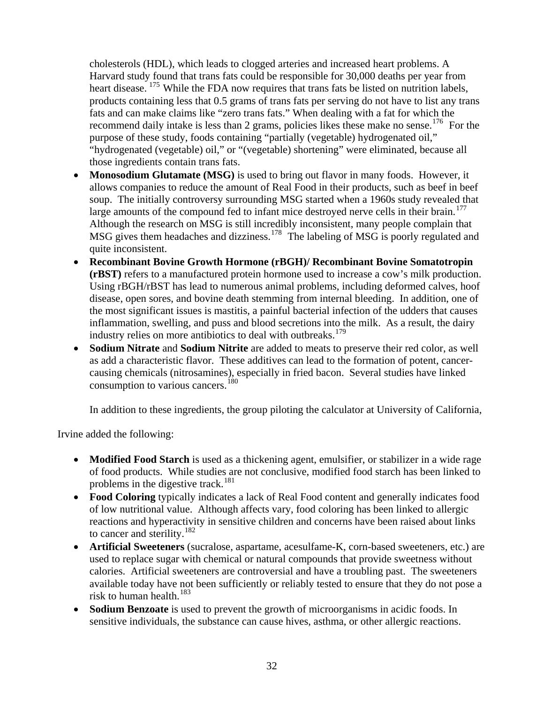cholesterols (HDL), which leads to clogged arteries and increased heart problems. A Harvard study found that trans fats could be responsible for 30,000 deaths per year from heart disease. <sup>175</sup> While the FDA now requires that trans fats be listed on nutrition labels, products containing less that 0.5 grams of trans fats per serving do not have to list any trans fats and can make claims like "zero trans fats." When dealing with a fat for which the recommend daily intake is less than 2 grams, policies likes these make no sense.<sup>176</sup> For the purpose of these study, foods containing "partially (vegetable) hydrogenated oil," "hydrogenated (vegetable) oil," or "(vegetable) shortening" were eliminated, because all those ingredients contain trans fats.

- **Monosodium Glutamate (MSG)** is used to bring out flavor in many foods. However, it allows companies to reduce the amount of Real Food in their products, such as beef in beef soup. The initially controversy surrounding MSG started when a 1960s study revealed that large amounts of the compound fed to infant mice destroyed nerve cells in their brain.<sup>[177](#page-84-0)</sup> Although the research on MSG is still incredibly inconsistent, many people complain that MSG gives them headaches and dizziness.<sup>[178](#page-84-0)</sup> The labeling of MSG is poorly regulated and quite inconsistent.
- **Recombinant Bovine Growth Hormone (rBGH)/ Recombinant Bovine Somatotropin (rBST)** refers to a manufactured protein hormone used to increase a cow's milk production. Using rBGH/rBST has lead to numerous animal problems, including deformed calves, hoof disease, open sores, and bovine death stemming from internal bleeding. In addition, one of the most significant issues is mastitis, a painful bacterial infection of the udders that causes inflammation, swelling, and puss and blood secretions into the milk. As a result, the dairy industry relies on more antibiotics to deal with outbreaks.<sup>[179](#page-84-0)</sup>
- **Sodium Nitrate** and **Sodium Nitrite** are added to meats to preserve their red color, as well as add a characteristic flavor. These additives can lead to the formation of potent, cancercausing chemicals (nitrosamines), especially in fried bacon. Several studies have linked consumption to various cancers.<sup>[180](#page-84-0)</sup>

In addition to these ingredients, the group piloting the calculator at University of California,

Irvine added the following:

- **Modified Food Starch** is used as a thickening agent, emulsifier, or stabilizer in a wide rage of food products. While studies are not conclusive, modified food starch has been linked to problems in the digestive track.<sup>[181](#page-84-0)</sup>
- **Food Coloring** typically indicates a lack of Real Food content and generally indicates food of low nutritional value. Although affects vary, food coloring has been linked to allergic reactions and hyperactivity in sensitive children and concerns have been raised about links to cancer and sterility.[182](#page-84-0)
- **Artificial Sweeteners** (sucralose, aspartame, acesulfame-K, corn-based sweeteners, etc.) are used to replace sugar with chemical or natural compounds that provide sweetness without calories. Artificial sweeteners are controversial and have a troubling past. The sweeteners available today have not been sufficiently or reliably tested to ensure that they do not pose a risk to human health.<sup>[183](#page-84-0)</sup>
- **Sodium Benzoate** is used to prevent the growth of microorganisms in acidic foods. In sensitive individuals, the substance can cause hives, asthma, or other allergic reactions.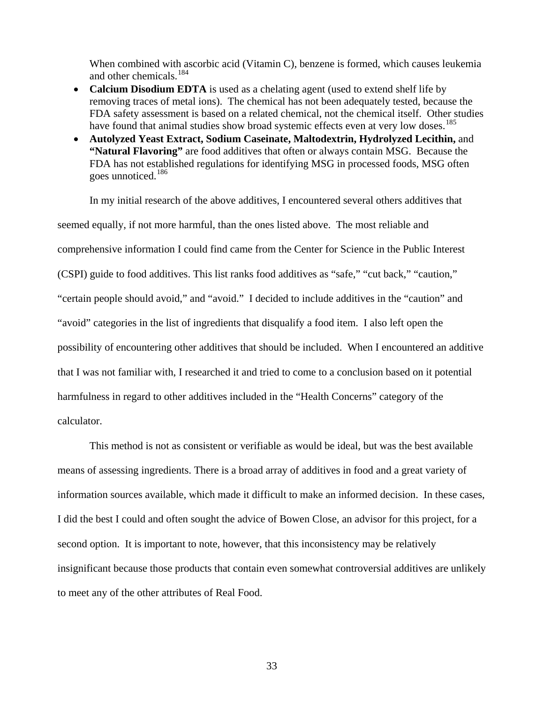When combined with ascorbic acid (Vitamin C), benzene is formed, which causes leukemia and other chemicals.<sup>184</sup>

- **Calcium Disodium EDTA** is used as a chelating agent (used to extend shelf life by removing traces of metal ions). The chemical has not been adequately tested, because the FDA safety assessment is based on a related chemical, not the chemical itself. Other studies have found that animal studies show broad systemic effects even at very low doses.<sup>[185](#page-84-0)</sup>
- **Autolyzed Yeast Extract, Sodium Caseinate, Maltodextrin, Hydrolyzed Lecithin,** and **"Natural Flavoring"** are food additives that often or always contain MSG. Because the FDA has not established regulations for identifying MSG in processed foods, MSG often goes unnoticed.<sup>[186](#page-84-0)</sup>

 In my initial research of the above additives, I encountered several others additives that seemed equally, if not more harmful, than the ones listed above. The most reliable and comprehensive information I could find came from the Center for Science in the Public Interest (CSPI) guide to food additives. This list ranks food additives as "safe," "cut back," "caution," "certain people should avoid," and "avoid." I decided to include additives in the "caution" and "avoid" categories in the list of ingredients that disqualify a food item. I also left open the possibility of encountering other additives that should be included. When I encountered an additive that I was not familiar with, I researched it and tried to come to a conclusion based on it potential harmfulness in regard to other additives included in the "Health Concerns" category of the calculator.

 This method is not as consistent or verifiable as would be ideal, but was the best available means of assessing ingredients. There is a broad array of additives in food and a great variety of information sources available, which made it difficult to make an informed decision. In these cases, I did the best I could and often sought the advice of Bowen Close, an advisor for this project, for a second option. It is important to note, however, that this inconsistency may be relatively insignificant because those products that contain even somewhat controversial additives are unlikely to meet any of the other attributes of Real Food.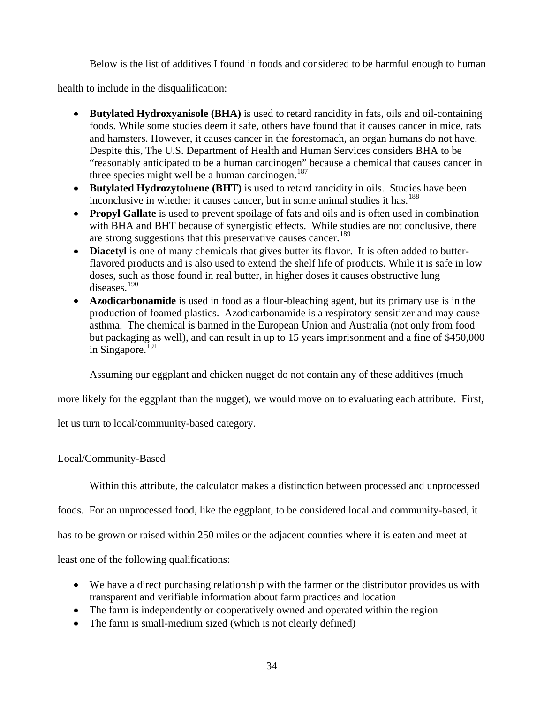Below is the list of additives I found in foods and considered to be harmful enough to human

health to include in the disqualification:

- **Butylated Hydroxyanisole (BHA)** is used to retard rancidity in fats, oils and oil-containing foods. While some studies deem it safe, others have found that it causes cancer in mice, rats and hamsters. However, it causes cancer in the forestomach, an organ humans do not have. Despite this, The U.S. Department of Health and Human Services considers BHA to be "reasonably anticipated to be a human carcinogen" because a chemical that causes cancer in three species might well be a human carcinogen.<sup>[187](#page-84-0)</sup>
- **Butylated Hydrozytoluene (BHT)** is used to retard rancidity in oils. Studies have been inconclusive in whether it causes cancer, but in some animal studies it has.<sup>[188](#page-84-0)</sup>
- **Propyl Gallate** is used to prevent spoilage of fats and oils and is often used in combination with BHA and BHT because of synergistic effects. While studies are not conclusive, there are strong suggestions that this preservative causes cancer.<sup>[189](#page-84-0)</sup>
- **Diacetyl** is one of many chemicals that gives butter its flavor. It is often added to butterflavored products and is also used to extend the shelf life of products. While it is safe in low doses, such as those found in real butter, in higher doses it causes obstructive lung diseases.[190](#page-84-0)
- **Azodicarbonamide** is used in food as a flour-bleaching agent, but its primary use is in the production of foamed plastics. Azodicarbonamide is a respiratory sensitizer and may cause asthma. The chemical is banned in the European Union and Australia (not only from food but packaging as well), and can result in up to 15 years imprisonment and a fine of \$450,000 in Singapore. $^{191}$  $^{191}$  $^{191}$

Assuming our eggplant and chicken nugget do not contain any of these additives (much

more likely for the eggplant than the nugget), we would move on to evaluating each attribute. First,

let us turn to local/community-based category.

## Local/Community-Based

Within this attribute, the calculator makes a distinction between processed and unprocessed

foods. For an unprocessed food, like the eggplant, to be considered local and community-based, it

has to be grown or raised within 250 miles or the adjacent counties where it is eaten and meet at

least one of the following qualifications:

- We have a direct purchasing relationship with the farmer or the distributor provides us with transparent and verifiable information about farm practices and location
- The farm is independently or cooperatively owned and operated within the region
- The farm is small-medium sized (which is not clearly defined)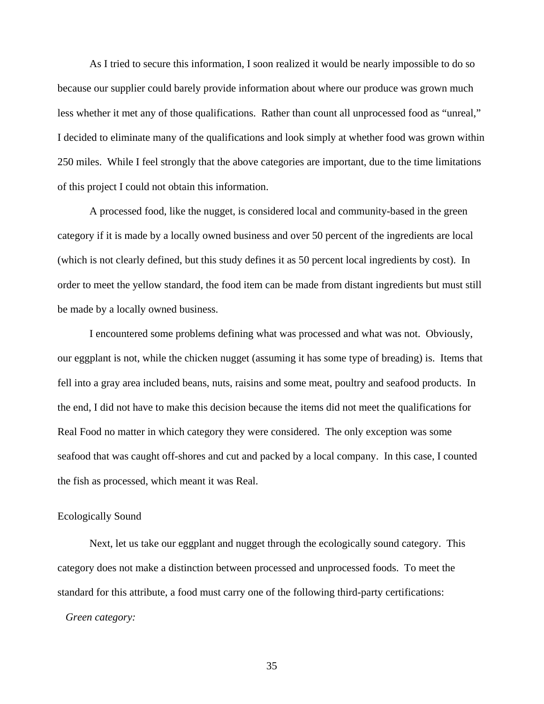As I tried to secure this information, I soon realized it would be nearly impossible to do so because our supplier could barely provide information about where our produce was grown much less whether it met any of those qualifications. Rather than count all unprocessed food as "unreal," I decided to eliminate many of the qualifications and look simply at whether food was grown within 250 miles. While I feel strongly that the above categories are important, due to the time limitations of this project I could not obtain this information.

 A processed food, like the nugget, is considered local and community-based in the green category if it is made by a locally owned business and over 50 percent of the ingredients are local (which is not clearly defined, but this study defines it as 50 percent local ingredients by cost). In order to meet the yellow standard, the food item can be made from distant ingredients but must still be made by a locally owned business.

 I encountered some problems defining what was processed and what was not. Obviously, our eggplant is not, while the chicken nugget (assuming it has some type of breading) is. Items that fell into a gray area included beans, nuts, raisins and some meat, poultry and seafood products. In the end, I did not have to make this decision because the items did not meet the qualifications for Real Food no matter in which category they were considered. The only exception was some seafood that was caught off-shores and cut and packed by a local company. In this case, I counted the fish as processed, which meant it was Real.

#### Ecologically Sound

 Next, let us take our eggplant and nugget through the ecologically sound category. This category does not make a distinction between processed and unprocessed foods. To meet the standard for this attribute, a food must carry one of the following third-party certifications:  *Green category:*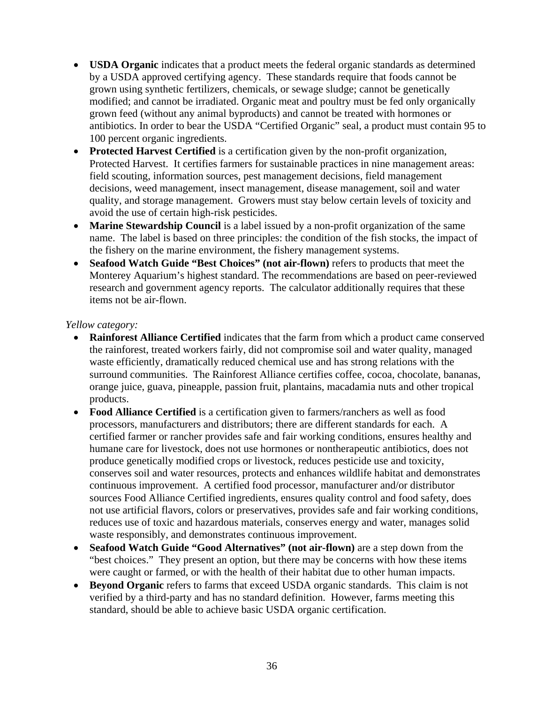- **USDA Organic** indicates that a product meets the federal organic standards as determined by a USDA approved certifying agency. These standards require that foods cannot be grown using synthetic fertilizers, chemicals, or sewage sludge; cannot be genetically modified; and cannot be irradiated. Organic meat and poultry must be fed only organically grown feed (without any animal byproducts) and cannot be treated with hormones or antibiotics. In order to bear the USDA "Certified Organic" seal, a product must contain 95 to 100 percent organic ingredients.
- **Protected Harvest Certified** is a certification given by the non-profit organization, Protected Harvest. It certifies farmers for sustainable practices in nine management areas: field scouting, information sources, pest management decisions, field management decisions, weed management, insect management, disease management, soil and water quality, and storage management. Growers must stay below certain levels of toxicity and avoid the use of certain high-risk pesticides.
- **Marine Stewardship Council** is a label issued by a non-profit organization of the same name. The label is based on three principles: the condition of the fish stocks, the impact of the fishery on the marine environment, the fishery management systems.
- **Seafood Watch Guide "Best Choices" (not air-flown)** refers to products that meet the Monterey Aquarium's highest standard. The recommendations are based on peer-reviewed research and government agency reports. The calculator additionally requires that these items not be air-flown.

### *Yellow category:*

- **Rainforest Alliance Certified** indicates that the farm from which a product came conserved the rainforest, treated workers fairly, did not compromise soil and water quality, managed waste efficiently, dramatically reduced chemical use and has strong relations with the surround communities. The Rainforest Alliance certifies coffee, cocoa, chocolate, bananas, orange juice, guava, pineapple, passion fruit, plantains, macadamia nuts and other tropical products.
- **Food Alliance Certified** is a certification given to farmers/ranchers as well as food processors, manufacturers and distributors; there are different standards for each. A certified farmer or rancher provides safe and fair working conditions, ensures healthy and humane care for livestock, does not use hormones or nontherapeutic antibiotics, does not produce genetically modified crops or livestock, reduces pesticide use and toxicity, conserves soil and water resources, protects and enhances wildlife habitat and demonstrates continuous improvement. A certified food processor, manufacturer and/or distributor sources Food Alliance Certified ingredients, ensures quality control and food safety, does not use artificial flavors, colors or preservatives, provides safe and fair working conditions, reduces use of toxic and hazardous materials, conserves energy and water, manages solid waste responsibly, and demonstrates continuous improvement.
- **Seafood Watch Guide "Good Alternatives" (not air-flown)** are a step down from the "best choices." They present an option, but there may be concerns with how these items were caught or farmed, or with the health of their habitat due to other human impacts.
- **Beyond Organic** refers to farms that exceed USDA organic standards. This claim is not verified by a third-party and has no standard definition. However, farms meeting this standard, should be able to achieve basic USDA organic certification.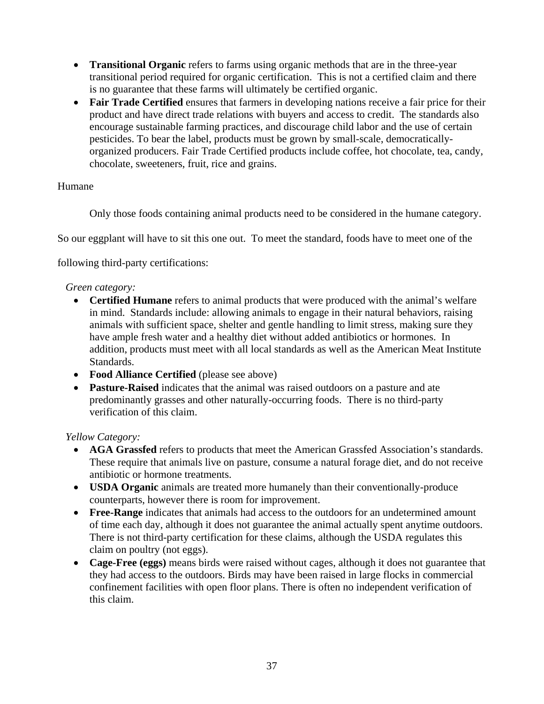- **Transitional Organic** refers to farms using organic methods that are in the three-year transitional period required for organic certification. This is not a certified claim and there is no guarantee that these farms will ultimately be certified organic.
- **Fair Trade Certified** ensures that farmers in developing nations receive a fair price for their product and have direct trade relations with buyers and access to credit. The standards also encourage sustainable farming practices, and discourage child labor and the use of certain pesticides. To bear the label, products must be grown by small-scale, democraticallyorganized producers. Fair Trade Certified products include coffee, hot chocolate, tea, candy, chocolate, sweeteners, fruit, rice and grains.

## Humane

Only those foods containing animal products need to be considered in the humane category.

So our eggplant will have to sit this one out. To meet the standard, foods have to meet one of the

following third-party certifications:

## *Green category:*

- **Certified Humane** refers to animal products that were produced with the animal's welfare in mind. Standards include: allowing animals to engage in their natural behaviors, raising animals with sufficient space, shelter and gentle handling to limit stress, making sure they have ample fresh water and a healthy diet without added antibiotics or hormones. In addition, products must meet with all local standards as well as the American Meat Institute Standards.
- **Food Alliance Certified** (please see above)
- **Pasture-Raised** indicates that the animal was raised outdoors on a pasture and ate predominantly grasses and other naturally-occurring foods. There is no third-party verification of this claim.

# *Yellow Category:*

- **AGA Grassfed** refers to products that meet the American Grassfed Association's standards. These require that animals live on pasture, consume a natural forage diet, and do not receive antibiotic or hormone treatments.
- **USDA Organic** animals are treated more humanely than their conventionally-produce counterparts, however there is room for improvement.
- **Free-Range** indicates that animals had access to the outdoors for an undetermined amount of time each day, although it does not guarantee the animal actually spent anytime outdoors. There is not third-party certification for these claims, although the USDA regulates this claim on poultry (not eggs).
- **Cage-Free (eggs)** means birds were raised without cages, although it does not guarantee that they had access to the outdoors. Birds may have been raised in large flocks in commercial confinement facilities with open floor plans. There is often no independent verification of this claim.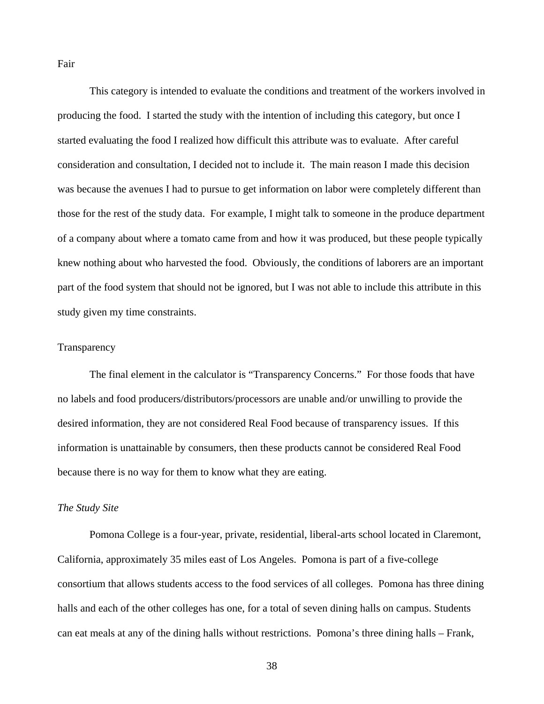Fair

 This category is intended to evaluate the conditions and treatment of the workers involved in producing the food. I started the study with the intention of including this category, but once I started evaluating the food I realized how difficult this attribute was to evaluate. After careful consideration and consultation, I decided not to include it. The main reason I made this decision was because the avenues I had to pursue to get information on labor were completely different than those for the rest of the study data. For example, I might talk to someone in the produce department of a company about where a tomato came from and how it was produced, but these people typically knew nothing about who harvested the food. Obviously, the conditions of laborers are an important part of the food system that should not be ignored, but I was not able to include this attribute in this study given my time constraints.

#### **Transparency**

 The final element in the calculator is "Transparency Concerns." For those foods that have no labels and food producers/distributors/processors are unable and/or unwilling to provide the desired information, they are not considered Real Food because of transparency issues. If this information is unattainable by consumers, then these products cannot be considered Real Food because there is no way for them to know what they are eating.

#### *The Study Site*

 Pomona College is a four-year, private, residential, liberal-arts school located in Claremont, California, approximately 35 miles east of Los Angeles. Pomona is part of a five-college consortium that allows students access to the food services of all colleges. Pomona has three dining halls and each of the other colleges has one, for a total of seven dining halls on campus. Students can eat meals at any of the dining halls without restrictions. Pomona's three dining halls – Frank,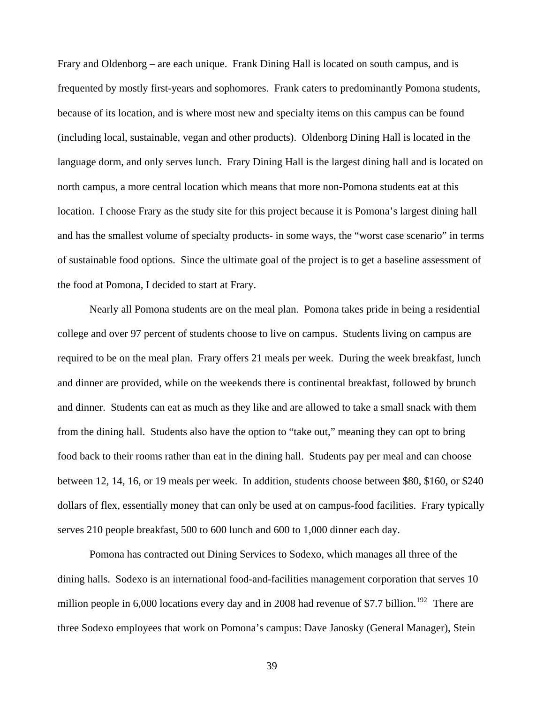Frary and Oldenborg – are each unique. Frank Dining Hall is located on south campus, and is frequented by mostly first-years and sophomores. Frank caters to predominantly Pomona students, because of its location, and is where most new and specialty items on this campus can be found (including local, sustainable, vegan and other products). Oldenborg Dining Hall is located in the language dorm, and only serves lunch. Frary Dining Hall is the largest dining hall and is located on north campus, a more central location which means that more non-Pomona students eat at this location. I choose Frary as the study site for this project because it is Pomona's largest dining hall and has the smallest volume of specialty products- in some ways, the "worst case scenario" in terms of sustainable food options. Since the ultimate goal of the project is to get a baseline assessment of the food at Pomona, I decided to start at Frary.

 Nearly all Pomona students are on the meal plan. Pomona takes pride in being a residential college and over 97 percent of students choose to live on campus. Students living on campus are required to be on the meal plan. Frary offers 21 meals per week. During the week breakfast, lunch and dinner are provided, while on the weekends there is continental breakfast, followed by brunch and dinner. Students can eat as much as they like and are allowed to take a small snack with them from the dining hall. Students also have the option to "take out," meaning they can opt to bring food back to their rooms rather than eat in the dining hall. Students pay per meal and can choose between 12, 14, 16, or 19 meals per week. In addition, students choose between \$80, \$160, or \$240 dollars of flex, essentially money that can only be used at on campus-food facilities. Frary typically serves 210 people breakfast, 500 to 600 lunch and 600 to 1,000 dinner each day.

 Pomona has contracted out Dining Services to Sodexo, which manages all three of the dining halls. Sodexo is an international food-and-facilities management corporation that serves 10 million people in 6,000 locations every day and in 2008 had revenue of \$7.7 billion.<sup>[192](#page-84-0)</sup> There are three Sodexo employees that work on Pomona's campus: Dave Janosky (General Manager), Stein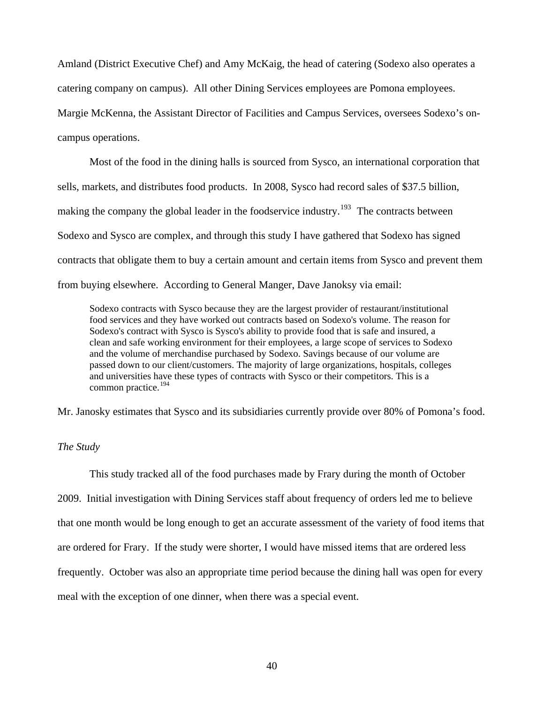Amland (District Executive Chef) and Amy McKaig, the head of catering (Sodexo also operates a catering company on campus). All other Dining Services employees are Pomona employees. Margie McKenna, the Assistant Director of Facilities and Campus Services, oversees Sodexo's oncampus operations.

 Most of the food in the dining halls is sourced from Sysco, an international corporation that sells, markets, and distributes food products. In 2008, Sysco had record sales of \$37.5 billion, making the company the global leader in the foodservice industry.<sup>[193](#page-84-0)</sup> The contracts between Sodexo and Sysco are complex, and through this study I have gathered that Sodexo has signed contracts that obligate them to buy a certain amount and certain items from Sysco and prevent them from buying elsewhere. According to General Manger, Dave Janoksy via email:

Sodexo contracts with Sysco because they are the largest provider of restaurant/institutional food services and they have worked out contracts based on Sodexo's volume. The reason for Sodexo's contract with Sysco is Sysco's ability to provide food that is safe and insured, a clean and safe working environment for their employees, a large scope of services to Sodexo and the volume of merchandise purchased by Sodexo. Savings because of our volume are passed down to our client/customers. The majority of large organizations, hospitals, colleges and universities have these types of contracts with Sysco or their competitors. This is a common practice.<sup>[194](#page-84-0)</sup>

Mr. Janosky estimates that Sysco and its subsidiaries currently provide over 80% of Pomona's food.

#### *The Study*

 This study tracked all of the food purchases made by Frary during the month of October 2009. Initial investigation with Dining Services staff about frequency of orders led me to believe that one month would be long enough to get an accurate assessment of the variety of food items that are ordered for Frary. If the study were shorter, I would have missed items that are ordered less frequently. October was also an appropriate time period because the dining hall was open for every meal with the exception of one dinner, when there was a special event.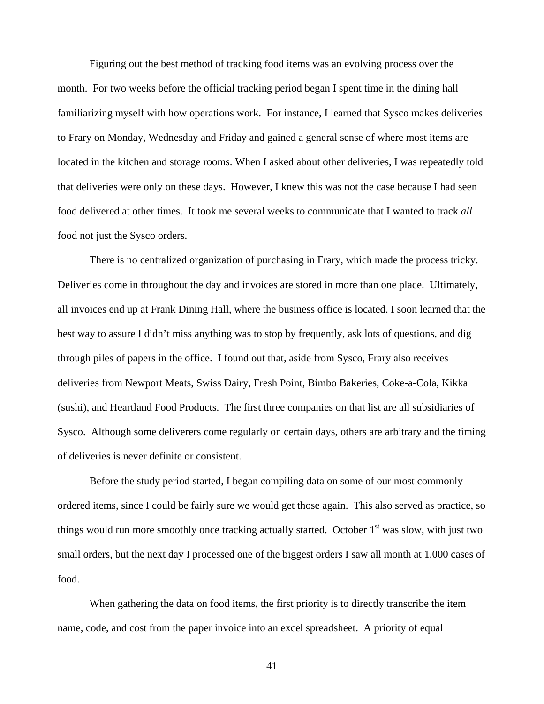Figuring out the best method of tracking food items was an evolving process over the month. For two weeks before the official tracking period began I spent time in the dining hall familiarizing myself with how operations work. For instance, I learned that Sysco makes deliveries to Frary on Monday, Wednesday and Friday and gained a general sense of where most items are located in the kitchen and storage rooms. When I asked about other deliveries, I was repeatedly told that deliveries were only on these days. However, I knew this was not the case because I had seen food delivered at other times. It took me several weeks to communicate that I wanted to track *all* food not just the Sysco orders.

 There is no centralized organization of purchasing in Frary, which made the process tricky. Deliveries come in throughout the day and invoices are stored in more than one place. Ultimately, all invoices end up at Frank Dining Hall, where the business office is located. I soon learned that the best way to assure I didn't miss anything was to stop by frequently, ask lots of questions, and dig through piles of papers in the office. I found out that, aside from Sysco, Frary also receives deliveries from Newport Meats, Swiss Dairy, Fresh Point, Bimbo Bakeries, Coke-a-Cola, Kikka (sushi), and Heartland Food Products. The first three companies on that list are all subsidiaries of Sysco. Although some deliverers come regularly on certain days, others are arbitrary and the timing of deliveries is never definite or consistent.

 Before the study period started, I began compiling data on some of our most commonly ordered items, since I could be fairly sure we would get those again. This also served as practice, so things would run more smoothly once tracking actually started. October  $1<sup>st</sup>$  was slow, with just two small orders, but the next day I processed one of the biggest orders I saw all month at 1,000 cases of food.

 When gathering the data on food items, the first priority is to directly transcribe the item name, code, and cost from the paper invoice into an excel spreadsheet. A priority of equal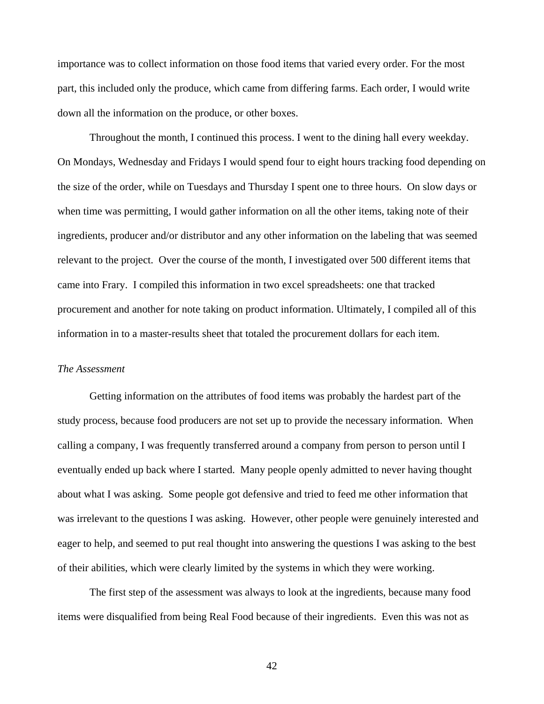importance was to collect information on those food items that varied every order. For the most part, this included only the produce, which came from differing farms. Each order, I would write down all the information on the produce, or other boxes.

 Throughout the month, I continued this process. I went to the dining hall every weekday. On Mondays, Wednesday and Fridays I would spend four to eight hours tracking food depending on the size of the order, while on Tuesdays and Thursday I spent one to three hours. On slow days or when time was permitting, I would gather information on all the other items, taking note of their ingredients, producer and/or distributor and any other information on the labeling that was seemed relevant to the project. Over the course of the month, I investigated over 500 different items that came into Frary. I compiled this information in two excel spreadsheets: one that tracked procurement and another for note taking on product information. Ultimately, I compiled all of this information in to a master-results sheet that totaled the procurement dollars for each item.

#### *The Assessment*

 Getting information on the attributes of food items was probably the hardest part of the study process, because food producers are not set up to provide the necessary information. When calling a company, I was frequently transferred around a company from person to person until I eventually ended up back where I started. Many people openly admitted to never having thought about what I was asking. Some people got defensive and tried to feed me other information that was irrelevant to the questions I was asking. However, other people were genuinely interested and eager to help, and seemed to put real thought into answering the questions I was asking to the best of their abilities, which were clearly limited by the systems in which they were working.

 The first step of the assessment was always to look at the ingredients, because many food items were disqualified from being Real Food because of their ingredients. Even this was not as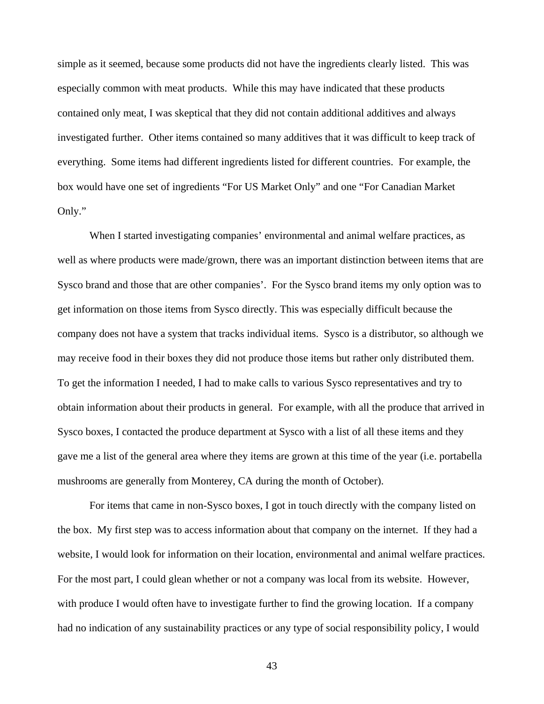simple as it seemed, because some products did not have the ingredients clearly listed. This was especially common with meat products. While this may have indicated that these products contained only meat, I was skeptical that they did not contain additional additives and always investigated further. Other items contained so many additives that it was difficult to keep track of everything. Some items had different ingredients listed for different countries. For example, the box would have one set of ingredients "For US Market Only" and one "For Canadian Market Only."

 When I started investigating companies' environmental and animal welfare practices, as well as where products were made/grown, there was an important distinction between items that are Sysco brand and those that are other companies'. For the Sysco brand items my only option was to get information on those items from Sysco directly. This was especially difficult because the company does not have a system that tracks individual items. Sysco is a distributor, so although we may receive food in their boxes they did not produce those items but rather only distributed them. To get the information I needed, I had to make calls to various Sysco representatives and try to obtain information about their products in general. For example, with all the produce that arrived in Sysco boxes, I contacted the produce department at Sysco with a list of all these items and they gave me a list of the general area where they items are grown at this time of the year (i.e. portabella mushrooms are generally from Monterey, CA during the month of October).

 For items that came in non-Sysco boxes, I got in touch directly with the company listed on the box. My first step was to access information about that company on the internet. If they had a website, I would look for information on their location, environmental and animal welfare practices. For the most part, I could glean whether or not a company was local from its website. However, with produce I would often have to investigate further to find the growing location. If a company had no indication of any sustainability practices or any type of social responsibility policy, I would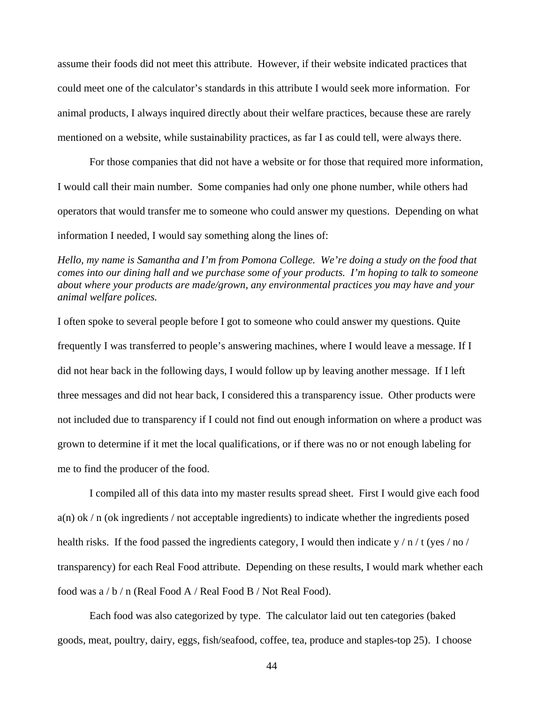assume their foods did not meet this attribute. However, if their website indicated practices that could meet one of the calculator's standards in this attribute I would seek more information. For animal products, I always inquired directly about their welfare practices, because these are rarely mentioned on a website, while sustainability practices, as far I as could tell, were always there.

 For those companies that did not have a website or for those that required more information, I would call their main number. Some companies had only one phone number, while others had operators that would transfer me to someone who could answer my questions. Depending on what information I needed, I would say something along the lines of:

*Hello, my name is Samantha and I'm from Pomona College. We're doing a study on the food that comes into our dining hall and we purchase some of your products. I'm hoping to talk to someone about where your products are made/grown, any environmental practices you may have and your animal welfare polices.* 

I often spoke to several people before I got to someone who could answer my questions. Quite frequently I was transferred to people's answering machines, where I would leave a message. If I did not hear back in the following days, I would follow up by leaving another message. If I left three messages and did not hear back, I considered this a transparency issue. Other products were not included due to transparency if I could not find out enough information on where a product was grown to determine if it met the local qualifications, or if there was no or not enough labeling for me to find the producer of the food.

 I compiled all of this data into my master results spread sheet. First I would give each food  $a(n)$  ok / n (ok ingredients / not acceptable ingredients) to indicate whether the ingredients posed health risks. If the food passed the ingredients category, I would then indicate y / n / t (yes / no / transparency) for each Real Food attribute. Depending on these results, I would mark whether each food was a / b / n (Real Food A / Real Food B / Not Real Food).

 Each food was also categorized by type. The calculator laid out ten categories (baked goods, meat, poultry, dairy, eggs, fish/seafood, coffee, tea, produce and staples-top 25). I choose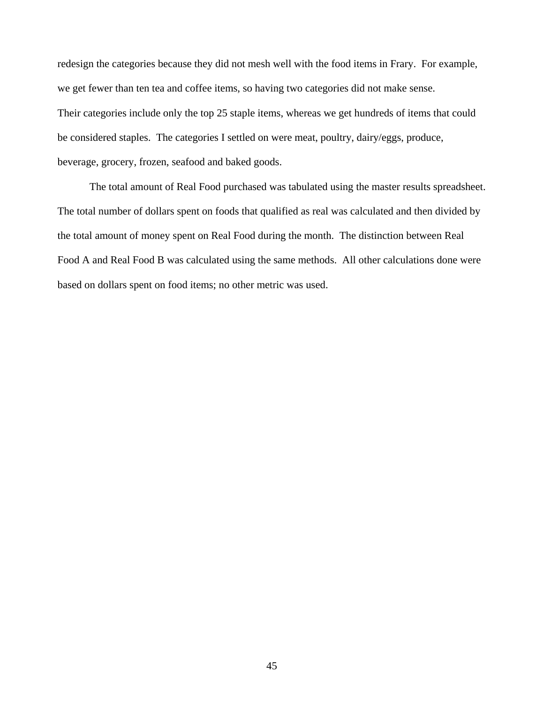redesign the categories because they did not mesh well with the food items in Frary. For example, we get fewer than ten tea and coffee items, so having two categories did not make sense. Their categories include only the top 25 staple items, whereas we get hundreds of items that could be considered staples. The categories I settled on were meat, poultry, dairy/eggs, produce, beverage, grocery, frozen, seafood and baked goods.

 The total amount of Real Food purchased was tabulated using the master results spreadsheet. The total number of dollars spent on foods that qualified as real was calculated and then divided by the total amount of money spent on Real Food during the month. The distinction between Real Food A and Real Food B was calculated using the same methods. All other calculations done were based on dollars spent on food items; no other metric was used.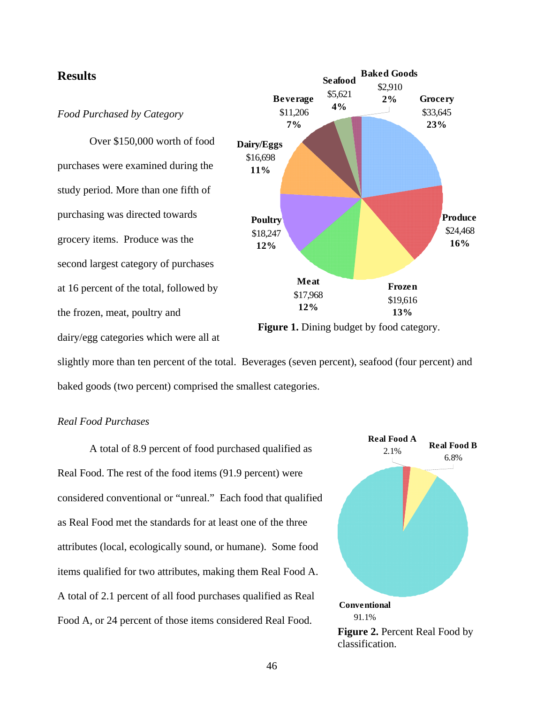



slightly more than ten percent of the total. Beverages (seven percent), seafood (four percent) and baked goods (two percent) comprised the smallest categories.

### *Real Food Purchases*

dairy/egg categories which were all at

 A total of 8.9 percent of food purchased qualified as Real Food. The rest of the food items (91.9 percent) were considered conventional or "unreal." Each food that qualified as Real Food met the standards for at least one of the three attributes (local, ecologically sound, or humane). Some food items qualified for two attributes, making them Real Food A. A total of 2.1 percent of all food purchases qualified as Real Food A, or 24 percent of those items considered Real Food.

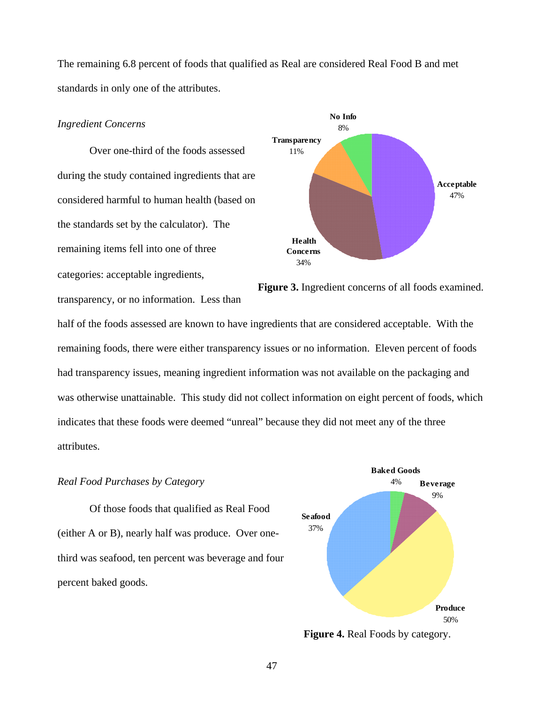The remaining 6.8 percent of foods that qualified as Real are considered Real Food B and met standards in only one of the attributes.

#### *Ingredient Concerns*

 Over one-third of the foods assessed during the study contained ingredients that are considered harmful to human health (based on the standards set by the calculator). The remaining items fell into one of three categories: acceptable ingredients,

transparency, or no information. Less than



Figure 3. Ingredient concerns of all foods examined.

half of the foods assessed are known to have ingredients that are considered acceptable. With the remaining foods, there were either transparency issues or no information. Eleven percent of foods had transparency issues, meaning ingredient information was not available on the packaging and was otherwise unattainable. This study did not collect information on eight percent of foods, which indicates that these foods were deemed "unreal" because they did not meet any of the three attributes.

#### *Real Food Purchases by Category* 4%

 Of those foods that qualified as Real Food (either A or B), nearly half was produce. Over onethird was seafood, ten percent was beverage and four percent baked goods.



**Figure 4.** Real Foods by category.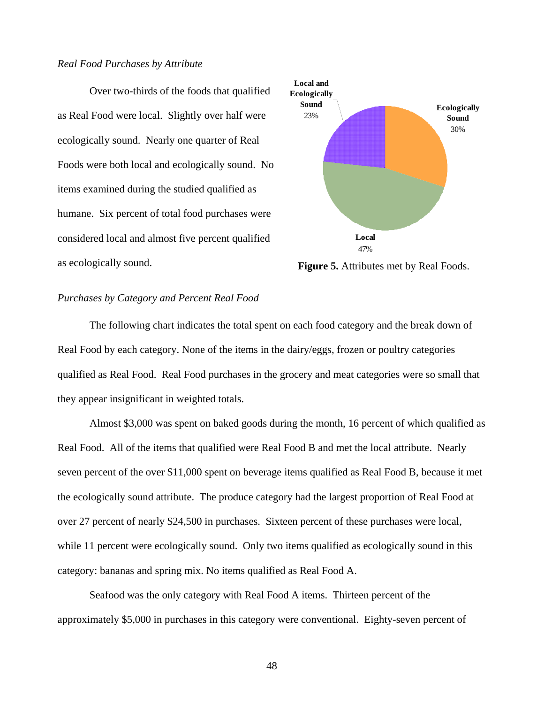#### *Real Food Purchases by Attribute*

 Over two-thirds of the foods that qualified as Real Food were local. Slightly over half were ecologically sound. Nearly one quarter of Real Foods were both local and ecologically sound. No items examined during the studied qualified as humane. Six percent of total food purchases were considered local and almost five percent qualified as ecologically sound. **Figure 5.** Attributes met by Real Foods.



#### *Purchases by Category and Percent Real Food*

The following chart indicates the total spent on each food category and the break down of Real Food by each category. None of the items in the dairy/eggs, frozen or poultry categories qualified as Real Food. Real Food purchases in the grocery and meat categories were so small that they appear insignificant in weighted totals.

 Almost \$3,000 was spent on baked goods during the month, 16 percent of which qualified as Real Food. All of the items that qualified were Real Food B and met the local attribute. Nearly seven percent of the over \$11,000 spent on beverage items qualified as Real Food B, because it met the ecologically sound attribute. The produce category had the largest proportion of Real Food at over 27 percent of nearly \$24,500 in purchases. Sixteen percent of these purchases were local, while 11 percent were ecologically sound. Only two items qualified as ecologically sound in this category: bananas and spring mix. No items qualified as Real Food A.

 Seafood was the only category with Real Food A items. Thirteen percent of the approximately \$5,000 in purchases in this category were conventional. Eighty-seven percent of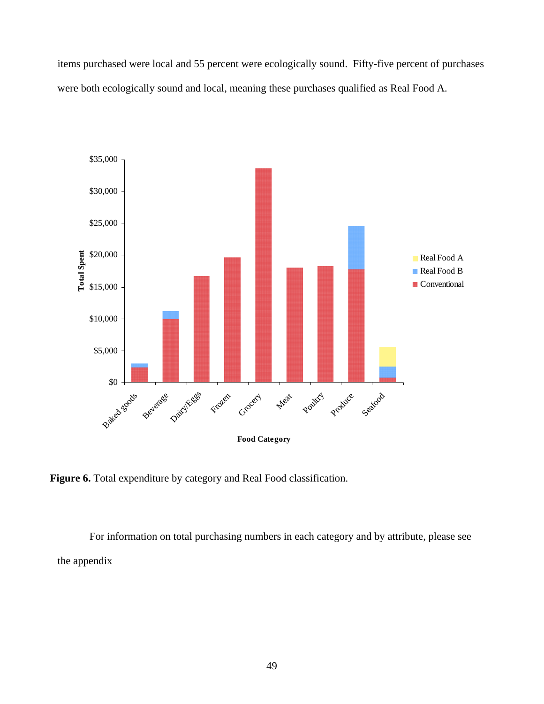items purchased were local and 55 percent were ecologically sound. Fifty-five percent of purchases were both ecologically sound and local, meaning these purchases qualified as Real Food A.



**Figure 6.** Total expenditure by category and Real Food classification.

For information on total purchasing numbers in each category and by attribute, please see the appendix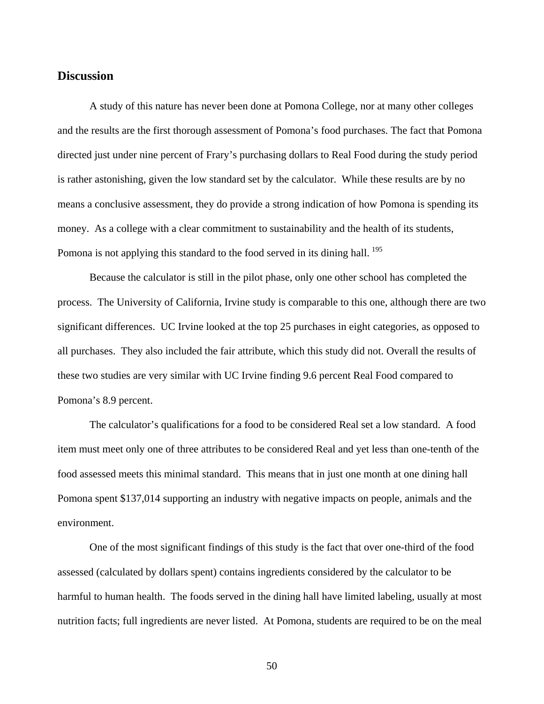### **Discussion**

 A study of this nature has never been done at Pomona College, nor at many other colleges and the results are the first thorough assessment of Pomona's food purchases. The fact that Pomona directed just under nine percent of Frary's purchasing dollars to Real Food during the study period is rather astonishing, given the low standard set by the calculator. While these results are by no means a conclusive assessment, they do provide a strong indication of how Pomona is spending its money. As a college with a clear commitment to sustainability and the health of its students, Pomona is not applying this standard to the food served in its dining hall.  $^{195}$  $^{195}$  $^{195}$ 

Because the calculator is still in the pilot phase, only one other school has completed the process. The University of California, Irvine study is comparable to this one, although there are two significant differences. UC Irvine looked at the top 25 purchases in eight categories, as opposed to all purchases. They also included the fair attribute, which this study did not. Overall the results of these two studies are very similar with UC Irvine finding 9.6 percent Real Food compared to Pomona's 8.9 percent.

 The calculator's qualifications for a food to be considered Real set a low standard. A food item must meet only one of three attributes to be considered Real and yet less than one-tenth of the food assessed meets this minimal standard. This means that in just one month at one dining hall Pomona spent \$137,014 supporting an industry with negative impacts on people, animals and the environment.

 One of the most significant findings of this study is the fact that over one-third of the food assessed (calculated by dollars spent) contains ingredients considered by the calculator to be harmful to human health. The foods served in the dining hall have limited labeling, usually at most nutrition facts; full ingredients are never listed. At Pomona, students are required to be on the meal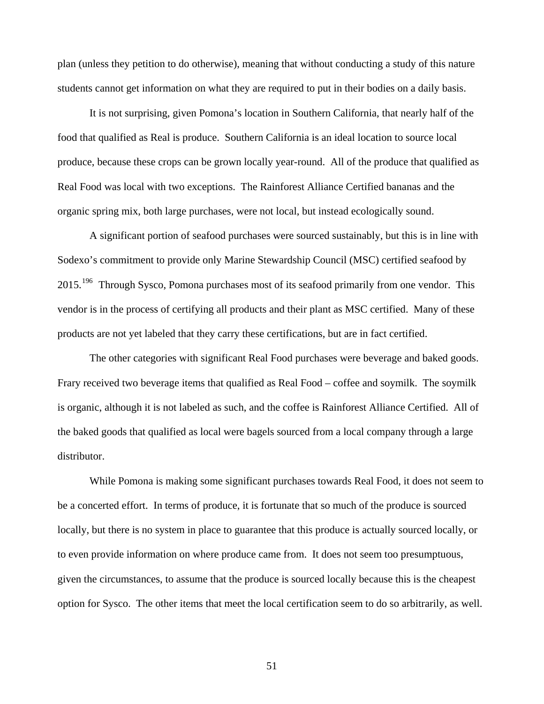plan (unless they petition to do otherwise), meaning that without conducting a study of this nature students cannot get information on what they are required to put in their bodies on a daily basis.

 It is not surprising, given Pomona's location in Southern California, that nearly half of the food that qualified as Real is produce. Southern California is an ideal location to source local produce, because these crops can be grown locally year-round. All of the produce that qualified as Real Food was local with two exceptions. The Rainforest Alliance Certified bananas and the organic spring mix, both large purchases, were not local, but instead ecologically sound.

 A significant portion of seafood purchases were sourced sustainably, but this is in line with Sodexo's commitment to provide only Marine Stewardship Council (MSC) certified seafood by 2015.<sup>[196](#page-84-2)</sup> Through Sysco, Pomona purchases most of its seafood primarily from one vendor. This vendor is in the process of certifying all products and their plant as MSC certified. Many of these products are not yet labeled that they carry these certifications, but are in fact certified.

 The other categories with significant Real Food purchases were beverage and baked goods. Frary received two beverage items that qualified as Real Food – coffee and soymilk. The soymilk is organic, although it is not labeled as such, and the coffee is Rainforest Alliance Certified. All of the baked goods that qualified as local were bagels sourced from a local company through a large distributor.

 While Pomona is making some significant purchases towards Real Food, it does not seem to be a concerted effort. In terms of produce, it is fortunate that so much of the produce is sourced locally, but there is no system in place to guarantee that this produce is actually sourced locally, or to even provide information on where produce came from. It does not seem too presumptuous, given the circumstances, to assume that the produce is sourced locally because this is the cheapest option for Sysco. The other items that meet the local certification seem to do so arbitrarily, as well.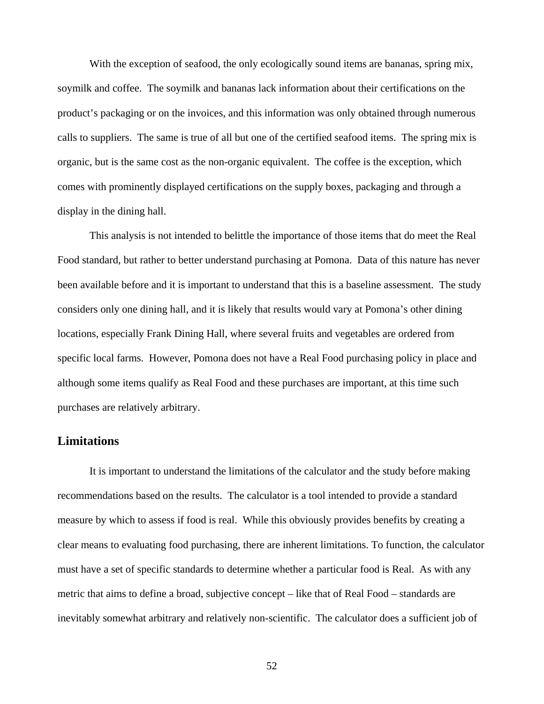With the exception of seafood, the only ecologically sound items are bananas, spring mix, soymilk and coffee. The soymilk and bananas lack information about their certifications on the product's packaging or on the invoices, and this information was only obtained through numerous calls to suppliers. The same is true of all but one of the certified seafood items. The spring mix is organic, but is the same cost as the non-organic equivalent. The coffee is the exception, which comes with prominently displayed certifications on the supply boxes, packaging and through a display in the dining hall.

 This analysis is not intended to belittle the importance of those items that do meet the Real Food standard, but rather to better understand purchasing at Pomona. Data of this nature has never been available before and it is important to understand that this is a baseline assessment. The study considers only one dining hall, and it is likely that results would vary at Pomona's other dining locations, especially Frank Dining Hall, where several fruits and vegetables are ordered from specific local farms. However, Pomona does not have a Real Food purchasing policy in place and although some items qualify as Real Food and these purchases are important, at this time such purchases are relatively arbitrary.

### **Limitations**

 It is important to understand the limitations of the calculator and the study before making recommendations based on the results. The calculator is a tool intended to provide a standard measure by which to assess if food is real. While this obviously provides benefits by creating a clear means to evaluating food purchasing, there are inherent limitations. To function, the calculator must have a set of specific standards to determine whether a particular food is Real. As with any metric that aims to define a broad, subjective concept – like that of Real Food – standards are inevitably somewhat arbitrary and relatively non-scientific. The calculator does a sufficient job of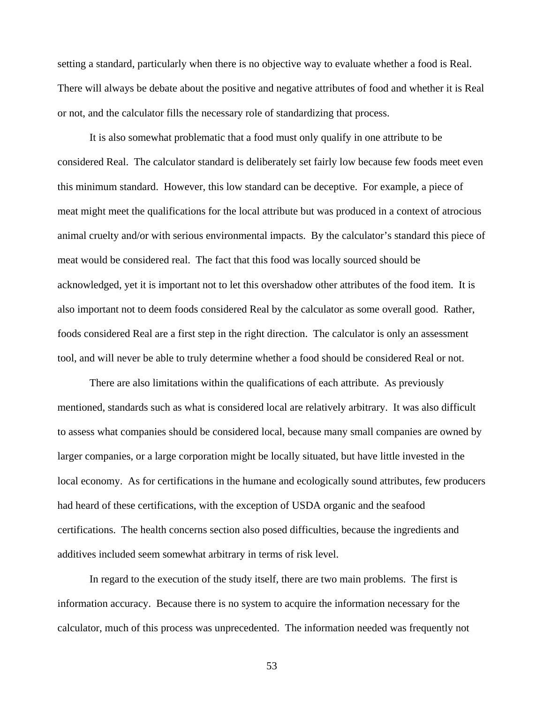setting a standard, particularly when there is no objective way to evaluate whether a food is Real. There will always be debate about the positive and negative attributes of food and whether it is Real or not, and the calculator fills the necessary role of standardizing that process.

 It is also somewhat problematic that a food must only qualify in one attribute to be considered Real. The calculator standard is deliberately set fairly low because few foods meet even this minimum standard. However, this low standard can be deceptive. For example, a piece of meat might meet the qualifications for the local attribute but was produced in a context of atrocious animal cruelty and/or with serious environmental impacts. By the calculator's standard this piece of meat would be considered real. The fact that this food was locally sourced should be acknowledged, yet it is important not to let this overshadow other attributes of the food item. It is also important not to deem foods considered Real by the calculator as some overall good. Rather, foods considered Real are a first step in the right direction. The calculator is only an assessment tool, and will never be able to truly determine whether a food should be considered Real or not.

 There are also limitations within the qualifications of each attribute. As previously mentioned, standards such as what is considered local are relatively arbitrary. It was also difficult to assess what companies should be considered local, because many small companies are owned by larger companies, or a large corporation might be locally situated, but have little invested in the local economy. As for certifications in the humane and ecologically sound attributes, few producers had heard of these certifications, with the exception of USDA organic and the seafood certifications. The health concerns section also posed difficulties, because the ingredients and additives included seem somewhat arbitrary in terms of risk level.

 In regard to the execution of the study itself, there are two main problems. The first is information accuracy. Because there is no system to acquire the information necessary for the calculator, much of this process was unprecedented. The information needed was frequently not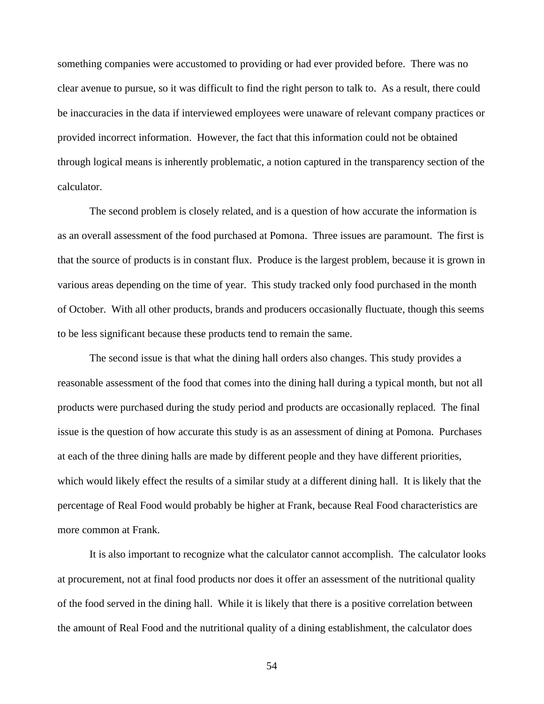something companies were accustomed to providing or had ever provided before. There was no clear avenue to pursue, so it was difficult to find the right person to talk to. As a result, there could be inaccuracies in the data if interviewed employees were unaware of relevant company practices or provided incorrect information. However, the fact that this information could not be obtained through logical means is inherently problematic, a notion captured in the transparency section of the calculator.

 The second problem is closely related, and is a question of how accurate the information is as an overall assessment of the food purchased at Pomona. Three issues are paramount. The first is that the source of products is in constant flux. Produce is the largest problem, because it is grown in various areas depending on the time of year. This study tracked only food purchased in the month of October. With all other products, brands and producers occasionally fluctuate, though this seems to be less significant because these products tend to remain the same.

 The second issue is that what the dining hall orders also changes. This study provides a reasonable assessment of the food that comes into the dining hall during a typical month, but not all products were purchased during the study period and products are occasionally replaced. The final issue is the question of how accurate this study is as an assessment of dining at Pomona. Purchases at each of the three dining halls are made by different people and they have different priorities, which would likely effect the results of a similar study at a different dining hall. It is likely that the percentage of Real Food would probably be higher at Frank, because Real Food characteristics are more common at Frank.

 It is also important to recognize what the calculator cannot accomplish. The calculator looks at procurement, not at final food products nor does it offer an assessment of the nutritional quality of the food served in the dining hall. While it is likely that there is a positive correlation between the amount of Real Food and the nutritional quality of a dining establishment, the calculator does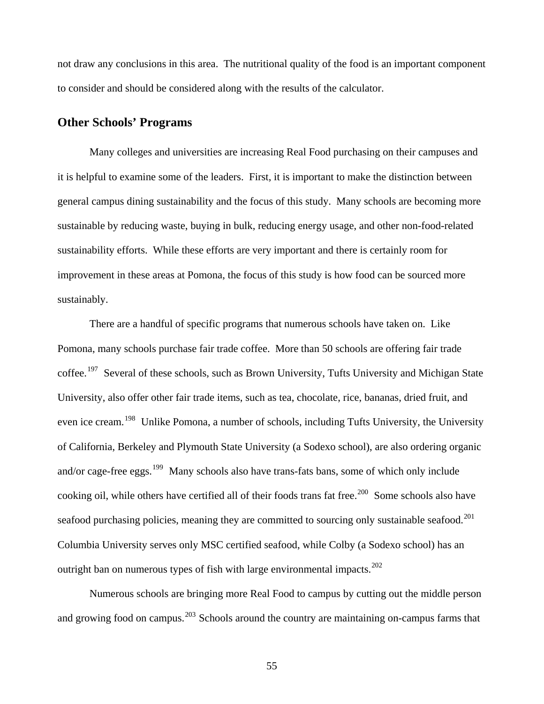not draw any conclusions in this area. The nutritional quality of the food is an important component to consider and should be considered along with the results of the calculator.

## **Other Schools' Programs**

 Many colleges and universities are increasing Real Food purchasing on their campuses and it is helpful to examine some of the leaders. First, it is important to make the distinction between general campus dining sustainability and the focus of this study. Many schools are becoming more sustainable by reducing waste, buying in bulk, reducing energy usage, and other non-food-related sustainability efforts. While these efforts are very important and there is certainly room for improvement in these areas at Pomona, the focus of this study is how food can be sourced more sustainably.

 There are a handful of specific programs that numerous schools have taken on. Like Pomona, many schools purchase fair trade coffee. More than 50 schools are offering fair trade coffee.<sup>[197](#page-84-3)</sup> Several of these schools, such as Brown University, Tufts University and Michigan State University, also offer other fair trade items, such as tea, chocolate, rice, bananas, dried fruit, and even ice cream.<sup>[198](#page-84-3)</sup> Unlike Pomona, a number of schools, including Tufts University, the University of California, Berkeley and Plymouth State University (a Sodexo school), are also ordering organic and/or cage-free eggs.<sup>[199](#page-85-0)</sup> Many schools also have trans-fats bans, some of which only include cooking oil, while others have certified all of their foods trans fat free.<sup>[200](#page-85-0)</sup> Some schools also have seafood purchasing policies, meaning they are committed to sourcing only sustainable seafood.<sup>[201](#page-85-0)</sup> Columbia University serves only MSC certified seafood, while Colby (a Sodexo school) has an outright ban on numerous types of fish with large environmental impacts.<sup>[202](#page-85-0)</sup>

 Numerous schools are bringing more Real Food to campus by cutting out the middle person and growing food on campus.<sup>[203](#page-85-0)</sup> Schools around the country are maintaining on-campus farms that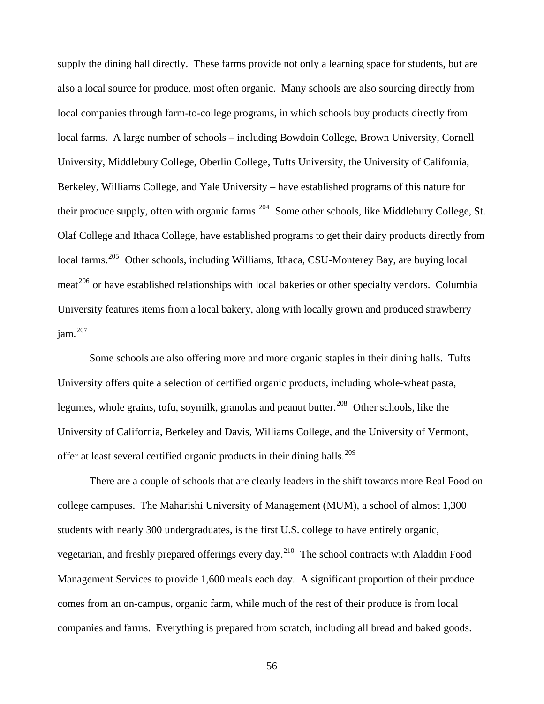supply the dining hall directly. These farms provide not only a learning space for students, but are also a local source for produce, most often organic. Many schools are also sourcing directly from local companies through farm-to-college programs, in which schools buy products directly from local farms. A large number of schools – including Bowdoin College, Brown University, Cornell University, Middlebury College, Oberlin College, Tufts University, the University of California, Berkeley, Williams College, and Yale University – have established programs of this nature for their produce supply, often with organic farms.  $204$  Some other schools, like Middlebury College, St. Olaf College and Ithaca College, have established programs to get their dairy products directly from local farms.<sup>[205](#page-85-0)</sup> Other schools, including Williams, Ithaca, CSU-Monterey Bay, are buying local  $meat<sup>206</sup>$  $meat<sup>206</sup>$  $meat<sup>206</sup>$  or have established relationships with local bakeries or other specialty vendors. Columbia University features items from a local bakery, along with locally grown and produced strawberry  $iam.<sup>207</sup>$  $iam.<sup>207</sup>$  $iam.<sup>207</sup>$ 

 Some schools are also offering more and more organic staples in their dining halls. Tufts University offers quite a selection of certified organic products, including whole-wheat pasta, legumes, whole grains, tofu, soymilk, granolas and peanut butter.<sup>[208](#page-85-0)</sup> Other schools, like the University of California, Berkeley and Davis, Williams College, and the University of Vermont, offer at least several certified organic products in their dining halls.<sup>[209](#page-85-0)</sup>

 There are a couple of schools that are clearly leaders in the shift towards more Real Food on college campuses. The Maharishi University of Management (MUM), a school of almost 1,300 students with nearly 300 undergraduates, is the first U.S. college to have entirely organic, vegetarian, and freshly prepared offerings every day.[210](#page-85-0) The school contracts with Aladdin Food Management Services to provide 1,600 meals each day. A significant proportion of their produce comes from an on-campus, organic farm, while much of the rest of their produce is from local companies and farms. Everything is prepared from scratch, including all bread and baked goods.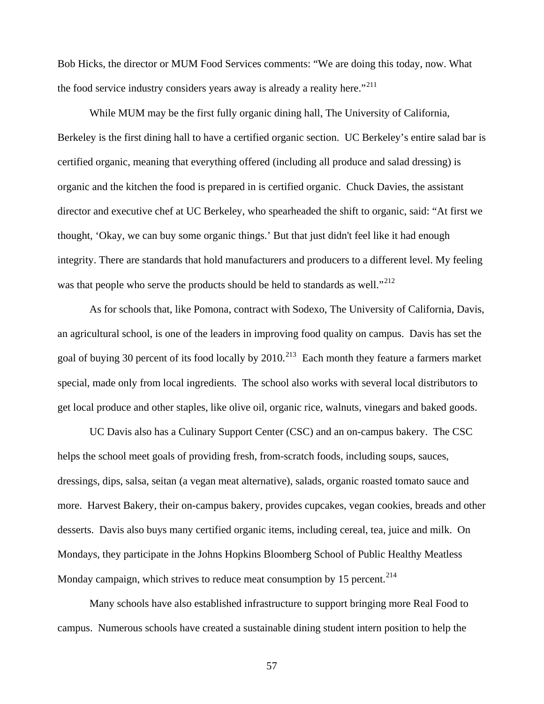Bob Hicks, the director or MUM Food Services comments: "We are doing this today, now. What the food service industry considers years away is already a reality here."<sup>[211](#page-85-0)</sup>

 While MUM may be the first fully organic dining hall, The University of California, Berkeley is the first dining hall to have a certified organic section. UC Berkeley's entire salad bar is certified organic, meaning that everything offered (including all produce and salad dressing) is organic and the kitchen the food is prepared in is certified organic. Chuck Davies, the assistant director and executive chef at UC Berkeley, who spearheaded the shift to organic, said: "At first we thought, 'Okay, we can buy some organic things.' But that just didn't feel like it had enough integrity. There are standards that hold manufacturers and producers to a different level. My feeling was that people who serve the products should be held to standards as well."<sup>[212](#page-85-0)</sup>

 As for schools that, like Pomona, contract with Sodexo, The University of California, Davis, an agricultural school, is one of the leaders in improving food quality on campus. Davis has set the goal of buying 30 percent of its food locally by  $2010$ <sup>[213](#page-85-0)</sup> Each month they feature a farmers market special, made only from local ingredients. The school also works with several local distributors to get local produce and other staples, like olive oil, organic rice, walnuts, vinegars and baked goods.

 UC Davis also has a Culinary Support Center (CSC) and an on-campus bakery. The CSC helps the school meet goals of providing fresh, from-scratch foods, including soups, sauces, dressings, dips, salsa, seitan (a vegan meat alternative), salads, organic roasted tomato sauce and more. Harvest Bakery, their on-campus bakery, provides cupcakes, vegan cookies, breads and other desserts. Davis also buys many certified organic items, including cereal, tea, juice and milk. On Mondays, they participate in the Johns Hopkins Bloomberg School of Public Healthy Meatless Monday campaign, which strives to reduce meat consumption by 15 percent.<sup>[214](#page-85-0)</sup>

 Many schools have also established infrastructure to support bringing more Real Food to campus. Numerous schools have created a sustainable dining student intern position to help the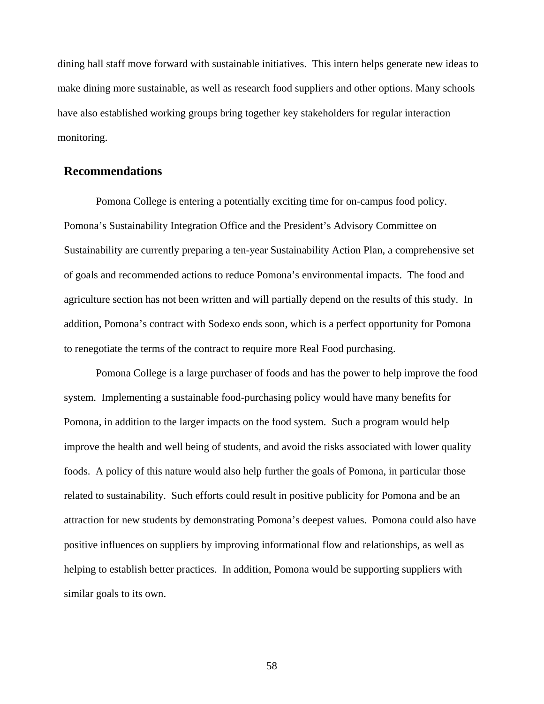dining hall staff move forward with sustainable initiatives. This intern helps generate new ideas to make dining more sustainable, as well as research food suppliers and other options. Many schools have also established working groups bring together key stakeholders for regular interaction monitoring.

### **Recommendations**

 Pomona College is entering a potentially exciting time for on-campus food policy. Pomona's Sustainability Integration Office and the President's Advisory Committee on Sustainability are currently preparing a ten-year Sustainability Action Plan, a comprehensive set of goals and recommended actions to reduce Pomona's environmental impacts. The food and agriculture section has not been written and will partially depend on the results of this study. In addition, Pomona's contract with Sodexo ends soon, which is a perfect opportunity for Pomona to renegotiate the terms of the contract to require more Real Food purchasing.

 Pomona College is a large purchaser of foods and has the power to help improve the food system. Implementing a sustainable food-purchasing policy would have many benefits for Pomona, in addition to the larger impacts on the food system. Such a program would help improve the health and well being of students, and avoid the risks associated with lower quality foods. A policy of this nature would also help further the goals of Pomona, in particular those related to sustainability. Such efforts could result in positive publicity for Pomona and be an attraction for new students by demonstrating Pomona's deepest values. Pomona could also have positive influences on suppliers by improving informational flow and relationships, as well as helping to establish better practices. In addition, Pomona would be supporting suppliers with similar goals to its own.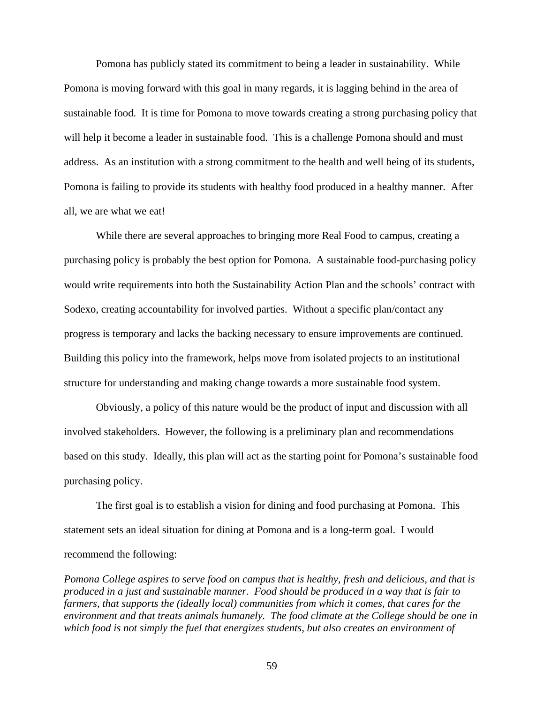Pomona has publicly stated its commitment to being a leader in sustainability. While Pomona is moving forward with this goal in many regards, it is lagging behind in the area of sustainable food. It is time for Pomona to move towards creating a strong purchasing policy that will help it become a leader in sustainable food. This is a challenge Pomona should and must address. As an institution with a strong commitment to the health and well being of its students, Pomona is failing to provide its students with healthy food produced in a healthy manner. After all, we are what we eat!

 While there are several approaches to bringing more Real Food to campus, creating a purchasing policy is probably the best option for Pomona. A sustainable food-purchasing policy would write requirements into both the Sustainability Action Plan and the schools' contract with Sodexo, creating accountability for involved parties. Without a specific plan/contact any progress is temporary and lacks the backing necessary to ensure improvements are continued. Building this policy into the framework, helps move from isolated projects to an institutional structure for understanding and making change towards a more sustainable food system.

 Obviously, a policy of this nature would be the product of input and discussion with all involved stakeholders. However, the following is a preliminary plan and recommendations based on this study. Ideally, this plan will act as the starting point for Pomona's sustainable food purchasing policy.

 The first goal is to establish a vision for dining and food purchasing at Pomona. This statement sets an ideal situation for dining at Pomona and is a long-term goal. I would recommend the following:

*Pomona College aspires to serve food on campus that is healthy, fresh and delicious, and that is produced in a just and sustainable manner. Food should be produced in a way that is fair to farmers, that supports the (ideally local) communities from which it comes, that cares for the environment and that treats animals humanely. The food climate at the College should be one in which food is not simply the fuel that energizes students, but also creates an environment of*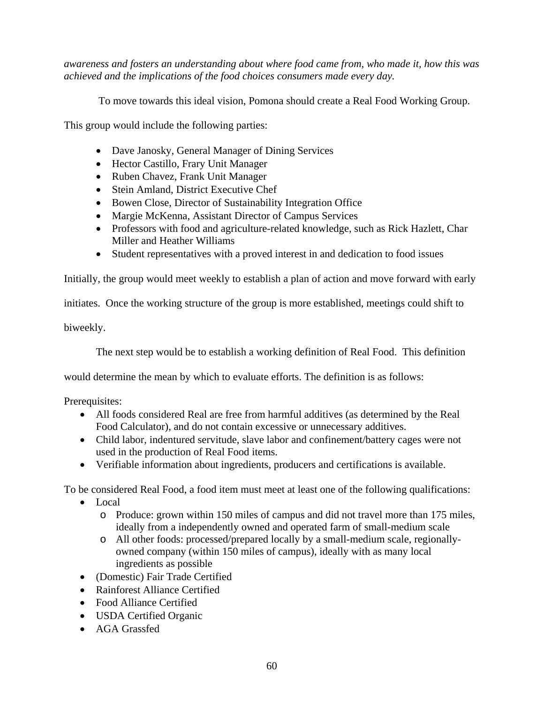*awareness and fosters an understanding about where food came from, who made it, how this was achieved and the implications of the food choices consumers made every day.* 

To move towards this ideal vision, Pomona should create a Real Food Working Group.

This group would include the following parties:

- Dave Janosky, General Manager of Dining Services
- Hector Castillo, Frary Unit Manager
- Ruben Chavez, Frank Unit Manager
- Stein Amland, District Executive Chef
- Bowen Close, Director of Sustainability Integration Office
- Margie McKenna, Assistant Director of Campus Services
- Professors with food and agriculture-related knowledge, such as Rick Hazlett, Char Miller and Heather Williams
- Student representatives with a proved interest in and dedication to food issues

Initially, the group would meet weekly to establish a plan of action and move forward with early

initiates. Once the working structure of the group is more established, meetings could shift to

biweekly.

The next step would be to establish a working definition of Real Food. This definition

would determine the mean by which to evaluate efforts. The definition is as follows:

Prerequisites:

- All foods considered Real are free from harmful additives (as determined by the Real Food Calculator), and do not contain excessive or unnecessary additives.
- Child labor, indentured servitude, slave labor and confinement/battery cages were not used in the production of Real Food items.
- Verifiable information about ingredients, producers and certifications is available.

To be considered Real Food, a food item must meet at least one of the following qualifications:

- Local
	- o Produce: grown within 150 miles of campus and did not travel more than 175 miles, ideally from a independently owned and operated farm of small-medium scale
	- o All other foods: processed/prepared locally by a small-medium scale, regionallyowned company (within 150 miles of campus), ideally with as many local ingredients as possible
- (Domestic) Fair Trade Certified
- Rainforest Alliance Certified
- Food Alliance Certified
- USDA Certified Organic
- AGA Grassfed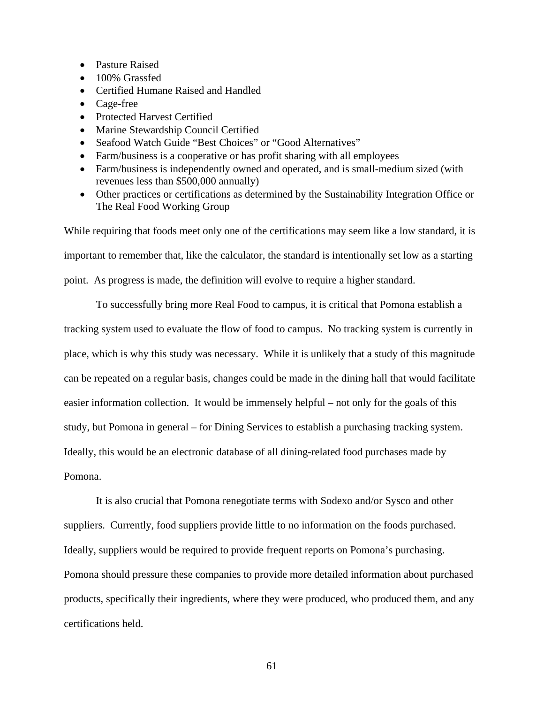- Pasture Raised
- 100% Grassfed
- Certified Humane Raised and Handled
- Cage-free
- Protected Harvest Certified
- Marine Stewardship Council Certified
- Seafood Watch Guide "Best Choices" or "Good Alternatives"
- Farm/business is a cooperative or has profit sharing with all employees
- Farm/business is independently owned and operated, and is small-medium sized (with revenues less than \$500,000 annually)
- Other practices or certifications as determined by the Sustainability Integration Office or The Real Food Working Group

While requiring that foods meet only one of the certifications may seem like a low standard, it is important to remember that, like the calculator, the standard is intentionally set low as a starting point. As progress is made, the definition will evolve to require a higher standard.

 To successfully bring more Real Food to campus, it is critical that Pomona establish a tracking system used to evaluate the flow of food to campus. No tracking system is currently in place, which is why this study was necessary. While it is unlikely that a study of this magnitude can be repeated on a regular basis, changes could be made in the dining hall that would facilitate easier information collection. It would be immensely helpful – not only for the goals of this study, but Pomona in general – for Dining Services to establish a purchasing tracking system. Ideally, this would be an electronic database of all dining-related food purchases made by Pomona.

 It is also crucial that Pomona renegotiate terms with Sodexo and/or Sysco and other suppliers. Currently, food suppliers provide little to no information on the foods purchased. Ideally, suppliers would be required to provide frequent reports on Pomona's purchasing. Pomona should pressure these companies to provide more detailed information about purchased products, specifically their ingredients, where they were produced, who produced them, and any certifications held.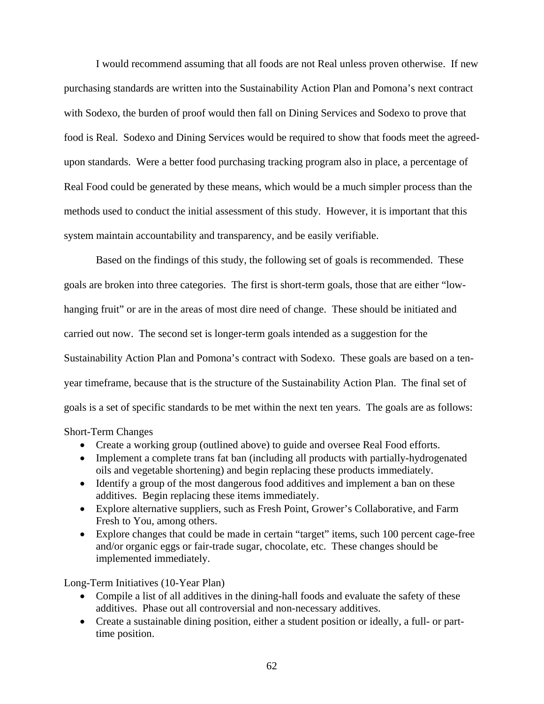I would recommend assuming that all foods are not Real unless proven otherwise. If new purchasing standards are written into the Sustainability Action Plan and Pomona's next contract with Sodexo, the burden of proof would then fall on Dining Services and Sodexo to prove that food is Real. Sodexo and Dining Services would be required to show that foods meet the agreedupon standards. Were a better food purchasing tracking program also in place, a percentage of Real Food could be generated by these means, which would be a much simpler process than the methods used to conduct the initial assessment of this study. However, it is important that this system maintain accountability and transparency, and be easily verifiable.

 Based on the findings of this study, the following set of goals is recommended. These goals are broken into three categories. The first is short-term goals, those that are either "lowhanging fruit" or are in the areas of most dire need of change. These should be initiated and carried out now. The second set is longer-term goals intended as a suggestion for the Sustainability Action Plan and Pomona's contract with Sodexo. These goals are based on a tenyear timeframe, because that is the structure of the Sustainability Action Plan. The final set of goals is a set of specific standards to be met within the next ten years. The goals are as follows:

#### Short-Term Changes

- Create a working group (outlined above) to guide and oversee Real Food efforts.
- Implement a complete trans fat ban (including all products with partially-hydrogenated oils and vegetable shortening) and begin replacing these products immediately.
- Identify a group of the most dangerous food additives and implement a ban on these additives. Begin replacing these items immediately.
- Explore alternative suppliers, such as Fresh Point, Grower's Collaborative, and Farm Fresh to You, among others.
- Explore changes that could be made in certain "target" items, such 100 percent cage-free and/or organic eggs or fair-trade sugar, chocolate, etc. These changes should be implemented immediately.

Long-Term Initiatives (10-Year Plan)

- Compile a list of all additives in the dining-hall foods and evaluate the safety of these additives. Phase out all controversial and non-necessary additives.
- Create a sustainable dining position, either a student position or ideally, a full- or parttime position.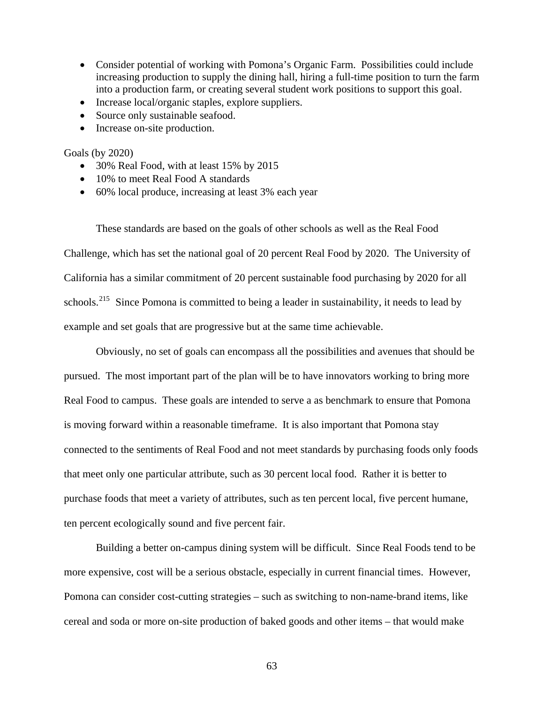- Consider potential of working with Pomona's Organic Farm. Possibilities could include increasing production to supply the dining hall, hiring a full-time position to turn the farm into a production farm, or creating several student work positions to support this goal.
- Increase local/organic staples, explore suppliers.
- Source only sustainable seafood.
- Increase on-site production.

Goals (by 2020)

- 30% Real Food, with at least 15% by 2015
- 10% to meet Real Food A standards
- 60% local produce, increasing at least 3% each year

 These standards are based on the goals of other schools as well as the Real Food Challenge, which has set the national goal of 20 percent Real Food by 2020. The University of California has a similar commitment of 20 percent sustainable food purchasing by 2020 for all schools.<sup>[215](#page-85-1)</sup> Since Pomona is committed to being a leader in sustainability, it needs to lead by example and set goals that are progressive but at the same time achievable.

 Obviously, no set of goals can encompass all the possibilities and avenues that should be pursued. The most important part of the plan will be to have innovators working to bring more Real Food to campus. These goals are intended to serve a as benchmark to ensure that Pomona is moving forward within a reasonable timeframe. It is also important that Pomona stay connected to the sentiments of Real Food and not meet standards by purchasing foods only foods that meet only one particular attribute, such as 30 percent local food. Rather it is better to purchase foods that meet a variety of attributes, such as ten percent local, five percent humane, ten percent ecologically sound and five percent fair.

 Building a better on-campus dining system will be difficult. Since Real Foods tend to be more expensive, cost will be a serious obstacle, especially in current financial times. However, Pomona can consider cost-cutting strategies – such as switching to non-name-brand items, like cereal and soda or more on-site production of baked goods and other items – that would make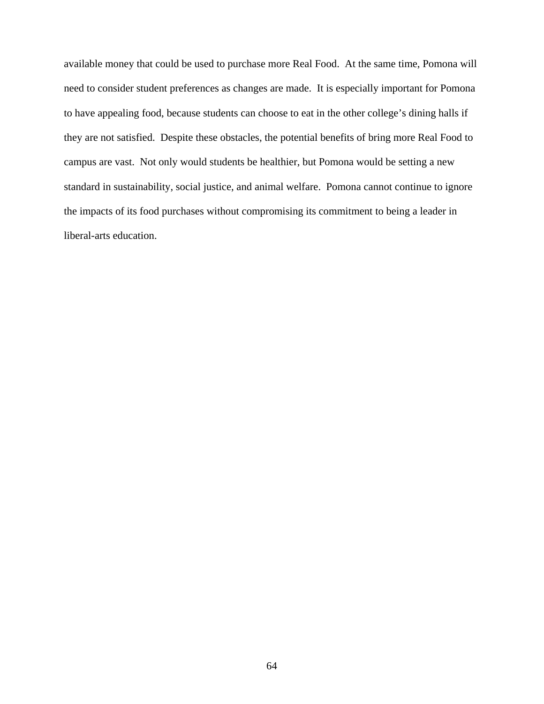available money that could be used to purchase more Real Food. At the same time, Pomona will need to consider student preferences as changes are made. It is especially important for Pomona to have appealing food, because students can choose to eat in the other college's dining halls if they are not satisfied. Despite these obstacles, the potential benefits of bring more Real Food to campus are vast. Not only would students be healthier, but Pomona would be setting a new standard in sustainability, social justice, and animal welfare. Pomona cannot continue to ignore the impacts of its food purchases without compromising its commitment to being a leader in liberal-arts education.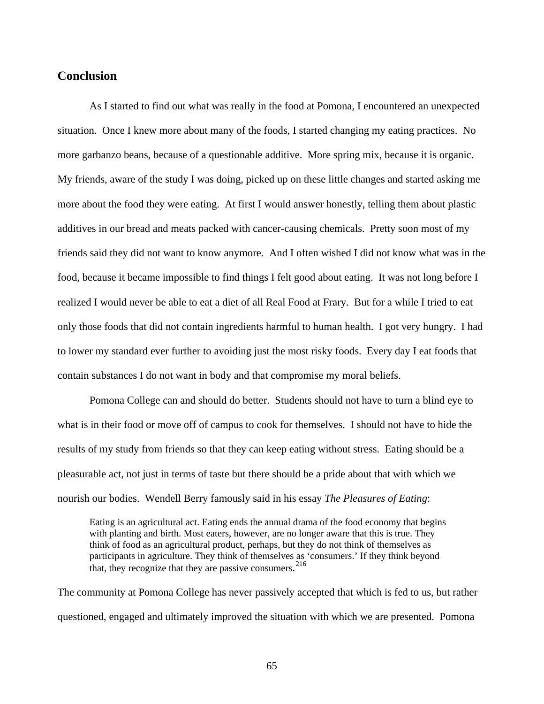## **Conclusion**

 As I started to find out what was really in the food at Pomona, I encountered an unexpected situation. Once I knew more about many of the foods, I started changing my eating practices. No more garbanzo beans, because of a questionable additive. More spring mix, because it is organic. My friends, aware of the study I was doing, picked up on these little changes and started asking me more about the food they were eating. At first I would answer honestly, telling them about plastic additives in our bread and meats packed with cancer-causing chemicals. Pretty soon most of my friends said they did not want to know anymore. And I often wished I did not know what was in the food, because it became impossible to find things I felt good about eating. It was not long before I realized I would never be able to eat a diet of all Real Food at Frary. But for a while I tried to eat only those foods that did not contain ingredients harmful to human health. I got very hungry. I had to lower my standard ever further to avoiding just the most risky foods. Every day I eat foods that contain substances I do not want in body and that compromise my moral beliefs.

 Pomona College can and should do better. Students should not have to turn a blind eye to what is in their food or move off of campus to cook for themselves. I should not have to hide the results of my study from friends so that they can keep eating without stress. Eating should be a pleasurable act, not just in terms of taste but there should be a pride about that with which we nourish our bodies. Wendell Berry famously said in his essay *The Pleasures of Eating*:

Eating is an agricultural act. Eating ends the annual drama of the food economy that begins with planting and birth. Most eaters, however, are no longer aware that this is true. They think of food as an agricultural product, perhaps, but they do not think of themselves as participants in agriculture. They think of themselves as 'consumers.' If they think beyond that, they recognize that they are passive consumers. [216](#page-85-2)

The community at Pomona College has never passively accepted that which is fed to us, but rather questioned, engaged and ultimately improved the situation with which we are presented. Pomona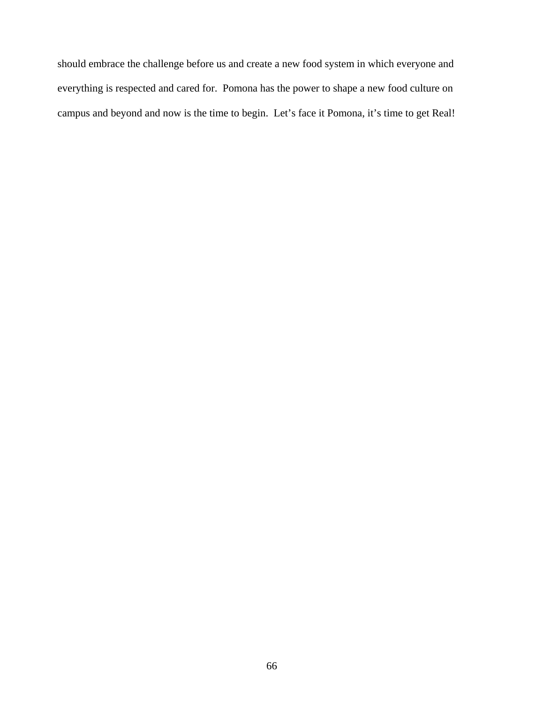should embrace the challenge before us and create a new food system in which everyone and everything is respected and cared for. Pomona has the power to shape a new food culture on campus and beyond and now is the time to begin. Let's face it Pomona, it's time to get Real!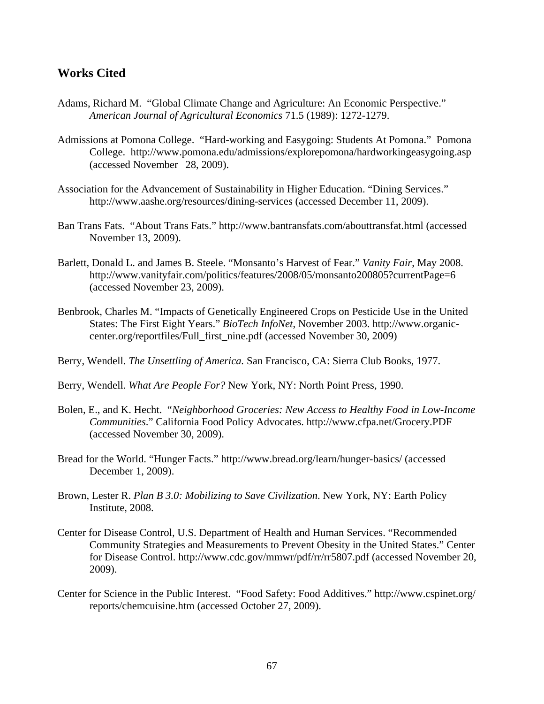## **Works Cited**

- Adams, Richard M. "Global Climate Change and Agriculture: An Economic Perspective." *American Journal of Agricultural Economics* 71.5 (1989): 1272-1279.
- Admissions at Pomona College. "Hard-working and Easygoing: Students At Pomona." Pomona College. http://www.pomona.edu/admissions/explorepomona/hardworkingeasygoing.asp (accessed November 28, 2009).
- Association for the Advancement of Sustainability in Higher Education. "Dining Services." http://www.aashe.org/resources/dining-services (accessed December 11, 2009).
- Ban Trans Fats. "About Trans Fats." http://www.bantransfats.com/abouttransfat.html (accessed November 13, 2009).
- Barlett, Donald L. and James B. Steele. "Monsanto's Harvest of Fear." *Vanity Fair*, May 2008. http://www.vanityfair.com/politics/features/2008/05/monsanto200805?currentPage=6 (accessed November 23, 2009).
- Benbrook, Charles M. "Impacts of Genetically Engineered Crops on Pesticide Use in the United States: The First Eight Years." *BioTech InfoNet*, November 2003. http://www.organic center.org/reportfiles/Full\_first\_nine.pdf (accessed November 30, 2009)
- Berry, Wendell. *The Unsettling of America.* San Francisco, CA: Sierra Club Books, 1977.
- Berry, Wendell. *What Are People For?* New York, NY: North Point Press, 1990.
- Bolen, E., and K. Hecht. "*Neighborhood Groceries: New Access to Healthy Food in Low-Income Communities*." California Food Policy Advocates. http://www.cfpa.net/Grocery.PDF (accessed November 30, 2009).
- Bread for the World. "Hunger Facts." http://www.bread.org/learn/hunger-basics/ (accessed December 1, 2009).
- Brown, Lester R. *Plan B 3.0: Mobilizing to Save Civilization*. New York, NY: Earth Policy Institute, 2008.
- Center for Disease Control, U.S. Department of Health and Human Services. "Recommended Community Strategies and Measurements to Prevent Obesity in the United States." Center for Disease Control. http://www.cdc.gov/mmwr/pdf/rr/rr5807.pdf (accessed November 20, 2009).
- Center for Science in the Public Interest. "Food Safety: Food Additives." http://www.cspinet.org/ reports/chemcuisine.htm (accessed October 27, 2009).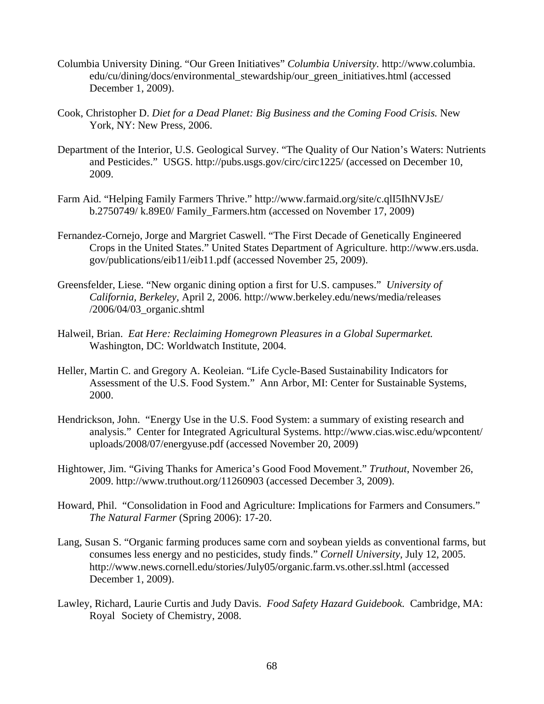- Columbia University Dining. "Our Green Initiatives" *Columbia University.* http://www.columbia. edu/cu/dining/docs/environmental\_stewardship/our\_green\_initiatives.html (accessed December 1, 2009).
- Cook, Christopher D. *Diet for a Dead Planet: Big Business and the Coming Food Crisis.* New York, NY: New Press, 2006.
- Department of the Interior, U.S. Geological Survey. "The Quality of Our Nation's Waters: Nutrients and Pesticides." USGS. http://pubs.usgs.gov/circ/circ1225/ (accessed on December 10, 2009.
- Farm Aid. "Helping Family Farmers Thrive." http://www.farmaid.org/site/c.qlI5IhNVJsE/ b.2750749/ k.89E0/ Family\_Farmers.htm (accessed on November 17, 2009)
- Fernandez-Cornejo, Jorge and Margriet Caswell. "The First Decade of Genetically Engineered Crops in the United States." United States Department of Agriculture. http://www.ers.usda. gov/publications/eib11/eib11.pdf (accessed November 25, 2009).
- Greensfelder, Liese. "New organic dining option a first for U.S. campuses." *University of California, Berkeley,* April 2, 2006. http://www.berkeley.edu/news/media/releases /2006/04/03\_organic.shtml
- Halweil, Brian. *Eat Here: Reclaiming Homegrown Pleasures in a Global Supermarket.* Washington, DC: Worldwatch Institute, 2004.
- Heller, Martin C. and Gregory A. Keoleian. "Life Cycle-Based Sustainability Indicators for Assessment of the U.S. Food System." Ann Arbor, MI: Center for Sustainable Systems, 2000.
- Hendrickson, John. "Energy Use in the U.S. Food System: a summary of existing research and analysis." Center for Integrated Agricultural Systems. http://www.cias.wisc.edu/wpcontent/ uploads/2008/07/energyuse.pdf (accessed November 20, 2009)
- Hightower, Jim. "Giving Thanks for America's Good Food Movement." *Truthout*, November 26, 2009. http://www.truthout.org/11260903 (accessed December 3, 2009).
- Howard, Phil. "Consolidation in Food and Agriculture: Implications for Farmers and Consumers." *The Natural Farmer* (Spring 2006): 17-20.
- Lang, Susan S. "Organic farming produces same corn and soybean yields as conventional farms, but consumes less energy and no pesticides, study finds." *Cornell University,* July 12, 2005. http://www.news.cornell.edu/stories/July05/organic.farm.vs.other.ssl.html (accessed December 1, 2009).
- Lawley, Richard, Laurie Curtis and Judy Davis. *Food Safety Hazard Guidebook.* Cambridge, MA: Royal Society of Chemistry, 2008.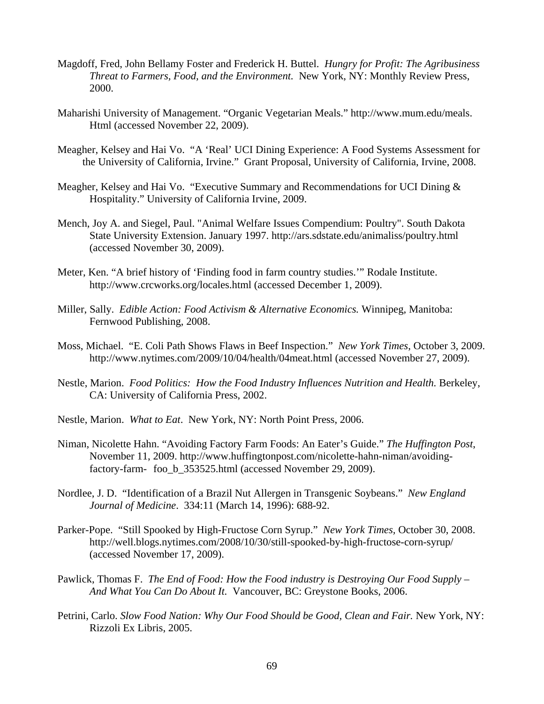- Magdoff, Fred, John Bellamy Foster and Frederick H. Buttel. *Hungry for Profit: The Agribusiness Threat to Farmers, Food, and the Environment.* New York, NY: Monthly Review Press, 2000.
- Maharishi University of Management. "Organic Vegetarian Meals." http://www.mum.edu/meals. Html (accessed November 22, 2009).
- Meagher, Kelsey and Hai Vo. "A 'Real' UCI Dining Experience: A Food Systems Assessment for the University of California, Irvine." Grant Proposal, University of California, Irvine, 2008.
- Meagher, Kelsey and Hai Vo. "Executive Summary and Recommendations for UCI Dining & Hospitality." University of California Irvine, 2009.
- Mench, Joy A. and Siegel, Paul. "Animal Welfare Issues Compendium: Poultry". South Dakota State University Extension. January 1997. http://ars.sdstate.edu/animaliss/poultry.html (accessed November 30, 2009).
- Meter, Ken. "A brief history of 'Finding food in farm country studies.'" Rodale Institute. http://www.crcworks.org/locales.html (accessed December 1, 2009).
- Miller, Sally. *Edible Action: Food Activism & Alternative Economics.* Winnipeg, Manitoba: Fernwood Publishing, 2008.
- Moss, Michael. "E. Coli Path Shows Flaws in Beef Inspection." *New York Times*, October 3, 2009. http://www.nytimes.com/2009/10/04/health/04meat.html (accessed November 27, 2009).
- Nestle, Marion. *Food Politics: How the Food Industry Influences Nutrition and Health.* Berkeley, CA: University of California Press, 2002.
- Nestle, Marion. *What to Eat*. New York, NY: North Point Press, 2006.
- Niman, Nicolette Hahn. "Avoiding Factory Farm Foods: An Eater's Guide." *The Huffington Post*, November 11, 2009. http://www.huffingtonpost.com/nicolette-hahn-niman/avoiding factory-farm- foo\_b\_353525.html (accessed November 29, 2009).
- Nordlee, J. D. "Identification of a Brazil Nut Allergen in Transgenic Soybeans." *New England Journal of Medicine*. 334:11 (March 14, 1996): 688-92.
- Parker-Pope. "Still Spooked by High-Fructose Corn Syrup." *New York Times,* October 30, 2008. http://well.blogs.nytimes.com/2008/10/30/still-spooked-by-high-fructose-corn-syrup/ (accessed November 17, 2009).
- Pawlick, Thomas F. *The End of Food: How the Food industry is Destroying Our Food Supply And What You Can Do About It.* Vancouver, BC: Greystone Books, 2006.
- Petrini, Carlo. *Slow Food Nation: Why Our Food Should be Good, Clean and Fair.* New York, NY: Rizzoli Ex Libris, 2005.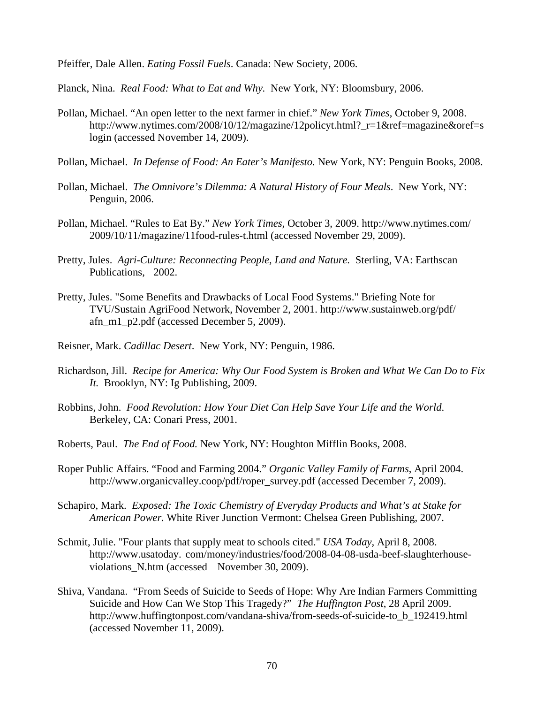Pfeiffer, Dale Allen. *Eating Fossil Fuels*. Canada: New Society, 2006.

Planck, Nina. *Real Food: What to Eat and Why.* New York, NY: Bloomsbury, 2006.

- Pollan, Michael. "An open letter to the next farmer in chief." *New York Times*, October 9, 2008. http://www.nytimes.com/2008/10/12/magazine/12policyt.html?\_r=1&ref=magazine&oref=s login (accessed November 14, 2009).
- Pollan, Michael. *In Defense of Food: An Eater's Manifesto.* New York, NY: Penguin Books, 2008.
- Pollan, Michael. *The Omnivore's Dilemma: A Natural History of Four Meals*. New York, NY: Penguin, 2006.
- Pollan, Michael. "Rules to Eat By." *New York Times,* October 3, 2009. http://www.nytimes.com/ 2009/10/11/magazine/11food-rules-t.html (accessed November 29, 2009).
- Pretty, Jules. *Agri-Culture: Reconnecting People, Land and Nature.* Sterling, VA: Earthscan Publications, 2002.
- Pretty, Jules. "Some Benefits and Drawbacks of Local Food Systems." Briefing Note for TVU/Sustain AgriFood Network, November 2, 2001. http://www.sustainweb.org/pdf/ afn\_m1\_p2.pdf (accessed December 5, 2009).
- Reisner, Mark. *Cadillac Desert*. New York, NY: Penguin, 1986.
- Richardson, Jill. *Recipe for America: Why Our Food System is Broken and What We Can Do to Fix It.* Brooklyn, NY: Ig Publishing, 2009.
- Robbins, John. *Food Revolution: How Your Diet Can Help Save Your Life and the World*. Berkeley, CA: Conari Press, 2001.
- Roberts, Paul. *The End of Food.* New York, NY: Houghton Mifflin Books, 2008.
- Roper Public Affairs. "Food and Farming 2004." *Organic Valley Family of Farms*, April 2004. http://www.organicvalley.coop/pdf/roper\_survey.pdf (accessed December 7, 2009).
- Schapiro, Mark. *Exposed: The Toxic Chemistry of Everyday Products and What's at Stake for American Power.* White River Junction Vermont: Chelsea Green Publishing, 2007.
- Schmit, Julie. "Four plants that supply meat to schools cited." *USA Today,* April 8, 2008. http://www.usatoday. com/money/industries/food/2008-04-08-usda-beef-slaughterhouse violations\_N.htm (accessed November 30, 2009).
- Shiva, Vandana. "From Seeds of Suicide to Seeds of Hope: Why Are Indian Farmers Committing Suicide and How Can We Stop This Tragedy?" *The Huffington Post*, 28 April 2009. http://www.huffingtonpost.com/vandana-shiva/from-seeds-of-suicide-to\_b\_192419.html (accessed November 11, 2009).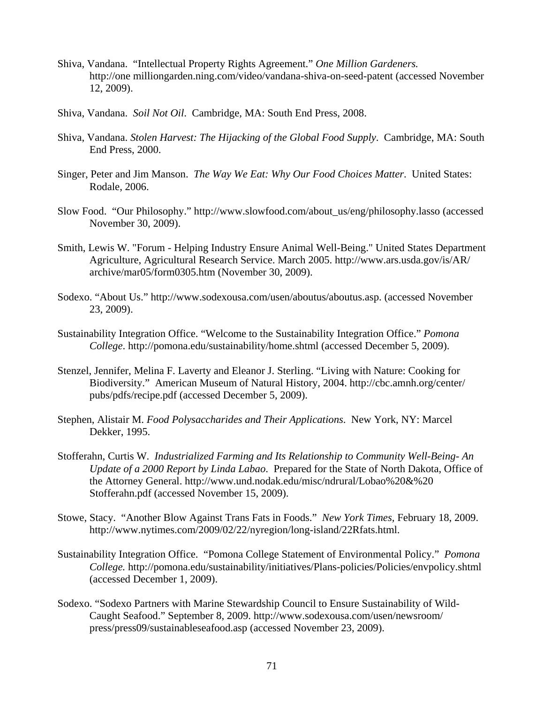- Shiva, Vandana. "Intellectual Property Rights Agreement." *One Million Gardeners.* http://one milliongarden.ning.com/video/vandana-shiva-on-seed-patent (accessed November 12, 2009).
- Shiva, Vandana. *Soil Not Oil*. Cambridge, MA: South End Press, 2008.
- Shiva, Vandana. *Stolen Harvest: The Hijacking of the Global Food Supply*. Cambridge, MA: South End Press, 2000.
- Singer, Peter and Jim Manson. *The Way We Eat: Why Our Food Choices Matter*. United States: Rodale, 2006.
- Slow Food. "Our Philosophy." http://www.slowfood.com/about\_us/eng/philosophy.lasso (accessed November 30, 2009).
- Smith, Lewis W. "Forum Helping Industry Ensure Animal Well-Being." United States Department Agriculture, Agricultural Research Service. March 2005. http://www.ars.usda.gov/is/AR/ archive/mar05/form0305.htm (November 30, 2009).
- Sodexo. "About Us." http://www.sodexousa.com/usen/aboutus/aboutus.asp. (accessed November 23, 2009).
- Sustainability Integration Office. "Welcome to the Sustainability Integration Office." *Pomona College*. http://pomona.edu/sustainability/home.shtml (accessed December 5, 2009).
- Stenzel, Jennifer, Melina F. Laverty and Eleanor J. Sterling. "Living with Nature: Cooking for Biodiversity." American Museum of Natural History, 2004. http://cbc.amnh.org/center/ pubs/pdfs/recipe.pdf (accessed December 5, 2009).
- Stephen, Alistair M. *Food Polysaccharides and Their Applications*. New York, NY: Marcel Dekker, 1995.
- Stofferahn, Curtis W. *Industrialized Farming and Its Relationship to Community Well-Being- An Update of a 2000 Report by Linda Labao*. Prepared for the State of North Dakota, Office of the Attorney General. http://www.und.nodak.edu/misc/ndrural/Lobao%20&%20 Stofferahn.pdf (accessed November 15, 2009).
- Stowe, Stacy. "Another Blow Against Trans Fats in Foods." *New York Times,* February 18, 2009. http://www.nytimes.com/2009/02/22/nyregion/long-island/22Rfats.html.
- Sustainability Integration Office. "Pomona College Statement of Environmental Policy." *Pomona College.* http://pomona.edu/sustainability/initiatives/Plans-policies/Policies/envpolicy.shtml (accessed December 1, 2009).
- Sodexo. "Sodexo Partners with Marine Stewardship Council to Ensure Sustainability of Wild- Caught Seafood." September 8, 2009. http://www.sodexousa.com/usen/newsroom/ press/press09/sustainableseafood.asp (accessed November 23, 2009).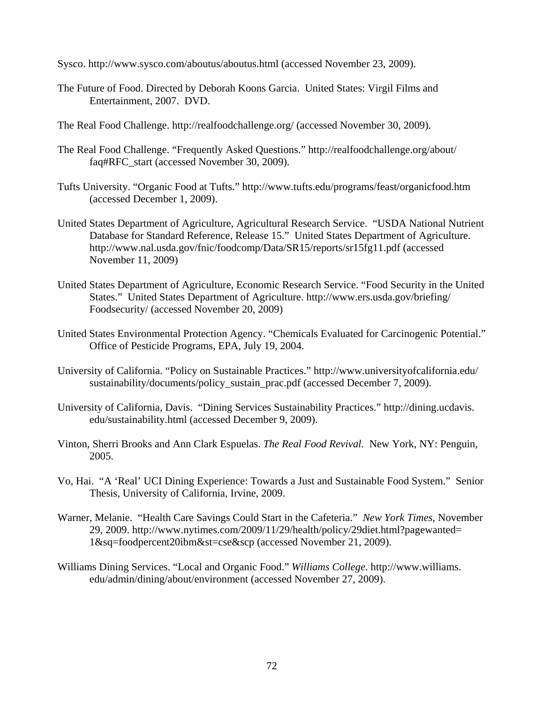Sysco. http://www.sysco.com/aboutus/aboutus.html (accessed November 23, 2009).

- The Future of Food. Directed by Deborah Koons Garcia. United States: Virgil Films and Entertainment, 2007. DVD.
- The Real Food Challenge. http://realfoodchallenge.org/ (accessed November 30, 2009).
- The Real Food Challenge. "Frequently Asked Questions." http://realfoodchallenge.org/about/ faq#RFC\_start (accessed November 30, 2009).
- Tufts University. "Organic Food at Tufts." http://www.tufts.edu/programs/feast/organicfood.htm (accessed December 1, 2009).
- United States Department of Agriculture, Agricultural Research Service. "USDA National Nutrient Database for Standard Reference, Release 15." United States Department of Agriculture. http://www.nal.usda.gov/fnic/foodcomp/Data/SR15/reports/sr15fg11.pdf (accessed November 11, 2009)
- United States Department of Agriculture, Economic Research Service. "Food Security in the United States." United States Department of Agriculture. http://www.ers.usda.gov/briefing/ Foodsecurity/ (accessed November 20, 2009)
- United States Environmental Protection Agency. "Chemicals Evaluated for Carcinogenic Potential." Office of Pesticide Programs, EPA, July 19, 2004.
- University of California. "Policy on Sustainable Practices." http://www.universityofcalifornia.edu/ sustainability/documents/policy\_sustain\_prac.pdf (accessed December 7, 2009).
- University of California, Davis. "Dining Services Sustainability Practices." http://dining.ucdavis. edu/sustainability.html (accessed December 9, 2009).
- Vinton, Sherri Brooks and Ann Clark Espuelas. *The Real Food Revival.* New York, NY: Penguin, 2005.
- Vo, Hai. "A 'Real' UCI Dining Experience: Towards a Just and Sustainable Food System." Senior Thesis, University of California, Irvine, 2009.
- Warner, Melanie. "Health Care Savings Could Start in the Cafeteria." *New York Times,* November 29, 2009. http://www.nytimes.com/2009/11/29/health/policy/29diet.html?pagewanted= 1&sq=foodpercent20ibm&st=cse&scp (accessed November 21, 2009).
- Williams Dining Services. "Local and Organic Food." *Williams College*. http://www.williams. edu/admin/dining/about/environment (accessed November 27, 2009).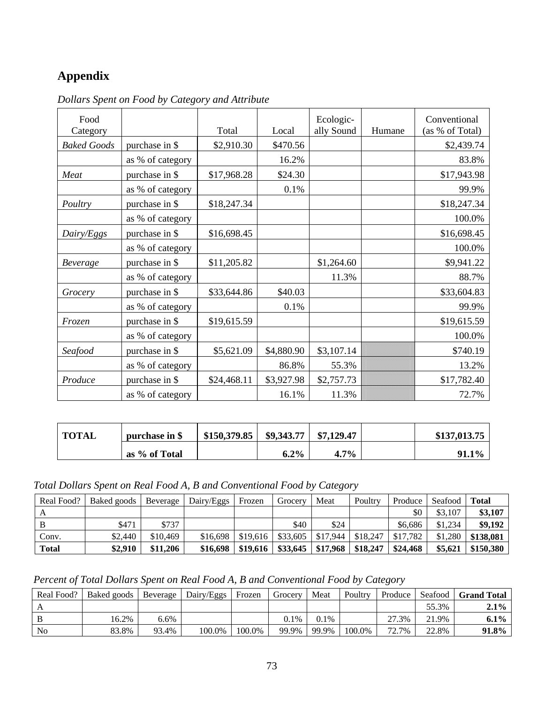## **Appendix**

| Food               |                  |             |            | Ecologic-  |        | Conventional    |
|--------------------|------------------|-------------|------------|------------|--------|-----------------|
| Category           |                  | Total       | Local      | ally Sound | Humane | (as % of Total) |
| <b>Baked Goods</b> | purchase in \$   | \$2,910.30  | \$470.56   |            |        | \$2,439.74      |
|                    | as % of category |             | 16.2%      |            |        | 83.8%           |
| Meat               | purchase in \$   | \$17,968.28 | \$24.30    |            |        | \$17,943.98     |
|                    | as % of category |             | 0.1%       |            |        | 99.9%           |
| Poultry            | purchase in \$   | \$18,247.34 |            |            |        | \$18,247.34     |
|                    | as % of category |             |            |            |        | 100.0%          |
| Dairy/Eggs         | purchase in \$   | \$16,698.45 |            |            |        | \$16,698.45     |
|                    | as % of category |             |            |            |        | 100.0%          |
| <b>Beverage</b>    | purchase in \$   | \$11,205.82 |            | \$1,264.60 |        | \$9,941.22      |
|                    | as % of category |             |            | 11.3%      |        | 88.7%           |
| Grocery            | purchase in \$   | \$33,644.86 | \$40.03    |            |        | \$33,604.83     |
|                    | as % of category |             | 0.1%       |            |        | 99.9%           |
| Frozen             | purchase in \$   | \$19,615.59 |            |            |        | \$19,615.59     |
|                    | as % of category |             |            |            |        | 100.0%          |
| Seafood            | purchase in \$   | \$5,621.09  | \$4,880.90 | \$3,107.14 |        | \$740.19        |
|                    | as % of category |             | 86.8%      | 55.3%      |        | 13.2%           |
| Produce            | purchase in \$   | \$24,468.11 | \$3,927.98 | \$2,757.73 |        | \$17,782.40     |
|                    | as % of category |             | 16.1%      | 11.3%      |        | 72.7%           |

*Dollars Spent on Food by Category and Attribute* 

| <b>TOTAL</b> | purchase in \$ | $$150,379.85$   \$9,343.77 |         | \$7,129.47 | \$137,013.75 |
|--------------|----------------|----------------------------|---------|------------|--------------|
|              | as % of Total  |                            | $6.2\%$ | $4.7\%$    | 91.1%        |

*Total Dollars Spent on Real Food A, B and Conventional Food by Category* 

| Real Food?   | Baked goods | Beverage | Dairy/Eggs | Frozen   | Grocerv  | Meat     | Poultry  | Produce  | Seafood | <b>Total</b> |
|--------------|-------------|----------|------------|----------|----------|----------|----------|----------|---------|--------------|
| А            |             |          |            |          |          |          |          | \$0      | \$3,107 | \$3,107      |
| В            | \$471       | \$737    |            |          | \$40     | \$24     |          | \$6.686  | \$1,234 | \$9,192      |
| Conv.        | \$2,440     | \$10,469 | \$16,698   | \$19,616 | \$33,605 | \$17.944 | \$18,247 | \$17.782 | \$1,280 | \$138,081    |
| <b>Total</b> | \$2,910     | \$11,206 | \$16,698   | \$19,616 | \$33,645 | \$17,968 | \$18,247 | \$24,468 | \$5,621 | \$150,380    |

*Percent of Total Dollars Spent on Real Food A, B and Conventional Food by Category* 

| Real Food? | Baked goods | Beverage | Dairy/Eggs | Frozen | Grocery | Meat  | Poultry | Produce | Seafood | Grand Total |
|------------|-------------|----------|------------|--------|---------|-------|---------|---------|---------|-------------|
| A          |             |          |            |        |         |       |         |         | 55.3%   | $2.1\%$     |
| B          | 16.2%       | 6.6%     |            |        | $0.1\%$ | 0.1%  |         | 27.3%   | 21.9%   | $6.1\%$     |
| No         | 83.8%       | 93.4%    | 100.0%     | 100.0% | 99.9%   | 99.9% | 100.0%  | 72.7%   | 22.8%   | 91.8%       |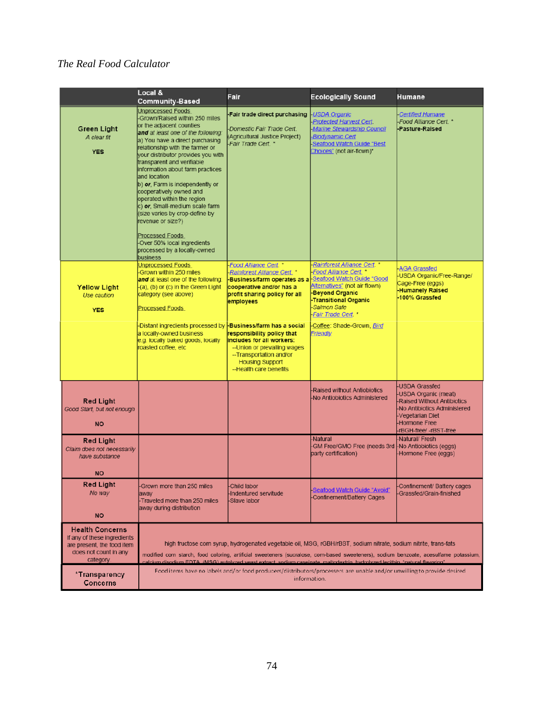## *The Real Food Calculator*

|                                                                                                                           | Local &<br><b>Community-Based</b>                                                                                                                                                                                                                                                                                                                                                                                                                                                                                                                                                                                    | Fair                                                                                                                                                                                                         | <b>Ecologically Sound</b>                                                                                                                                                                                                                                                                                                                                                                  | Humane                                                                                                                                                                           |
|---------------------------------------------------------------------------------------------------------------------------|----------------------------------------------------------------------------------------------------------------------------------------------------------------------------------------------------------------------------------------------------------------------------------------------------------------------------------------------------------------------------------------------------------------------------------------------------------------------------------------------------------------------------------------------------------------------------------------------------------------------|--------------------------------------------------------------------------------------------------------------------------------------------------------------------------------------------------------------|--------------------------------------------------------------------------------------------------------------------------------------------------------------------------------------------------------------------------------------------------------------------------------------------------------------------------------------------------------------------------------------------|----------------------------------------------------------------------------------------------------------------------------------------------------------------------------------|
| <b>Green Light</b><br>A clear fit<br><b>YES</b>                                                                           | <b>Unprocessed Foods</b><br>-Grown/Raised within 250 miles<br>or the adjacent counties<br>and at least one of the following:<br>a) You have a direct purchasing<br>relationship with the farmer or<br>your distributor provides you with<br>transparent and verifiable<br>information about farm practices<br>and location<br>b) or, Farm is independently or<br>cooperatively owned and<br>operated within the region<br>c) or, Small-medium scale farm<br>(size varies by crop-define by<br>revenue or size?)<br><b>Processed Foods</b><br>-Over 50% local ingredients<br>processed by a locally-owned<br>business | Fair trade direct purchasing<br>Domestic Fair Trade Cert.<br>(Agricultural Justice Project)<br>-Fair Trade Cert. *                                                                                           | <b>USDA Organic</b><br>Protected Harvest Cert.<br>-Marine Stewardship Council<br><b>Biodynamic Cert</b><br>Seafood Watch Guide "Best<br>Choices" (not air-flown)*                                                                                                                                                                                                                          | <b>Certified Humane</b><br>-Food Alliance Cert. *<br>-Pasture-Raised                                                                                                             |
| <b>Yellow Light</b><br>Use caution<br><b>YES</b>                                                                          | <b>Unprocessed Foods</b><br>Grown within 250 miles<br>and at least one of the following:<br>-(a), (b) or (c) in the Green Light<br>category (see above)<br><b>Processed Foods</b>                                                                                                                                                                                                                                                                                                                                                                                                                                    | <b>Food Alliance Cert</b><br>Rainforest Alliance Cert. *<br>Business/farm operates as a<br>cooperative and/or has a<br>profit sharing policy for all<br>employees                                            | -Rainforest Alliance Cert. *<br>Food Alliance Cert.<br>Seafood Watch Guide "Good<br>Alternatives" (not air flown)<br><b>Beyond Organic</b><br><b>Transitional Organic</b><br>Salmon Safe<br>-Fair Trade Cert. *                                                                                                                                                                            | <b>AGA Grassfed</b><br>USDA Organic/Free-Range/<br>Cage-Free (eggs)<br><b>Humanely Raised</b><br>100% Grassfed                                                                   |
|                                                                                                                           | -Distant ingredients processed by<br>a locally-owned business<br>e.g. locally baked goods, locally<br>roasted coffee, etc                                                                                                                                                                                                                                                                                                                                                                                                                                                                                            | <b>Business/farm has a social</b><br>responsibility policy that<br>includes for all workers:<br>-- Union or prevailing wages<br>-- Transportation and/or<br><b>Housing Support</b><br>--Health care benefits | Coffee: Shade-Grown, Bird<br>Friendly                                                                                                                                                                                                                                                                                                                                                      |                                                                                                                                                                                  |
| <b>Red Light</b><br>Good Start, but not enough<br><b>NO</b>                                                               |                                                                                                                                                                                                                                                                                                                                                                                                                                                                                                                                                                                                                      |                                                                                                                                                                                                              | <b>Raised without Antiobiotics</b><br>-No Antiobiotics Administered                                                                                                                                                                                                                                                                                                                        | -USDA Grassfed<br>-USDA Organic (meat)<br><b>Raised Without Antibiotics</b><br>-No Antibiotics Administered<br>-Vegetarian Diet<br><b>Hormone Free</b><br>-rBGH-free/ -rBST-free |
| <b>Red Light</b><br>Claim does not necessarily<br>have substance<br><b>NO</b>                                             |                                                                                                                                                                                                                                                                                                                                                                                                                                                                                                                                                                                                                      |                                                                                                                                                                                                              | -Natural<br>-GM Free/GMO Free (needs 3rd<br>party certification)                                                                                                                                                                                                                                                                                                                           | -Natural/ Fresh<br>-No Antiobiotics (eggs)<br>Hormone Free (eggs)                                                                                                                |
| <b>Red Light</b><br>No way<br><b>NO</b>                                                                                   | -Grown more than 250 miles<br>away<br>-Traveled more than 250 miles<br>away during distribution                                                                                                                                                                                                                                                                                                                                                                                                                                                                                                                      | Child labor<br>Indentured servitude<br>-Slave labor                                                                                                                                                          | -Seafood Watch Guide "Avoid"<br>-Confinement/Battery Cages                                                                                                                                                                                                                                                                                                                                 | Confinement/ Battery cages<br>-Grassfed/Grain-finished                                                                                                                           |
| <b>Health Concerns</b><br>If any of these ingredients<br>are present, the food item<br>does not count in any<br>category. |                                                                                                                                                                                                                                                                                                                                                                                                                                                                                                                                                                                                                      |                                                                                                                                                                                                              | high fructose corn syrup, hydrogenated vegetable oil, MSG, rGBH/rBST, sodium nitrate, sodium nitrite, trans-fats<br>modified corn starch, food coloring, artificial sweeteners (sucralose, corn-based sweeteners), sodium benzoate, acesulfame potassium,<br>"calcium disodium EDTA (MSG) autolyzed veast extract sodium caseinate, maltodextrin, hydrolyzed lecithin, "natural flavoring" |                                                                                                                                                                                  |
| *Transparency<br><b>Concerns</b>                                                                                          |                                                                                                                                                                                                                                                                                                                                                                                                                                                                                                                                                                                                                      |                                                                                                                                                                                                              | Food items have no labels and/or food producers/distributors/processers are unable and/or unwilling to provide desired<br>information.                                                                                                                                                                                                                                                     |                                                                                                                                                                                  |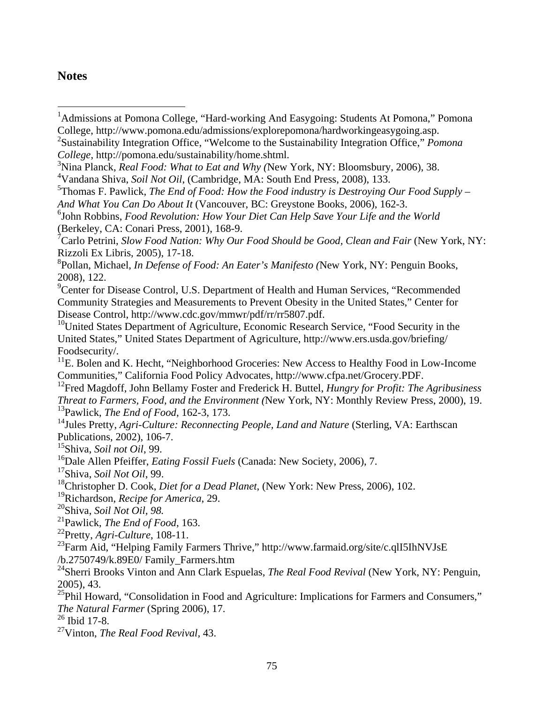## **Notes**

 $\overline{a}$ 

<sup>1</sup>Admissions at Pomona College, "Hard-working And Easygoing: Students At Pomona," Pomona College, http://www.pomona.edu/admissions/explorepomona/hardworkingeasygoing.asp.

<sup>5</sup>Thomas F. Pawlick, *The End of Food: How the Food industry is Destroying Our Food Supply – And What You Can Do About It* (Vancouver, BC: Greystone Books, 2006), 162-3.

<sup>7</sup> Carlo Petrini, *Slow Food Nation: Why Our Food Should be Good, Clean and Fair* (New York, NY: Rizzoli Ex Libris, 2005), 17-18.

<sup>9</sup> Center for Disease Control, U.S. Department of Health and Human Services, "Recommended Community Strategies and Measurements to Prevent Obesity in the United States," Center for Disease Control, http://www.cdc.gov/mmwr/pdf/rr/rr5807.pdf.

<sup>10</sup>United States Department of Agriculture, Economic Research Service, "Food Security in the United States," United States Department of Agriculture, http://www.ers.usda.gov/briefing/ Foodsecurity/.

 $11$ E. Bolen and K. Hecht, "Neighborhood Groceries: New Access to Healthy Food in Low-Income Communities," California Food Policy Advocates, http://www.cfpa.net/Grocery.PDF.

12Fred Magdoff, John Bellamy Foster and Frederick H. Buttel, *Hungry for Profit: The Agribusiness Threat to Farmers, Food, and the Environment (*New York, NY: Monthly Review Press, 2000), 19. 13Pawlick, *The End of Food*, 162-3, 173.

<sup>14</sup>Jules Pretty, *Agri-Culture: Reconnecting People, Land and Nature* (Sterling, VA: Earthscan Publications, 2002), 106-7.

15Shiva, *Soil not Oil*, 99.

<sup>16</sup>Dale Allen Pfeiffer, *Eating Fossil Fuels* (Canada: New Society, 2006), 7.

17Shiva, *Soil Not Oil*, 99.

18Christopher D. Cook, *Diet for a Dead Planet*, (New York: New Press, 2006), 102.

19Richardson, *Recipe for America*, 29.

20Shiva, *Soil Not Oil, 98.* 

21Pawlick, *The End of Food*, 163.

22Pretty, *Agri-Culture*, 108-11.

<sup>23</sup>Farm Aid, "Helping Family Farmers Thrive," http://www.farmaid.org/site/c.qlI5IhNVJsE /b.2750749/k.89E0/ Family\_Farmers.htm

<sup>24</sup>Sherri Brooks Vinton and Ann Clark Espuelas, *The Real Food Revival* (New York, NY: Penguin, 2005), 43.

<sup>25</sup>Phil Howard, "Consolidation in Food and Agriculture: Implications for Farmers and Consumers," *The Natural Farmer* (Spring 2006), 17.

26 Ibid 17-8.

27Vinton, *The Real Food Revival,* 43.

<sup>2</sup> Sustainability Integration Office, "Welcome to the Sustainability Integration Office," *Pomona College*, http://pomona.edu/sustainability/home.shtml.

<sup>3</sup> Nina Planck, *Real Food: What to Eat and Why (*New York, NY: Bloomsbury, 2006), 38.

<sup>4</sup> Vandana Shiva, *Soil Not Oil*, (Cambridge, MA: South End Press, 2008), 133.

<sup>6</sup> John Robbins, *Food Revolution: How Your Diet Can Help Save Your Life and the World* (Berkeley, CA: Conari Press, 2001), 168-9.

<sup>8</sup> Pollan, Michael, *In Defense of Food: An Eater's Manifesto (*New York, NY: Penguin Books, 2008), 122.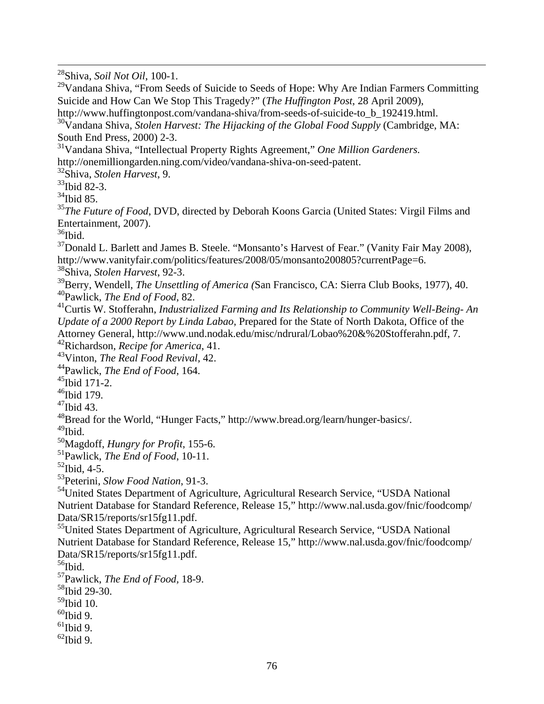28Shiva, *Soil Not Oil*, 100-1.

 $29$ Vandana Shiva, "From Seeds of Suicide to Seeds of Hope: Why Are Indian Farmers Committing Suicide and How Can We Stop This Tragedy?" (*The Huffington Post*, 28 April 2009),

http://www.huffingtonpost.com/vandana-shiva/from-seeds-of-suicide-to\_b\_192419.html.

<sup>30</sup>Vandana Shiva, *Stolen Harvest: The Hijacking of the Global Food Supply* (Cambridge, MA: South End Press, 2000) 2-3.

31Vandana Shiva, "Intellectual Property Rights Agreement," *One Million Gardeners.* http://onemilliongarden.ning.com/video/vandana-shiva-on-seed-patent.

32Shiva, *Stolen Harvest*, 9.

33Ibid 82-3.

 $34$ Ibid 85.

<sup>35</sup>The Future of Food, DVD, directed by Deborah Koons Garcia (United States: Virgil Films and Entertainment, 2007).

 $36$ Ibid.

 $37$ Donald L. Barlett and James B. Steele. "Monsanto's Harvest of Fear." (Vanity Fair May 2008), http://www.vanityfair.com/politics/features/2008/05/monsanto200805?currentPage=6.

38Shiva, *Stolen Harvest*, 92-3.

39Berry, Wendell, *The Unsettling of America (*San Francisco, CA: Sierra Club Books, 1977), 40. 40Pawlick, *The End of Food*, 82.

41Curtis W. Stofferahn, *Industrialized Farming and Its Relationship to Community Well-Being- An Update of a 2000 Report by Linda Labao*, Prepared for the State of North Dakota, Office of the Attorney General, http://www.und.nodak.edu/misc/ndrural/Lobao%20&%20Stofferahn.pdf, 7. 42Richardson, *Recipe for America*, 41.

43Vinton, *The Real Food Revival,* 42.

44Pawlick, *The End of Food*, 164.

45Ibid 171-2.

<sup>46</sup>Ibid 179.

47Ibid 43.

48Bread for the World, "Hunger Facts," http://www.bread.org/learn/hunger-basics/.

 $49$ Ibid.

50Magdoff, *Hungry for Profit*, 155-6.

51Pawlick, *The End of Food*, 10-11.

 $52$ Ibid, 4-5.

53Peterini, *Slow Food Nation*, 91-3.

54United States Department of Agriculture, Agricultural Research Service, "USDA National Nutrient Database for Standard Reference, Release 15," http://www.nal.usda.gov/fnic/foodcomp/ Data/SR15/reports/sr15fg11.pdf.

55United States Department of Agriculture, Agricultural Research Service, "USDA National Nutrient Database for Standard Reference, Release 15," http://www.nal.usda.gov/fnic/foodcomp/ Data/SR15/reports/sr15fg11.pdf.

 $56$ Ibid.

57Pawlick, *The End of Food,* 18-9.

58Ibid 29-30.

59Ibid 10.

 $60$ Ibid 9.

 $61$ Ibid 9.

 $62$ Ibid 9.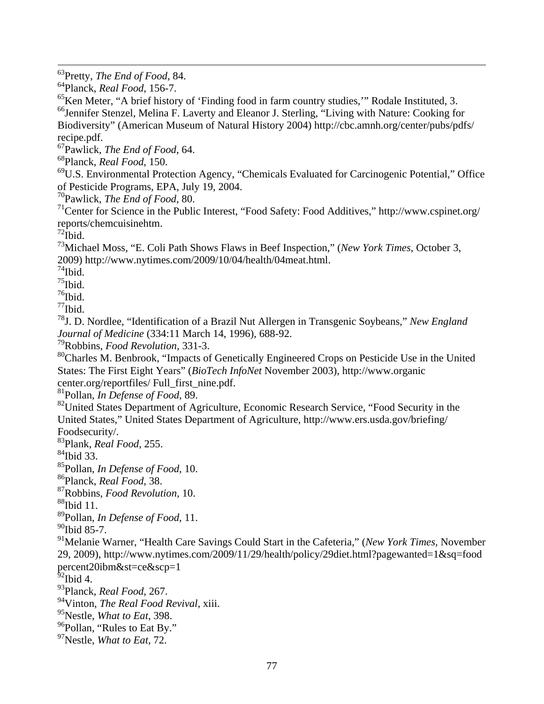63Pretty, *The End of Food*, 84.

64Planck, *Real Food*, 156-7.

<sup>65</sup>Ken Meter, "A brief history of 'Finding food in farm country studies," Rodale Instituted, 3. <sup>66</sup>Jennifer Stenzel, Melina F. Laverty and Eleanor J. Sterling, "Living with Nature: Cooking for Biodiversity" (American Museum of Natural History 2004) http://cbc.amnh.org/center/pubs/pdfs/ recipe.pdf.

67Pawlick, *The End of Food*, 64.

68Planck, *Real Food*, 150.

69U.S. Environmental Protection Agency, "Chemicals Evaluated for Carcinogenic Potential," Office of Pesticide Programs, EPA, July 19, 2004.

70Pawlick, *The End of Food*, 80.

71Center for Science in the Public Interest, "Food Safety: Food Additives," http://www.cspinet.org/ reports/chemcuisinehtm.

 $72$ Ibid.

73Michael Moss, "E. Coli Path Shows Flaws in Beef Inspection," (*New York Times*, October 3, 2009) http://www.nytimes.com/2009/10/04/health/04meat.html.

 $74$ Ibid.

 $75$ Ibid.

 $76$ Ibid.

 $77$ Ibid.

78J. D. Nordlee, "Identification of a Brazil Nut Allergen in Transgenic Soybeans," *New England Journal of Medicine* (334:11 March 14, 1996), 688-92.

79Robbins, *Food Revolution*, 331-3.

<sup>80</sup>Charles M. Benbrook, "Impacts of Genetically Engineered Crops on Pesticide Use in the United States: The First Eight Years" (*BioTech InfoNet* November 2003), http://www.organic center.org/reportfiles/ Full\_first\_nine.pdf.

81Pollan, *In Defense of Food*, 89.

<sup>82</sup>United States Department of Agriculture, Economic Research Service, "Food Security in the United States," United States Department of Agriculture, http://www.ers.usda.gov/briefing/ Foodsecurity/.

83Plank, *Real Food*, 255.

 $84$ Ibid 33.

85Pollan, *In Defense of Food*, 10.

86Planck, *Real Food*, 38.

87Robbins, *Food Revolution,* 10.

 $88$ Ibid 11.

89Pollan, *In Defense of Food*, 11.

 $90$ Ibid 85-7.

91Melanie Warner, "Health Care Savings Could Start in the Cafeteria," (*New York Times,* November 29, 2009), http://www.nytimes.com/2009/11/29/health/policy/29diet.html?pagewanted=1&sq=food percent20ibm&st=ce&scp=1

 $^{62}$ Ibid 4.

93Planck, *Real Food*, 267.

94Vinton, *The Real Food Revival,* xiii.

95Nestle, *What to Eat*, 398.

<sup>96</sup>Pollan, "Rules to Eat By."

97Nestle, *What to Eat*, 72.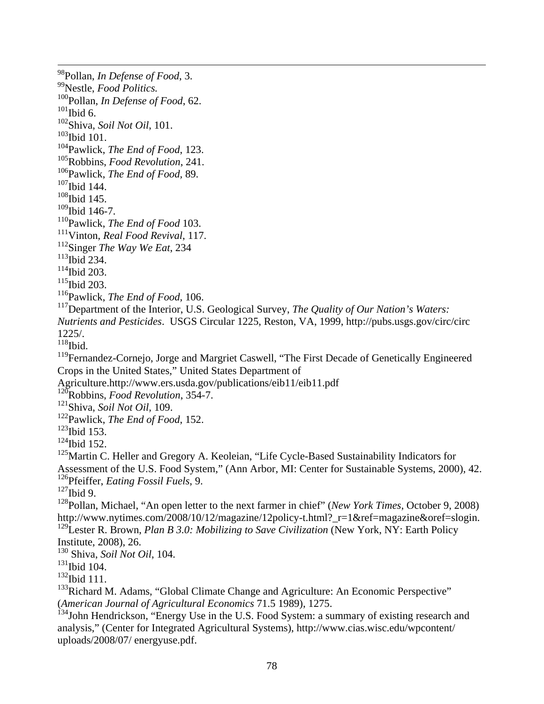98Pollan, *In Defense of Food*, 3. 99Nestle, *Food Politics.*  100Pollan, *In Defense of Food*, 62.  $101$ Ibid 6. 102Shiva, *Soil Not Oil*, 101.  $103$ Ibid 101. 104Pawlick, *The End of Food*, 123. 105Robbins, *Food Revolution*, 241. 106Pawlick, *The End of Food,* 89. <sup>107</sup>Ibid 144.  $108$ Ibid 145.  $109$ Ibid 146-7. 110Pawlick, *The End of Food* 103. 111Vinton, *Real Food Revival*, 117. 112Singer *The Way We Eat*, 234  $113$ Ibid 234.  $114$ Ibid 203.  $115$ Ibid 203. 116Pawlick, *The End of Food,* 106. 117Department of the Interior, U.S. Geological Survey, *The Quality of Our Nation's Waters: Nutrients and Pesticides*. USGS Circular 1225, Reston, VA, 1999, http://pubs.usgs.gov/circ/circ 1225/.  $118$ Ibid. <sup>119</sup>Fernandez-Cornejo, Jorge and Margriet Caswell, "The First Decade of Genetically Engineered Crops in the United States," United States Department of Agriculture.http://www.ers.usda.gov/publications/eib11/eib11.pdf 120Robbins, *Food Revolution*, 354-7. 121Shiva, *Soil Not Oil,* 109. 122Pawlick, *The End of Food*, 152.  $123$ Ibid 153.  $124$ Ibid 152.  $125$ Martin C. Heller and Gregory A. Keoleian, "Life Cycle-Based Sustainability Indicators for Assessment of the U.S. Food System," (Ann Arbor, MI: Center for Sustainable Systems, 2000), 42. 126Pfeiffer, *Eating Fossil Fuels*, 9.  $127$  Ibid 9. 128Pollan, Michael, "An open letter to the next farmer in chief" (*New York Times*, October 9, 2008) http://www.nytimes.com/2008/10/12/magazine/12policy-t.html? r=1&ref=magazine&oref=slogin. 129Lester R. Brown, *Plan B 3.0: Mobilizing to Save Civilization* (New York, NY: Earth Policy Institute, 2008), 26. 130 Shiva, *Soil Not Oil*, 104.  $131$ Ibid 104.  $132$ Ibid 111.

<sup>133</sup>Richard M. Adams, "Global Climate Change and Agriculture: An Economic Perspective" (*American Journal of Agricultural Economics* 71.5 1989), 1275.

<sup>134</sup>John Hendrickson, "Energy Use in the U.S. Food System: a summary of existing research and analysis," (Center for Integrated Agricultural Systems), http://www.cias.wisc.edu/wpcontent/ uploads/2008/07/ energyuse.pdf.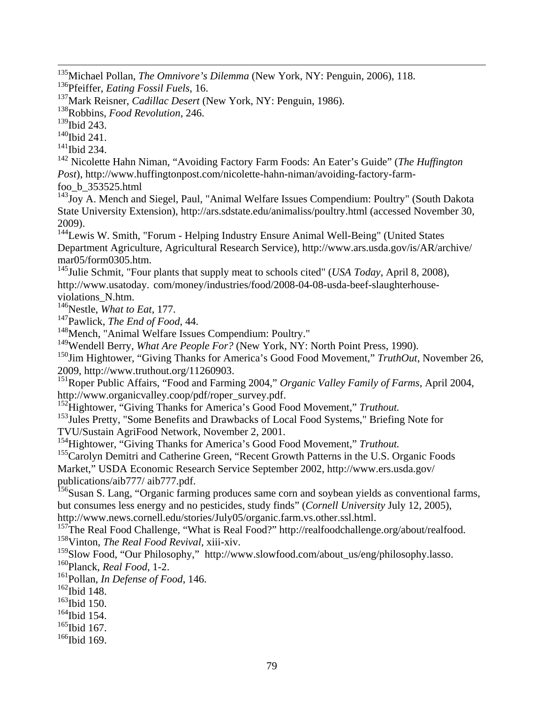135Michael Pollan, *The Omnivore's Dilemma* (New York, NY: Penguin, 2006), 118. 136Pfeiffer, *Eating Fossil Fuels*, 16.

137Mark Reisner, *Cadillac Desert* (New York, NY: Penguin, 1986).

138Robbins, *Food Revolution*, 246.

<sup>139</sup>Ibid 243.

 $140$ Ibid 241.

 $141$ Ibid 234.

142 Nicolette Hahn Niman, "Avoiding Factory Farm Foods: An Eater's Guide" (*The Huffington Post*), http://www.huffingtonpost.com/nicolette-hahn-niman/avoiding-factory-farmfoo\_b\_353525.html

 $143\overline{J_{OY}}$  A. Mench and Siegel, Paul, "Animal Welfare Issues Compendium: Poultry" (South Dakota State University Extension), http://ars.sdstate.edu/animaliss/poultry.html (accessed November 30, 2009).

<sup>144</sup>Lewis W. Smith, "Forum - Helping Industry Ensure Animal Well-Being" (United States Department Agriculture, Agricultural Research Service), http://www.ars.usda.gov/is/AR/archive/ mar05/form0305.htm.

145Julie Schmit, "Four plants that supply meat to schools cited" (*USA Today,* April 8, 2008), http://www.usatoday. com/money/industries/food/2008-04-08-usda-beef-slaughterhouseviolations\_N.htm.

146Nestle, *What to Eat*, 177.

147Pawlick, *The End of Food*, 44.

<sup>148</sup>Mench, "Animal Welfare Issues Compendium: Poultry."

<sup>149</sup>Wendell Berry, *What Are People For?* (New York, NY: North Point Press, 1990).

<sup>150</sup>Jim Hightower, "Giving Thanks for America's Good Food Movement," *TruthOut*, November 26, 2009, http://www.truthout.org/11260903.

151Roper Public Affairs, "Food and Farming 2004," *Organic Valley Family of Farms*, April 2004, http://www.organicvalley.coop/pdf/roper\_survey.pdf.

152Hightower, "Giving Thanks for America's Good Food Movement," *Truthout.* 

<sup>153</sup>Jules Pretty, "Some Benefits and Drawbacks of Local Food Systems," Briefing Note for TVU/Sustain AgriFood Network, November 2, 2001.

154Hightower, "Giving Thanks for America's Good Food Movement," *Truthout.*

<sup>155</sup>Carolyn Demitri and Catherine Green, "Recent Growth Patterns in the U.S. Organic Foods Market," USDA Economic Research Service September 2002, http://www.ers.usda.gov/ publications/aib777/ aib777.pdf.

<sup>156</sup>Susan S. Lang, "Organic farming produces same corn and soybean yields as conventional farms, but consumes less energy and no pesticides, study finds" (*Cornell University* July 12, 2005), http://www.news.cornell.edu/stories/July05/organic.farm.vs.other.ssl.html.

<sup>157</sup>The Real Food Challenge, "What is Real Food?" http://realfoodchallenge.org/about/realfood. 158Vinton, *The Real Food Revival,* xiii-xiv.

<sup>159</sup>Slow Food, "Our Philosophy," http://www.slowfood.com/about\_us/eng/philosophy.lasso. 160Planck, *Real Food*, 1-2.

161Pollan, *In Defense of Food*, 146.

<sup>162</sup>Ibid 148.

<sup>163</sup>Ibid 150.

<sup>164</sup>Ibid 154.

 $165$ Ibid 167.

 $166$ Ibid 169.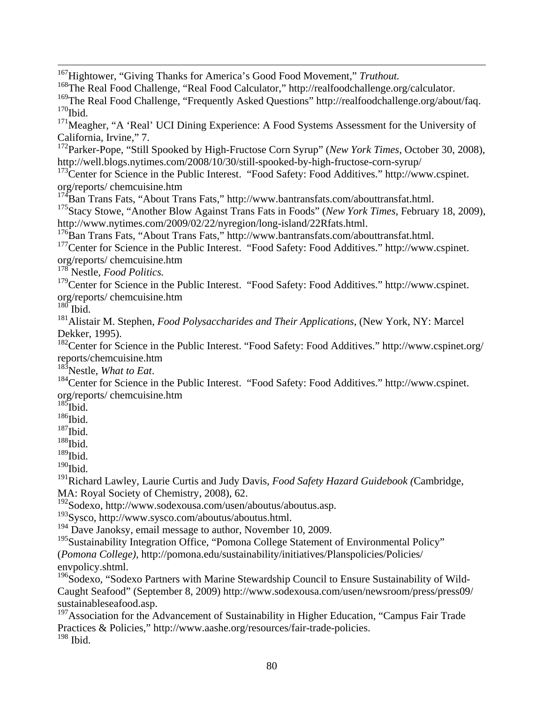167Hightower, "Giving Thanks for America's Good Food Movement," *Truthout.*

<sup>168</sup>The Real Food Challenge, "Real Food Calculator," http://realfoodchallenge.org/calculator. <sup>169</sup>The Real Food Challenge, "Frequently Asked Questions" http://realfoodchallenge.org/about/faq.  $170$ Ibid.

<sup>171</sup>Meagher, "A 'Real' UCI Dining Experience: A Food Systems Assessment for the University of California, Irvine," 7.

172Parker-Pope, "Still Spooked by High-Fructose Corn Syrup" (*New York Times,* October 30, 2008), http://well.blogs.nytimes.com/2008/10/30/still-spooked-by-high-fructose-corn-syrup/

<sup>173</sup>Center for Science in the Public Interest. "Food Safety: Food Additives." http://www.cspinet. org/reports/ chemcuisine.htm

 $174$ Ban Trans Fats, "About Trans Fats," http://www.bantransfats.com/abouttransfat.html.

175Stacy Stowe, "Another Blow Against Trans Fats in Foods" (*New York Times,* February 18, 2009), http://www.nytimes.com/2009/02/22/nyregion/long-island/22Rfats.html.

<sup>176</sup>Ban Trans Fats, "About Trans Fats," http://www.bantransfats.com/abouttransfat.html.

<sup>177</sup>Center for Science in the Public Interest. "Food Safety: Food Additives." http://www.cspinet. org/reports/ chemcuisine.htm

178 Nestle, *Food Politics.*

<sup>179</sup>Center for Science in the Public Interest. "Food Safety: Food Additives." http://www.cspinet. org/reports/ chemcuisine.htm

 $180$  Ibid.

181Alistair M. Stephen, *Food Polysaccharides and Their Applications*, (New York, NY: Marcel Dekker, 1995).

 $182$ Center for Science in the Public Interest. "Food Safety: Food Additives." http://www.cspinet.org/ reports/chemcuisine.htm

<sup>183</sup>Nestle, *What to Eat*.<br><sup>184</sup>Center for Science in the Public Interest. "Food Safety: Food Additives." http://www.cspinet. org/reports/ chemcuisine.htm

 $185$ Ibid.

 $^{186}\mathrm{Ibid.}$ 

 $187$ Ibid.

 $188$ Ibid.

 $^{189}\!$  Ibid.

 $190$ Ibid.

191Richard Lawley, Laurie Curtis and Judy Davis, *Food Safety Hazard Guidebook (*Cambridge, MA: Royal Society of Chemistry, 2008), 62.

192Sodexo, http://www.sodexousa.com/usen/aboutus/aboutus.asp.

193Sysco, http://www.sysco.com/aboutus/aboutus.html.

<sup>194</sup> Dave Janoksy, email message to author, November 10, 2009.

<sup>195</sup>Sustainability Integration Office, "Pomona College Statement of Environmental Policy" (*Pomona College),* http://pomona.edu/sustainability/initiatives/Planspolicies/Policies/ envpolicy.shtml.

 $196$ Sodexo, "Sodexo Partners with Marine Stewardship Council to Ensure Sustainability of Wild-Caught Seafood" (September 8, 2009) http://www.sodexousa.com/usen/newsroom/press/press09/ sustainableseafood.asp.

<sup>197</sup>Association for the Advancement of Sustainability in Higher Education, "Campus Fair Trade Practices & Policies," http://www.aashe.org/resources/fair-trade-policies.  $198$  Ibid.